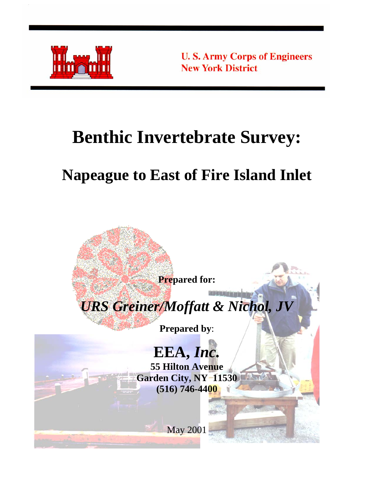

**U.S. Army Corps of Engineers New York District** 

# **Benthic Invertebrate Survey:**

# **Napeague to East of Fire Island Inlet**

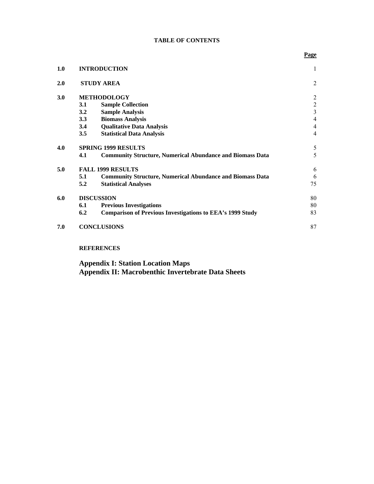#### **TABLE OF CONTENTS**

| 1.0 |         | <b>INTRODUCTION</b>                                              | 1              |
|-----|---------|------------------------------------------------------------------|----------------|
| 2.0 |         | <b>STUDY AREA</b>                                                | $\overline{2}$ |
| 3.0 |         | <b>METHODOLOGY</b>                                               | $\overline{2}$ |
|     | 3.1     | <b>Sample Collection</b>                                         |                |
|     | 3.2     | <b>Sample Analysis</b>                                           | $\frac{2}{3}$  |
|     | 3.3     | <b>Biomass Analysis</b>                                          | $\overline{4}$ |
|     | 3.4     | <b>Qualitative Data Analysis</b>                                 | $\overline{4}$ |
|     | $3.5\,$ | <b>Statistical Data Analysis</b>                                 | $\overline{4}$ |
| 4.0 |         | <b>SPRING 1999 RESULTS</b>                                       | 5              |
|     | 4.1     | <b>Community Structure, Numerical Abundance and Biomass Data</b> | 5              |
| 5.0 |         | <b>FALL 1999 RESULTS</b>                                         | 6              |
|     | 5.1     | <b>Community Structure, Numerical Abundance and Biomass Data</b> | 6              |
|     | 5.2     | <b>Statistical Analyses</b>                                      | 75             |
| 6.0 |         | <b>DISCUSSION</b>                                                | 80             |
|     | 6.1     | <b>Previous Investigations</b>                                   | 80             |
|     | 6.2     | <b>Comparison of Previous Investigations to EEA's 1999 Study</b> | 83             |
| 7.0 |         | <b>CONCLUSIONS</b>                                               | 87             |
|     |         | <b>REFERENCES</b>                                                |                |

**Appendix I: Station Location Maps Appendix II: Macrobenthic Invertebrate Data Sheets**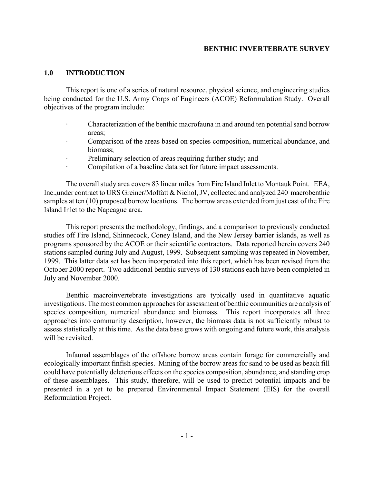#### **1.0 INTRODUCTION**

This report is one of a series of natural resource, physical science, and engineering studies being conducted for the U.S. Army Corps of Engineers (ACOE) Reformulation Study. Overall objectives of the program include:

- · Characterization of the benthic macrofauna in and around ten potential sand borrow areas;
- · Comparison of the areas based on species composition, numerical abundance, and biomass;
- Preliminary selection of areas requiring further study; and
- Compilation of a baseline data set for future impact assessments.

The overall study area covers 83 linear miles from Fire Island Inlet to Montauk Point. EEA, Inc.,under contract to URS Greiner/Moffatt & Nichol, JV, collected and analyzed 240 macrobenthic samples at ten (10) proposed borrow locations. The borrow areas extended from just east of the Fire Island Inlet to the Napeague area.

This report presents the methodology, findings, and a comparison to previously conducted studies off Fire Island, Shinnecock, Coney Island, and the New Jersey barrier islands, as well as programs sponsored by the ACOE or their scientific contractors. Data reported herein covers 240 stations sampled during July and August, 1999. Subsequent sampling was repeated in November, 1999. This latter data set has been incorporated into this report, which has been revised from the October 2000 report. Two additional benthic surveys of 130 stations each have been completed in July and November 2000.

Benthic macroinvertebrate investigations are typically used in quantitative aquatic investigations. The most common approaches for assessment of benthic communities are analysis of species composition, numerical abundance and biomass. This report incorporates all three approaches into community description, however, the biomass data is not sufficiently robust to assess statistically at this time. As the data base grows with ongoing and future work, this analysis will be revisited.

Infaunal assemblages of the offshore borrow areas contain forage for commercially and ecologically important finfish species. Mining of the borrow areas for sand to be used as beach fill could have potentially deleterious effects on the species composition, abundance, and standing crop of these assemblages. This study, therefore, will be used to predict potential impacts and be presented in a yet to be prepared Environmental Impact Statement (EIS) for the overall Reformulation Project.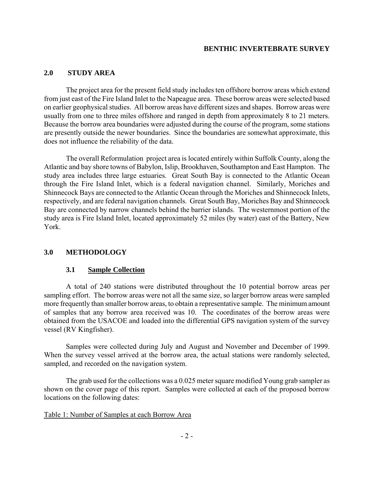#### **2.0 STUDY AREA**

The project area for the present field study includes ten offshore borrow areas which extend from just east of the Fire Island Inlet to the Napeague area. These borrow areas were selected based on earlier geophysical studies. All borrow areas have different sizes and shapes. Borrow areas were usually from one to three miles offshore and ranged in depth from approximately 8 to 21 meters. Because the borrow area boundaries were adjusted during the course of the program, some stations are presently outside the newer boundaries. Since the boundaries are somewhat approximate, this does not influence the reliability of the data.

The overall Reformulation project area is located entirely within Suffolk County, along the Atlantic and bay shore towns of Babylon, Islip, Brookhaven, Southampton and East Hampton. The study area includes three large estuaries. Great South Bay is connected to the Atlantic Ocean through the Fire Island Inlet, which is a federal navigation channel. Similarly, Moriches and Shinnecock Bays are connected to the Atlantic Ocean through the Moriches and Shinnecock Inlets, respectively, and are federal navigation channels. Great South Bay, Moriches Bay and Shinnecock Bay are connected by narrow channels behind the barrier islands. The westernmost portion of the study area is Fire Island Inlet, located approximately 52 miles (by water) east of the Battery, New York.

## **3.0 METHODOLOGY**

#### **3.1 Sample Collection**

A total of 240 stations were distributed throughout the 10 potential borrow areas per sampling effort. The borrow areas were not all the same size, so larger borrow areas were sampled more frequently than smaller borrow areas, to obtain a representative sample. The minimum amount of samples that any borrow area received was 10. The coordinates of the borrow areas were obtained from the USACOE and loaded into the differential GPS navigation system of the survey vessel (RV Kingfisher).

Samples were collected during July and August and November and December of 1999. When the survey vessel arrived at the borrow area, the actual stations were randomly selected, sampled, and recorded on the navigation system.

The grab used for the collections was a 0.025 meter square modified Young grab sampler as shown on the cover page of this report. Samples were collected at each of the proposed borrow locations on the following dates:

#### Table 1: Number of Samples at each Borrow Area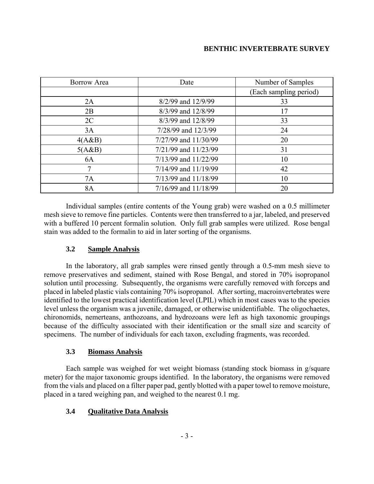| Borrow Area | Date                     | Number of Samples      |
|-------------|--------------------------|------------------------|
|             |                          | (Each sampling period) |
| 2A          | 8/2/99 and 12/9/99       | 33                     |
| 2B          | 8/3/99 and 12/8/99       | 17                     |
| 2C          | $8/3/99$ and $12/8/99$   | 33                     |
| 3A          | 7/28/99 and 12/3/99      | 24                     |
| 4(A&B)      | 7/27/99 and 11/30/99     | 20                     |
| 5(A&B)      | $7/21/99$ and $11/23/99$ | 31                     |
| <b>6A</b>   | $7/13/99$ and $11/22/99$ | 10                     |
| 7           | $7/14/99$ and $11/19/99$ | 42                     |
| 7A          | $7/13/99$ and $11/18/99$ | 10                     |
| 8A          | $7/16/99$ and $11/18/99$ | 20                     |

Individual samples (entire contents of the Young grab) were washed on a 0.5 millimeter mesh sieve to remove fine particles. Contents were then transferred to a jar, labeled, and preserved with a buffered 10 percent formalin solution. Only full grab samples were utilized. Rose bengal stain was added to the formalin to aid in later sorting of the organisms.

## **3.2 Sample Analysis**

In the laboratory, all grab samples were rinsed gently through a 0.5-mm mesh sieve to remove preservatives and sediment, stained with Rose Bengal, and stored in 70% isopropanol solution until processing. Subsequently, the organisms were carefully removed with forceps and placed in labeled plastic vials containing 70% isopropanol. After sorting, macroinvertebrates were identified to the lowest practical identification level (LPIL) which in most cases was to the species level unless the organism was a juvenile, damaged, or otherwise unidentifiable. The oligochaetes, chironomids, nemerteans, anthozoans, and hydrozoans were left as high taxonomic groupings because of the difficulty associated with their identification or the small size and scarcity of specimens. The number of individuals for each taxon, excluding fragments, was recorded.

## **3.3 Biomass Analysis**

Each sample was weighed for wet weight biomass (standing stock biomass in g/square meter) for the major taxonomic groups identified. In the laboratory, the organisms were removed from the vials and placed on a filter paper pad, gently blotted with a paper towel to remove moisture, placed in a tared weighing pan, and weighed to the nearest 0.1 mg.

## **3.4 Qualitative Data Analysis**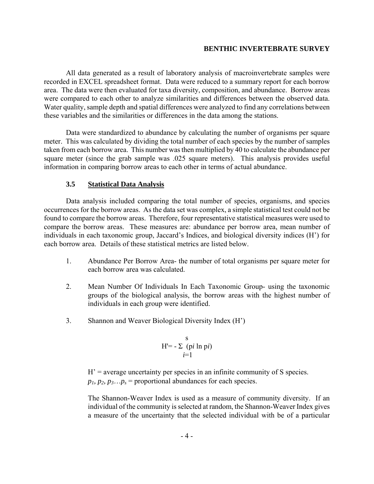All data generated as a result of laboratory analysis of macroinvertebrate samples were recorded in EXCEL spreadsheet format. Data were reduced to a summary report for each borrow area. The data were then evaluated for taxa diversity, composition, and abundance. Borrow areas were compared to each other to analyze similarities and differences between the observed data. Water quality, sample depth and spatial differences were analyzed to find any correlations between these variables and the similarities or differences in the data among the stations.

Data were standardized to abundance by calculating the number of organisms per square meter. This was calculated by dividing the total number of each species by the number of samples taken from each borrow area. This number was then multiplied by 40 to calculate the abundance per square meter (since the grab sample was .025 square meters). This analysis provides useful information in comparing borrow areas to each other in terms of actual abundance.

#### **3.5 Statistical Data Analysis**

Data analysis included comparing the total number of species, organisms, and species occurrences for the borrow areas. As the data set was complex, a simple statistical test could not be found to compare the borrow areas. Therefore, four representative statistical measures were used to compare the borrow areas. These measures are: abundance per borrow area, mean number of individuals in each taxonomic group, Jaccard's Indices, and biological diversity indices (H') for each borrow area. Details of these statistical metrics are listed below.

- 1. Abundance Per Borrow Area- the number of total organisms per square meter for each borrow area was calculated.
- 2. Mean Number Of Individuals In Each Taxonomic Group- using the taxonomic groups of the biological analysis, the borrow areas with the highest number of individuals in each group were identified.
- 3. Shannon and Weaver Biological Diversity Index (H')

$$
H' = -\sum_{i=1}^{S} (pi \ln \pi i)
$$

 $H'$  = average uncertainty per species in an infinite community of S species.  $p_1$ ,  $p_2$ ,  $p_3...p_s$  = proportional abundances for each species.

The Shannon-Weaver Index is used as a measure of community diversity. If an individual of the community is selected at random, the Shannon-Weaver Index gives a measure of the uncertainty that the selected individual with be of a particular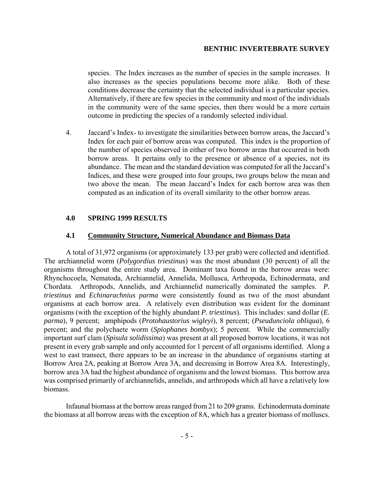species. The Index increases as the number of species in the sample increases. It also increases as the species populations become more alike. Both of these conditions decrease the certainty that the selected individual is a particular species. Alternatively, if there are few species in the community and most of the individuals in the community were of the same species, then there would be a more certain outcome in predicting the species of a randomly selected individual.

4. Jaccard's Index- to investigate the similarities between borrow areas, the Jaccard's Index for each pair of borrow areas was computed. This index is the proportion of the number of species observed in either of two borrow areas that occurred in both borrow areas. It pertains only to the presence or absence of a species, not its abundance. The mean and the standard deviation was computed for all the Jaccard's Indices, and these were grouped into four groups, two groups below the mean and two above the mean. The mean Jaccard's Index for each borrow area was then computed as an indication of its overall similarity to the other borrow areas.

#### **4.0 SPRING 1999 RESULTS**

#### **4.1 Community Structure, Numerical Abundance and Biomass Data**

A total of 31,972 organisms (or approximately 133 per grab) were collected and identified. The archiannelid worm (*Polygordius triestinus*) was the most abundant (30 percent) of all the organisms throughout the entire study area. Dominant taxa found in the borrow areas were: Rhynchocoela, Nematoda, Archiannelid, Annelida, Mollusca, Arthropoda, Echinodermata, and Chordata. Arthropods, Annelids, and Archiannelid numerically dominated the samples. *P. triestinus* and *Echinarachnius parma* were consistently found as two of the most abundant organisms at each borrow area. A relatively even distribution was evident for the dominant organisms (with the exception of the highly abundant *P. triestinus*). This includes: sand dollar (*E. parma*), 9 percent; amphipods (*Protohaustorius wigleyi*), 8 percent; (*Pseudunciola obliqua*), 6 percent; and the polychaete worm (*Spiophanes bombyx*); 5 percent. While the commercially important surf clam (*Spisula solidissima*) was present at all proposed borrow locations, it was not present in every grab sample and only accounted for 1 percent of all organisms identified. Along a west to east transect, there appears to be an increase in the abundance of organisms starting at Borrow Area 2A, peaking at Borrow Area 3A, and decreasing in Borrow Area 8A. Interestingly, borrow area 3A had the highest abundance of organisms and the lowest biomass. This borrow area was comprised primarily of archiannelids, annelids, and arthropods which all have a relatively low biomass.

Infaunal biomass at the borrow areas ranged from 21 to 209 grams. Echinodermata dominate the biomass at all borrow areas with the exception of 8A, which has a greater biomass of molluscs.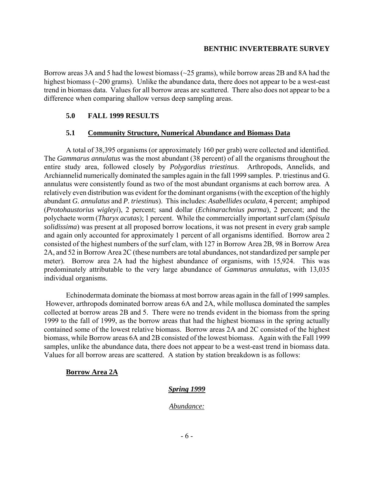Borrow areas 3A and 5 had the lowest biomass (~25 grams), while borrow areas 2B and 8A had the highest biomass (~200 grams). Unlike the abundance data, there does not appear to be a west-east trend in biomass data. Values for all borrow areas are scattered. There also does not appear to be a difference when comparing shallow versus deep sampling areas.

## **5.0 FALL 1999 RESULTS**

## **5.1 Community Structure, Numerical Abundance and Biomass Data**

A total of 38,395 organisms (or approximately 160 per grab) were collected and identified. The *Gammarus annulatus* was the most abundant (38 percent) of all the organisms throughout the entire study area, followed closely by *Polygordius triestinus*. Arthropods, Annelids, and Archiannelid numerically dominated the samples again in the fall 1999 samples. P. triestinus and G. annulatus were consistently found as two of the most abundant organisms at each borrow area*.* A relatively even distribution was evident for the dominant organisms (with the exception of the highly abundant *G. annulatus* and *P. triestinus*). This includes: *Asabellides oculata*, 4 percent; amphipod (*Protohaustorius wigleyi*), 2 percent; sand dollar (*Echinarachnius parma*), 2 percent; and the polychaete worm (*Tharyx acutas*); 1 percent. While the commercially important surf clam (*Spisula solidissima*) was present at all proposed borrow locations, it was not present in every grab sample and again only accounted for approximately 1 percent of all organisms identified. Borrow area 2 consisted of the highest numbers of the surf clam, with 127 in Borrow Area 2B, 98 in Borrow Area 2A, and 52 in Borrow Area 2C (these numbers are total abundances, not standardized per sample per meter)*.* Borrow area 2A had the highest abundance of organisms, with 15,924. This was predominately attributable to the very large abundance of *Gammarus annulatus*, with 13,035 individual organisms.

Echinodermata dominate the biomass at most borrow areas again in the fall of 1999 samples. However, arthropods dominated borrow areas 6A and 2A, while mollusca dominated the samples collected at borrow areas 2B and 5. There were no trends evident in the biomass from the spring 1999 to the fall of 1999, as the borrow areas that had the highest biomass in the spring actually contained some of the lowest relative biomass. Borrow areas 2A and 2C consisted of the highest biomass, while Borrow areas 6A and 2B consisted of the lowest biomass. Again with the Fall 1999 samples, unlike the abundance data, there does not appear to be a west-east trend in biomass data. Values for all borrow areas are scattered. A station by station breakdown is as follows:

## **Borrow Area 2A**

## *Spring 1999*

## *Abundance:*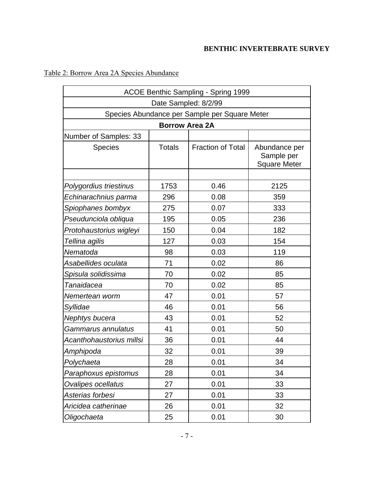<u> 1980 - Johann Barn, mars ann an t-Amhain Aonaich an t-Aonaich an t-Aonaich ann an t-Aonaich ann an t-Aonaich</u>

| ACOE Benthic Sampling - Spring 1999           |                       |                          |                                                    |  |  |  |  |  |
|-----------------------------------------------|-----------------------|--------------------------|----------------------------------------------------|--|--|--|--|--|
| Date Sampled: 8/2/99                          |                       |                          |                                                    |  |  |  |  |  |
| Species Abundance per Sample per Square Meter |                       |                          |                                                    |  |  |  |  |  |
|                                               | <b>Borrow Area 2A</b> |                          |                                                    |  |  |  |  |  |
| Number of Samples: 33                         |                       |                          |                                                    |  |  |  |  |  |
| <b>Species</b>                                | <b>Totals</b>         | <b>Fraction of Total</b> | Abundance per<br>Sample per<br><b>Square Meter</b> |  |  |  |  |  |
|                                               |                       |                          |                                                    |  |  |  |  |  |
| Polygordius triestinus                        | 1753                  | 0.46                     | 2125                                               |  |  |  |  |  |
| Echinarachnius parma                          | 296                   | 0.08                     | 359                                                |  |  |  |  |  |
| Spiophanes bombyx                             | 275                   | 0.07                     | 333                                                |  |  |  |  |  |
| Pseudunciola obliqua                          | 195                   | 0.05                     | 236                                                |  |  |  |  |  |
| Protohaustorius wigleyi                       | 150                   | 0.04                     | 182                                                |  |  |  |  |  |
| Tellina agilis                                | 127                   | 0.03                     | 154                                                |  |  |  |  |  |
| Nematoda                                      | 98                    | 0.03                     | 119                                                |  |  |  |  |  |
| Asabellides oculata                           | 71                    | 0.02                     | 86                                                 |  |  |  |  |  |
| Spisula solidissima                           | 70                    | 0.02                     | 85                                                 |  |  |  |  |  |
| Tanaidacea                                    | 70                    | 0.02                     | 85                                                 |  |  |  |  |  |
| Nemertean worm                                | 47                    | 0.01                     | 57                                                 |  |  |  |  |  |
| Syllidae                                      | 46                    | 0.01                     | 56                                                 |  |  |  |  |  |
| Nephtys bucera                                | 43                    | 0.01                     | 52                                                 |  |  |  |  |  |
| Gammarus annulatus                            | 41                    | 0.01                     | 50                                                 |  |  |  |  |  |
| Acanthohaustorius millsi                      | 36                    | 0.01                     | 44                                                 |  |  |  |  |  |
| Amphipoda                                     | 32                    | 0.01                     | 39                                                 |  |  |  |  |  |
| Polychaeta                                    | 28                    | 0.01                     | 34                                                 |  |  |  |  |  |
| Paraphoxus epistomus                          | 28                    | 0.01                     | 34                                                 |  |  |  |  |  |
| <b>Ovalipes ocellatus</b>                     | 27                    | 0.01                     | 33                                                 |  |  |  |  |  |
| Asterias forbesi                              | 27                    | 0.01                     | 33                                                 |  |  |  |  |  |
| Aricidea catherinae                           | 26                    | 0.01                     | 32                                                 |  |  |  |  |  |
| Oligochaeta                                   | 25                    | 0.01                     | 30                                                 |  |  |  |  |  |

# Table 2: Borrow Area 2A Species Abundance

 $\overline{a}$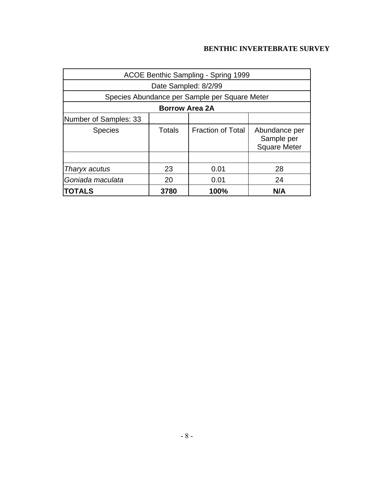| ACOE Benthic Sampling - Spring 1999  |                                               |                          |                                                    |  |  |  |  |  |  |
|--------------------------------------|-----------------------------------------------|--------------------------|----------------------------------------------------|--|--|--|--|--|--|
| Date Sampled: 8/2/99                 |                                               |                          |                                                    |  |  |  |  |  |  |
|                                      | Species Abundance per Sample per Square Meter |                          |                                                    |  |  |  |  |  |  |
| <b>Borrow Area 2A</b>                |                                               |                          |                                                    |  |  |  |  |  |  |
| Number of Samples: 33                |                                               |                          |                                                    |  |  |  |  |  |  |
| <b>Species</b>                       | Totals                                        | <b>Fraction of Total</b> | Abundance per<br>Sample per<br><b>Square Meter</b> |  |  |  |  |  |  |
|                                      |                                               |                          |                                                    |  |  |  |  |  |  |
| Tharyx acutus                        | 23                                            | 0.01                     | 28                                                 |  |  |  |  |  |  |
| Goniada maculata                     | 20<br>0.01<br>24                              |                          |                                                    |  |  |  |  |  |  |
| <b>TOTALS</b><br>100%<br>3780<br>N/A |                                               |                          |                                                    |  |  |  |  |  |  |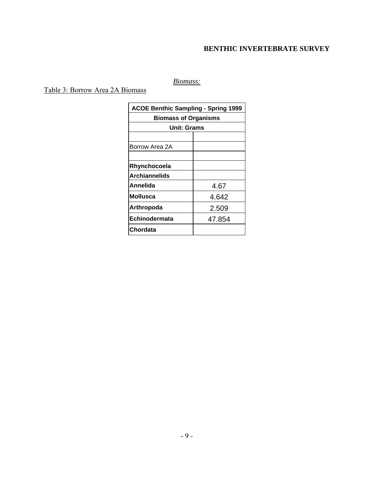# *Biomass:*

# Table 3: Borrow Area 2A Biomass

| <b>ACOE Benthic Sampling - Spring 1999</b> |                             |  |  |  |  |  |  |
|--------------------------------------------|-----------------------------|--|--|--|--|--|--|
|                                            | <b>Biomass of Organisms</b> |  |  |  |  |  |  |
|                                            | <b>Unit: Grams</b>          |  |  |  |  |  |  |
|                                            |                             |  |  |  |  |  |  |
| Borrow Area 2A                             |                             |  |  |  |  |  |  |
|                                            |                             |  |  |  |  |  |  |
| Rhynchocoela                               |                             |  |  |  |  |  |  |
| <b>Archiannelids</b>                       |                             |  |  |  |  |  |  |
| Annelida                                   | 4.67                        |  |  |  |  |  |  |
| <b>Mollusca</b>                            | 4.642                       |  |  |  |  |  |  |
| Arthropoda                                 | 2.509                       |  |  |  |  |  |  |
| Echinodermata                              | 47.854                      |  |  |  |  |  |  |
| Chordata                                   |                             |  |  |  |  |  |  |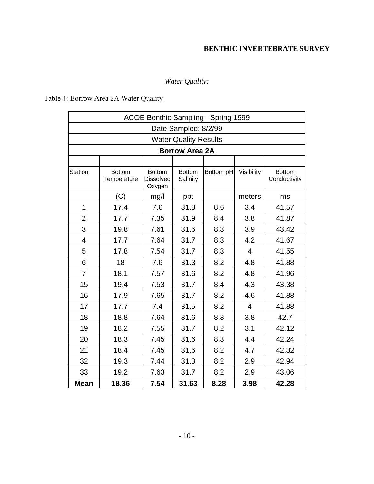# *Water Quality:*

# Table 4: Borrow Area 2A Water Quality

| <b>ACOE Benthic Sampling - Spring 1999</b> |                              |                                             |                           |           |                |                               |  |  |  |
|--------------------------------------------|------------------------------|---------------------------------------------|---------------------------|-----------|----------------|-------------------------------|--|--|--|
| Date Sampled: 8/2/99                       |                              |                                             |                           |           |                |                               |  |  |  |
|                                            | <b>Water Quality Results</b> |                                             |                           |           |                |                               |  |  |  |
|                                            |                              |                                             | <b>Borrow Area 2A</b>     |           |                |                               |  |  |  |
|                                            |                              |                                             |                           |           |                |                               |  |  |  |
| <b>Station</b>                             | <b>Bottom</b><br>Temperature | <b>Bottom</b><br><b>Dissolved</b><br>Oxygen | <b>Bottom</b><br>Salinity | Bottom pH | Visibility     | <b>Bottom</b><br>Conductivity |  |  |  |
|                                            | (C)                          | mg/l                                        | ppt                       |           | meters         | ms                            |  |  |  |
| 1                                          | 17.4                         | 7.6                                         | 31.8                      | 8.6       | 3.4            | 41.57                         |  |  |  |
| $\overline{2}$                             | 17.7                         | 7.35                                        | 31.9                      | 8.4       | 3.8            | 41.87                         |  |  |  |
| 3                                          | 19.8                         | 7.61                                        | 31.6                      | 8.3       | 3.9            | 43.42                         |  |  |  |
| $\overline{\mathcal{A}}$                   | 17.7                         | 7.64                                        | 31.7                      | 8.3       | 4.2            | 41.67                         |  |  |  |
| 5                                          | 17.8                         | 7.54                                        | 31.7                      | 8.3       | 4              | 41.55                         |  |  |  |
| 6                                          | 18                           | 7.6                                         | 31.3                      | 8.2       | 4.8            | 41.88                         |  |  |  |
| $\overline{7}$                             | 18.1                         | 7.57                                        | 31.6                      | 8.2       | 4.8            | 41.96                         |  |  |  |
| 15                                         | 19.4                         | 7.53                                        | 31.7                      | 8.4       | 4.3            | 43.38                         |  |  |  |
| 16                                         | 17.9                         | 7.65                                        | 31.7                      | 8.2       | 4.6            | 41.88                         |  |  |  |
| 17                                         | 17.7                         | 7.4                                         | 31.5                      | 8.2       | $\overline{4}$ | 41.88                         |  |  |  |
| 18                                         | 18.8                         | 7.64                                        | 31.6                      | 8.3       | 3.8            | 42.7                          |  |  |  |
| 19                                         | 18.2                         | 7.55                                        | 31.7                      | 8.2       | 3.1            | 42.12                         |  |  |  |
| 20                                         | 18.3                         | 7.45                                        | 31.6                      | 8.3       | 4.4            | 42.24                         |  |  |  |
| 21                                         | 18.4                         | 7.45                                        | 31.6                      | 8.2       | 4.7            | 42.32                         |  |  |  |
| 32                                         | 19.3                         | 7.44                                        | 31.3                      | 8.2       | 2.9            | 42.94                         |  |  |  |
| 33                                         | 19.2                         | 7.63                                        | 31.7                      | 8.2       | 2.9            | 43.06                         |  |  |  |
| <b>Mean</b>                                | 18.36                        | 7.54                                        | 31.63                     | 8.28      | 3.98           | 42.28                         |  |  |  |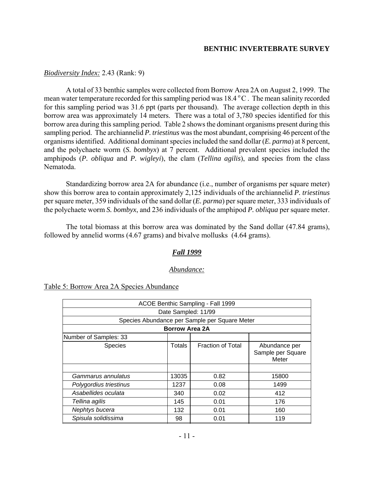## *Biodiversity Index:* 2.43 (Rank: 9)

A total of 33 benthic samples were collected from Borrow Area 2A on August 2, 1999. The mean water temperature recorded for this sampling period was  $18.4\degree$ C. The mean salinity recorded for this sampling period was 31.6 ppt (parts per thousand). The average collection depth in this borrow area was approximately 14 meters. There was a total of 3,780 species identified for this borrow area during this sampling period. Table 2 shows the dominant organisms present during this sampling period. The archiannelid *P. triestinus* was the most abundant, comprising 46 percent of the organisms identified. Additional dominant species included the sand dollar (*E. parma*) at 8 percent, and the polychaete worm (*S. bombyx*) at 7 percent. Additional prevalent species included the amphipods (*P. obliqua* and *P. wigleyi*), the clam (*Tellina agilis*), and species from the class Nematoda.

Standardizing borrow area 2A for abundance (i.e., number of organisms per square meter) show this borrow area to contain approximately 2,125 individuals of the archiannelid *P. triestinus* per square meter, 359 individuals of the sand dollar (*E. parma*) per square meter, 333 individuals of the polychaete worm *S. bombyx*, and 236 individuals of the amphipod *P. obliqua* per square meter.

The total biomass at this borrow area was dominated by the Sand dollar (47.84 grams), followed by annelid worms (4.67 grams) and bivalve mollusks (4.64 grams).

## *Fall 1999*

#### *Abundance:*

| ACOE Benthic Sampling - Fall 1999             |                       |                          |                                             |  |  |  |  |
|-----------------------------------------------|-----------------------|--------------------------|---------------------------------------------|--|--|--|--|
| Date Sampled: 11/99                           |                       |                          |                                             |  |  |  |  |
| Species Abundance per Sample per Square Meter |                       |                          |                                             |  |  |  |  |
|                                               | <b>Borrow Area 2A</b> |                          |                                             |  |  |  |  |
| Number of Samples: 33                         |                       |                          |                                             |  |  |  |  |
| <b>Species</b>                                | Totals                | <b>Fraction of Total</b> | Abundance per<br>Sample per Square<br>Meter |  |  |  |  |
|                                               |                       |                          |                                             |  |  |  |  |
| Gammarus annulatus                            | 13035                 | 0.82                     | 15800                                       |  |  |  |  |
| Polygordius triestinus                        | 1237                  | 0.08                     | 1499                                        |  |  |  |  |
| Asabellides oculata                           | 340                   | 0.02                     | 412                                         |  |  |  |  |
| Tellina agilis                                | 145                   | 0.01                     | 176                                         |  |  |  |  |
| Nephtys bucera                                | 132                   | 0.01                     | 160                                         |  |  |  |  |
| Spisula solidissima                           | 98                    | 0.01                     | 119                                         |  |  |  |  |

Table 5: Borrow Area 2A Species Abundance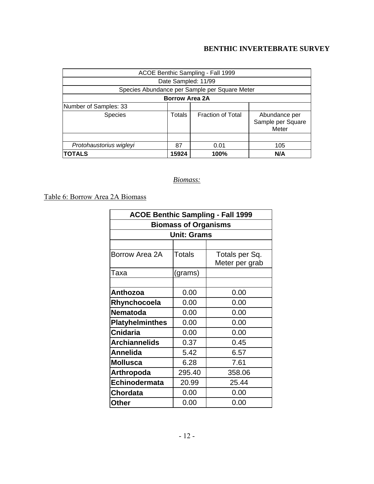| ACOE Benthic Sampling - Fall 1999             |                   |                          |                                             |  |  |  |
|-----------------------------------------------|-------------------|--------------------------|---------------------------------------------|--|--|--|
| Date Sampled: 11/99                           |                   |                          |                                             |  |  |  |
| Species Abundance per Sample per Square Meter |                   |                          |                                             |  |  |  |
| <b>Borrow Area 2A</b>                         |                   |                          |                                             |  |  |  |
| Number of Samples: 33                         |                   |                          |                                             |  |  |  |
| <b>Species</b>                                | Totals            | <b>Fraction of Total</b> | Abundance per<br>Sample per Square<br>Meter |  |  |  |
|                                               |                   |                          |                                             |  |  |  |
| Protohaustorius wigleyi                       | 87<br>105<br>0.01 |                          |                                             |  |  |  |
| <b>TOTALS</b>                                 | 15924             | 100%                     | N/A                                         |  |  |  |

## *Biomass:*

Table 6: Borrow Area 2A Biomass

| <b>ACOE Benthic Sampling - Fall 1999</b> |                    |                                  |  |  |  |  |  |
|------------------------------------------|--------------------|----------------------------------|--|--|--|--|--|
| <b>Biomass of Organisms</b>              |                    |                                  |  |  |  |  |  |
|                                          | <b>Unit: Grams</b> |                                  |  |  |  |  |  |
|                                          |                    |                                  |  |  |  |  |  |
| Borrow Area 2A                           | Totals             | Totals per Sq.<br>Meter per grab |  |  |  |  |  |
| Taxa                                     | (grams)            |                                  |  |  |  |  |  |
|                                          |                    |                                  |  |  |  |  |  |
| <b>Anthozoa</b>                          | 0.00               | 0.00                             |  |  |  |  |  |
| Rhynchocoela                             | 0.00               | 0.00                             |  |  |  |  |  |
| <b>Nematoda</b>                          | 0.00               | 0.00                             |  |  |  |  |  |
| <b>Platyhelminthes</b>                   | 0.00               | 0.00                             |  |  |  |  |  |
| <b>Cnidaria</b>                          | 0.00               | 0.00                             |  |  |  |  |  |
| <b>Archiannelids</b>                     | 0.37               | 0.45                             |  |  |  |  |  |
| <b>Annelida</b>                          | 5.42               | 6.57                             |  |  |  |  |  |
| <b>Mollusca</b>                          | 6.28               | 7.61                             |  |  |  |  |  |
| Arthropoda                               | 295.40             | 358.06                           |  |  |  |  |  |
| Echinodermata                            | 20.99              | 25.44                            |  |  |  |  |  |
| <b>Chordata</b>                          | 0.00               | 0.00                             |  |  |  |  |  |
| <b>Other</b>                             | 0.00               | 0.00                             |  |  |  |  |  |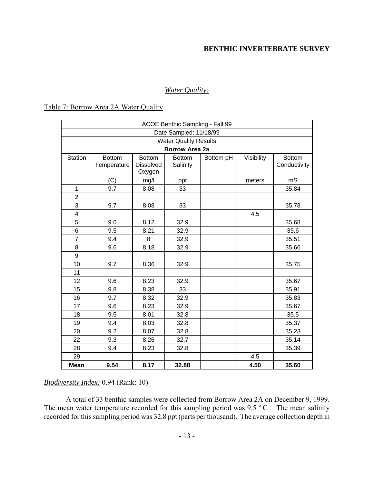#### *Water Quality:*

#### Table 7: Borrow Area 2A Water Quality

| ACOE Benthic Sampling - Fall 99 |                              |                                             |                           |           |            |                               |  |  |
|---------------------------------|------------------------------|---------------------------------------------|---------------------------|-----------|------------|-------------------------------|--|--|
| Date Sampled: 11/18/99          |                              |                                             |                           |           |            |                               |  |  |
|                                 | <b>Water Quality Results</b> |                                             |                           |           |            |                               |  |  |
|                                 |                              |                                             | <b>Borrow Area 2a</b>     |           |            |                               |  |  |
| Station                         | <b>Bottom</b><br>Temperature | <b>Bottom</b><br><b>Dissolved</b><br>Oxygen | <b>Bottom</b><br>Salinity | Bottom pH | Visibility | <b>Bottom</b><br>Conductivity |  |  |
|                                 | (C)                          | mg/l                                        | ppt                       |           | meters     | mS                            |  |  |
| 1                               | 9.7                          | 8.08                                        | 33                        |           |            | 35.84                         |  |  |
| $\overline{2}$                  |                              |                                             |                           |           |            |                               |  |  |
| 3                               | 9.7                          | 8.08                                        | 33                        |           |            | 35.78                         |  |  |
| $\overline{\mathbf{4}}$         |                              |                                             |                           |           | 4.5        |                               |  |  |
| 5                               | 9.6                          | 8.12                                        | 32.9                      |           |            | 35.68                         |  |  |
| 6                               | 9.5                          | 8.21                                        | 32.9                      |           |            | 35.6                          |  |  |
| $\overline{7}$                  | 9.4                          | 8                                           | 32.9                      |           |            | 35.51                         |  |  |
| 8                               | 9.6                          | 8.18                                        | 32.9                      |           |            | 35.66                         |  |  |
| 9                               |                              |                                             |                           |           |            |                               |  |  |
| 10                              | 9.7                          | 8.36                                        | 32.9                      |           |            | 35.75                         |  |  |
| 11                              |                              |                                             |                           |           |            |                               |  |  |
| 12                              | 9.6                          | 8.23                                        | 32.9                      |           |            | 35.67                         |  |  |
| 15                              | 9.8                          | 8.38                                        | 33                        |           |            | 35.91                         |  |  |
| 16                              | 9.7                          | 8.32                                        | 32.9                      |           |            | 35.83                         |  |  |
| 17                              | 9.6                          | 8.23                                        | 32.9                      |           |            | 35.67                         |  |  |
| 18                              | 9.5                          | 8.01                                        | 32.8                      |           |            | 35.5                          |  |  |
| 19                              | 9.4                          | 8.03                                        | 32.8                      |           |            | 35.37                         |  |  |
| 20                              | 9.2                          | 8.07                                        | 32.8                      |           |            | 35.23                         |  |  |
| 22                              | 9.3                          | 8.26                                        | 32.7                      |           |            | 35.14                         |  |  |
| 28                              | 9.4                          | 8.23                                        | 32.8                      |           |            | 35.39                         |  |  |
| 29                              |                              |                                             |                           |           | 4.5        |                               |  |  |
| <b>Mean</b>                     | 9.54                         | 8.17                                        | 32.88                     |           | 4.50       | 35.60                         |  |  |

## *Biodiversity Index:* 0.94 (Rank: 10)

A total of 33 benthic samples were collected from Borrow Area 2A on December 9, 1999. The mean water temperature recorded for this sampling period was 9.5  $\degree$  C. The mean salinity recorded for this sampling period was 32.8 ppt (parts per thousand). The average collection depth in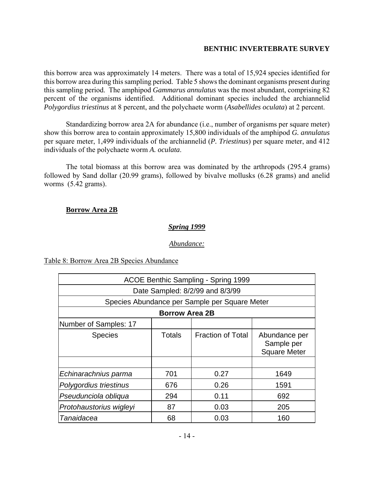this borrow area was approximately 14 meters. There was a total of 15,924 species identified for this borrow area during this sampling period. Table 5 shows the dominant organisms present during this sampling period. The amphipod *Gammarus annulatus* was the most abundant, comprising 82 percent of the organisms identified. Additional dominant species included the archiannelid *Polygordius triestinus* at 8 percent, and the polychaete worm (*Asabellides oculata*) at 2 percent.

Standardizing borrow area 2A for abundance (i.e., number of organisms per square meter) show this borrow area to contain approximately 15,800 individuals of the amphipod *G. annulatus* per square meter, 1,499 individuals of the archiannelid (*P. Triestinus*) per square meter, and 412 individuals of the polychaete worm *A. oculata*.

The total biomass at this borrow area was dominated by the arthropods (295.4 grams) followed by Sand dollar (20.99 grams), followed by bivalve mollusks (6.28 grams) and anelid worms (5.42 grams).

#### **Borrow Area 2B**

## *Spring 1999*

*Abundance:*

#### Table 8: Borrow Area 2B Species Abundance

| <b>ACOE Benthic Sampling - Spring 1999</b> |                                               |                          |                                                    |  |  |  |  |  |
|--------------------------------------------|-----------------------------------------------|--------------------------|----------------------------------------------------|--|--|--|--|--|
| Date Sampled: 8/2/99 and 8/3/99            |                                               |                          |                                                    |  |  |  |  |  |
|                                            | Species Abundance per Sample per Square Meter |                          |                                                    |  |  |  |  |  |
| <b>Borrow Area 2B</b>                      |                                               |                          |                                                    |  |  |  |  |  |
| Number of Samples: 17                      |                                               |                          |                                                    |  |  |  |  |  |
| <b>Species</b>                             | Totals                                        | <b>Fraction of Total</b> | Abundance per<br>Sample per<br><b>Square Meter</b> |  |  |  |  |  |
|                                            |                                               |                          |                                                    |  |  |  |  |  |
| Echinarachnius parma                       | 701                                           | 0.27                     | 1649                                               |  |  |  |  |  |
| Polygordius triestinus                     | 676                                           | 0.26                     | 1591                                               |  |  |  |  |  |
| Pseudunciola obliqua                       | 294                                           | 0.11                     | 692                                                |  |  |  |  |  |
| Protohaustorius wigleyi                    | 87                                            | 0.03                     | 205                                                |  |  |  |  |  |
| Tanaidacea                                 | 68                                            | 0.03                     | 160                                                |  |  |  |  |  |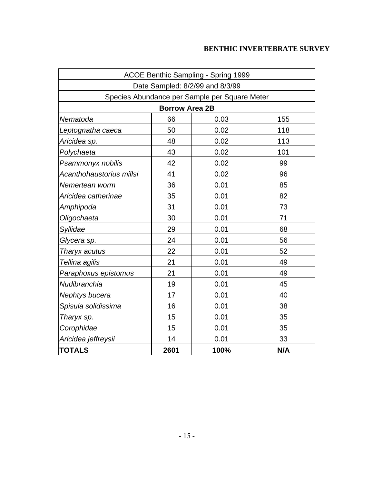| ACOE Benthic Sampling - Spring 1999           |                                 |      |     |  |  |  |  |  |
|-----------------------------------------------|---------------------------------|------|-----|--|--|--|--|--|
|                                               | Date Sampled: 8/2/99 and 8/3/99 |      |     |  |  |  |  |  |
| Species Abundance per Sample per Square Meter |                                 |      |     |  |  |  |  |  |
|                                               | <b>Borrow Area 2B</b>           |      |     |  |  |  |  |  |
| Nematoda                                      | 66                              | 0.03 | 155 |  |  |  |  |  |
| Leptognatha caeca                             | 50                              | 0.02 | 118 |  |  |  |  |  |
| Aricidea sp.                                  | 48                              | 0.02 | 113 |  |  |  |  |  |
| Polychaeta                                    | 43                              | 0.02 | 101 |  |  |  |  |  |
| Psammonyx nobilis                             | 42                              | 0.02 | 99  |  |  |  |  |  |
| Acanthohaustorius millsi                      | 41                              | 0.02 | 96  |  |  |  |  |  |
| Nemertean worm                                | 36                              | 0.01 | 85  |  |  |  |  |  |
| Aricidea catherinae                           | 35                              | 0.01 | 82  |  |  |  |  |  |
| Amphipoda                                     | 31                              | 0.01 | 73  |  |  |  |  |  |
| Oligochaeta                                   | 30                              | 0.01 | 71  |  |  |  |  |  |
| Syllidae                                      | 29                              | 0.01 | 68  |  |  |  |  |  |
| Glycera sp.                                   | 24                              | 0.01 | 56  |  |  |  |  |  |
| Tharyx acutus                                 | 22                              | 0.01 | 52  |  |  |  |  |  |
| Tellina agilis                                | 21                              | 0.01 | 49  |  |  |  |  |  |
| Paraphoxus epistomus                          | 21                              | 0.01 | 49  |  |  |  |  |  |
| Nudibranchia                                  | 19                              | 0.01 | 45  |  |  |  |  |  |
| Nephtys bucera                                | 17                              | 0.01 | 40  |  |  |  |  |  |
| Spisula solidissima                           | 16                              | 0.01 | 38  |  |  |  |  |  |
| Tharyx sp.                                    | 15                              | 0.01 | 35  |  |  |  |  |  |
| Corophidae                                    | 15                              | 0.01 | 35  |  |  |  |  |  |
| Aricidea jeffreysii                           | 14                              | 0.01 | 33  |  |  |  |  |  |
| <b>TOTALS</b><br>2601<br>N/A<br>100%          |                                 |      |     |  |  |  |  |  |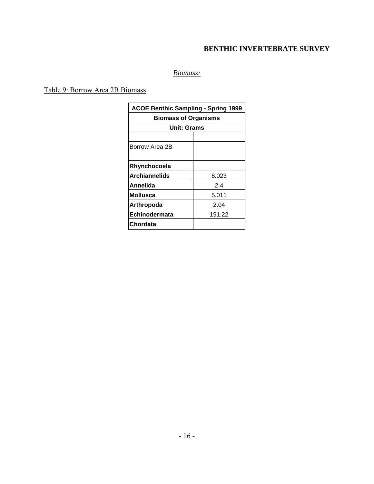# *Biomass:*

## Table 9: Borrow Area 2B Biomass

| <b>ACOE Benthic Sampling - Spring 1999</b> |        |  |  |  |
|--------------------------------------------|--------|--|--|--|
| <b>Biomass of Organisms</b>                |        |  |  |  |
| Unit: Grams                                |        |  |  |  |
|                                            |        |  |  |  |
| Borrow Area 2B                             |        |  |  |  |
|                                            |        |  |  |  |
| Rhynchocoela                               |        |  |  |  |
| <b>Archiannelids</b><br>8.023              |        |  |  |  |
| 24<br>Annelida                             |        |  |  |  |
| <b>Mollusca</b>                            | 5.011  |  |  |  |
| Arthropoda                                 | 2.04   |  |  |  |
| Echinodermata                              | 191.22 |  |  |  |
| <b>Chordata</b>                            |        |  |  |  |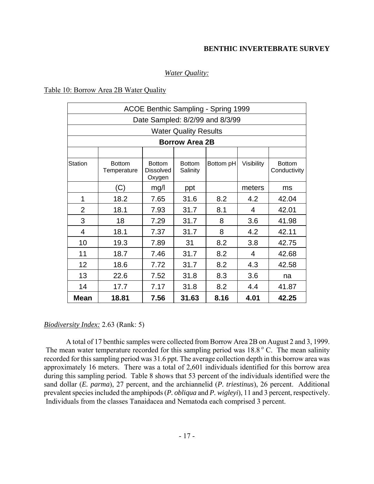## *Water Quality:*

#### Table 10: Borrow Area 2B Water Quality

| ACOE Benthic Sampling - Spring 1999 |                              |                                             |                           |           |            |                               |  |  |  |
|-------------------------------------|------------------------------|---------------------------------------------|---------------------------|-----------|------------|-------------------------------|--|--|--|
| Date Sampled: 8/2/99 and 8/3/99     |                              |                                             |                           |           |            |                               |  |  |  |
|                                     | <b>Water Quality Results</b> |                                             |                           |           |            |                               |  |  |  |
|                                     | <b>Borrow Area 2B</b>        |                                             |                           |           |            |                               |  |  |  |
|                                     |                              |                                             |                           |           |            |                               |  |  |  |
| <b>Station</b>                      | <b>Bottom</b><br>Temperature | <b>Bottom</b><br><b>Dissolved</b><br>Oxygen | <b>Bottom</b><br>Salinity | Bottom pH | Visibility | <b>Bottom</b><br>Conductivity |  |  |  |
|                                     | (C)                          | mg/l                                        | ppt                       |           | meters     | ms                            |  |  |  |
| 1                                   | 18.2                         | 7.65                                        | 31.6                      | 8.2       | 4.2        | 42.04                         |  |  |  |
| $\overline{2}$                      | 18.1                         | 7.93                                        | 31.7                      | 8.1       | 4          | 42.01                         |  |  |  |
| 3                                   | 18                           | 7.29                                        | 31.7                      | 8         | 3.6        | 41.98                         |  |  |  |
| $\overline{4}$                      | 18.1                         | 7.37                                        | 31.7                      | 8         | 4.2        | 42.11                         |  |  |  |
| 10                                  | 19.3                         | 7.89                                        | 31                        | 8.2       | 3.8        | 42.75                         |  |  |  |
| 11                                  | 18.7                         | 7.46                                        | 31.7                      | 8.2       | 4          | 42.68                         |  |  |  |
| 12                                  | 18.6                         | 7.72                                        | 31.7                      | 8.2       | 4.3        | 42.58                         |  |  |  |
| 13                                  | 22.6                         | 7.52                                        | 31.8                      | 8.3       | 3.6        | na                            |  |  |  |
| 14                                  | 17.7                         | 7.17                                        | 31.8                      | 8.2       | 4.4        | 41.87                         |  |  |  |
| <b>Mean</b>                         | 18.81                        | 7.56                                        | 31.63                     | 8.16      | 4.01       | 42.25                         |  |  |  |

#### *Biodiversity Index:* 2.63 (Rank: 5)

A total of 17 benthic samples were collected from Borrow Area 2B on August 2 and 3, 1999. The mean water temperature recorded for this sampling period was  $18.8\degree$  C. The mean salinity recorded for this sampling period was 31.6 ppt. The average collection depth in this borrow area was approximately 16 meters. There was a total of 2,601 individuals identified for this borrow area during this sampling period. Table 8 shows that 53 percent of the individuals identified were the sand dollar (*E. parma*), 27 percent, and the archiannelid (*P. triestinus*), 26 percent. Additional prevalent species included the amphipods (*P. obliqua* and *P. wigleyi*), 11 and 3 percent, respectively. Individuals from the classes Tanaidacea and Nematoda each comprised 3 percent.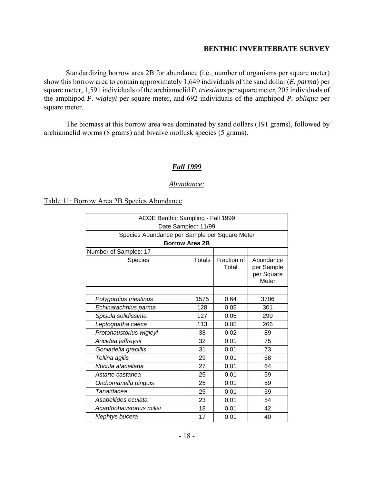Standardizing borrow area 2B for abundance (i.e., number of organisms per square meter) show this borrow area to contain approximately 1,649 individuals of the sand dollar (*E. parma*) per square meter, 1,591 individuals of the archiannelid *P. triestinus* per square meter, 205 individuals of the amphipod *P. wigleyi* per square meter, and 692 individuals of the amphipod *P. obliqua* per square meter.

The biomass at this borrow area was dominated by sand dollars (191 grams), followed by archiannelid worms (8 grams) and bivalve mollusk species (5 grams).

#### *Fall 1999*

#### *Abundance:*

Table 11: Borrow Area 2B Species Abundance

| ACOE Benthic Sampling - Fall 1999              |               |                      |                                                |  |  |  |  |  |
|------------------------------------------------|---------------|----------------------|------------------------------------------------|--|--|--|--|--|
| Date Sampled: 11/99                            |               |                      |                                                |  |  |  |  |  |
| Species Abundance per Sample per Square Meter  |               |                      |                                                |  |  |  |  |  |
| <b>Borrow Area 2B</b>                          |               |                      |                                                |  |  |  |  |  |
| Number of Samples: 17                          |               |                      |                                                |  |  |  |  |  |
| Species                                        | <b>Totals</b> | Fraction of<br>Total | Abundance<br>per Sample<br>per Square<br>Meter |  |  |  |  |  |
|                                                |               |                      |                                                |  |  |  |  |  |
| 1575<br>0.64<br>3706<br>Polygordius triestinus |               |                      |                                                |  |  |  |  |  |
| 128<br>0.05<br>301<br>Echinarachnius parma     |               |                      |                                                |  |  |  |  |  |
| Spisula solidissima                            | 127           | 0.05                 | 299                                            |  |  |  |  |  |
| Leptognatha caeca                              | 113           | 0.05                 | 266                                            |  |  |  |  |  |
| Protohaustorius wigleyi                        | 38            | 0.02                 | 89                                             |  |  |  |  |  |
| Aricidea jeffreysii                            | 32            | 0.01                 | 75                                             |  |  |  |  |  |
| Goniadella gracillis                           | 31            | 0.01                 | 73                                             |  |  |  |  |  |
| Tellina agilis                                 | 29            | 0.01                 | 68                                             |  |  |  |  |  |
| Nucula atacellana                              | 27            | 0.01                 | 64                                             |  |  |  |  |  |
| Astarte castanea                               | 25            | 0.01                 | 59                                             |  |  |  |  |  |
| Orchomanella pinguis                           | 25            | 0.01                 | 59                                             |  |  |  |  |  |
| Tanaidacea                                     | 25            | 0.01                 | 59                                             |  |  |  |  |  |
| Asabellides oculata                            | 23            | 0.01                 | 54                                             |  |  |  |  |  |
| Acanthohaustorius millsi                       | 18            | 0.01                 | 42                                             |  |  |  |  |  |
| Nephtys bucera                                 | 17            | 0.01                 | 40                                             |  |  |  |  |  |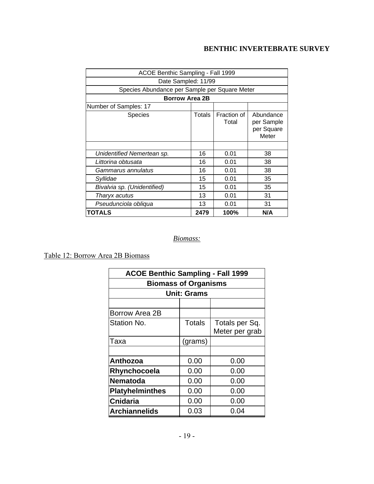| ACOE Benthic Sampling - Fall 1999             |        |                      |                                                |  |  |  |
|-----------------------------------------------|--------|----------------------|------------------------------------------------|--|--|--|
| Date Sampled: 11/99                           |        |                      |                                                |  |  |  |
| Species Abundance per Sample per Square Meter |        |                      |                                                |  |  |  |
| <b>Borrow Area 2B</b>                         |        |                      |                                                |  |  |  |
| Number of Samples: 17                         |        |                      |                                                |  |  |  |
| <b>Species</b>                                | Totals | Fraction of<br>Total | Abundance<br>per Sample<br>per Square<br>Meter |  |  |  |
|                                               |        |                      |                                                |  |  |  |
| Unidentified Nemertean sp.                    | 16     | 0.01                 | 38                                             |  |  |  |
| Littorina obtusata                            | 16     | 0.01                 | 38                                             |  |  |  |
| Gammarus annulatus                            | 16     | 0.01                 | 38                                             |  |  |  |
| Syllidae                                      | 15     | 0.01                 | 35                                             |  |  |  |
| Bivalvia sp. (Unidentified)                   | 15     | 0.01                 | 35                                             |  |  |  |
| Tharyx acutus                                 | 13     | 0.01                 | 31                                             |  |  |  |
| Pseudunciola obliqua                          | 13     | 0.01                 | 31                                             |  |  |  |
| TOTALS                                        | 2479   | 100%                 | N/A                                            |  |  |  |

# *Biomass:*

Table 12: Borrow Area 2B Biomass

| <b>ACOE Benthic Sampling - Fall 1999</b> |               |                |  |  |  |  |
|------------------------------------------|---------------|----------------|--|--|--|--|
| <b>Biomass of Organisms</b>              |               |                |  |  |  |  |
| <b>Unit: Grams</b>                       |               |                |  |  |  |  |
|                                          |               |                |  |  |  |  |
| <b>Borrow Area 2B</b>                    |               |                |  |  |  |  |
| Station No.                              | <b>Totals</b> | Totals per Sq. |  |  |  |  |
|                                          |               | Meter per grab |  |  |  |  |
| Taxa                                     | (grams)       |                |  |  |  |  |
|                                          |               |                |  |  |  |  |
| Anthozoa                                 | 0.00          | 0.00           |  |  |  |  |
| Rhynchocoela                             | 0.00          | 0.00           |  |  |  |  |
| <b>Nematoda</b>                          | 0.00          | 0.00           |  |  |  |  |
| <b>Platyhelminthes</b>                   | 0.00          | 0.00           |  |  |  |  |
| <b>Cnidaria</b>                          | 0.00          | 0.00           |  |  |  |  |
| <b>Archiannelids</b>                     | 0.03          | 0.04           |  |  |  |  |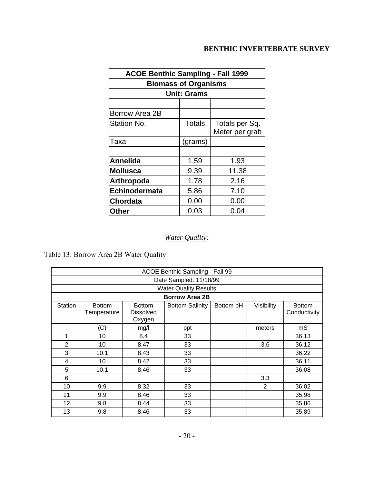| <b>ACOE Benthic Sampling - Fall 1999</b> |                    |                |  |  |  |  |  |
|------------------------------------------|--------------------|----------------|--|--|--|--|--|
| <b>Biomass of Organisms</b>              |                    |                |  |  |  |  |  |
|                                          | <b>Unit: Grams</b> |                |  |  |  |  |  |
|                                          |                    |                |  |  |  |  |  |
| <b>Borrow Area 2B</b>                    |                    |                |  |  |  |  |  |
| Station No.                              | <b>Totals</b>      | Totals per Sq. |  |  |  |  |  |
|                                          |                    | Meter per grab |  |  |  |  |  |
| Таха                                     | (grams)            |                |  |  |  |  |  |
|                                          |                    |                |  |  |  |  |  |
| <b>Annelida</b>                          | 1.59               | 1.93           |  |  |  |  |  |
| <b>Mollusca</b>                          | 9.39               | 11.38          |  |  |  |  |  |
| Arthropoda                               | 1.78               | 2.16           |  |  |  |  |  |
| Echinodermata                            | 5.86               | 7.10           |  |  |  |  |  |
| <b>Chordata</b>                          | 0.00               | 0.00           |  |  |  |  |  |
| <b>Other</b>                             | 0.03               | 0.04           |  |  |  |  |  |

# *Water Quality:*

Table 13: Borrow Area 2B Water Quality

| ACOE Benthic Sampling - Fall 99 |                              |                                             |                              |           |            |                               |  |  |
|---------------------------------|------------------------------|---------------------------------------------|------------------------------|-----------|------------|-------------------------------|--|--|
| Date Sampled: 11/18/99          |                              |                                             |                              |           |            |                               |  |  |
|                                 |                              |                                             | <b>Water Quality Results</b> |           |            |                               |  |  |
|                                 |                              |                                             | <b>Borrow Area 2B</b>        |           |            |                               |  |  |
| Station                         | <b>Bottom</b><br>Temperature | <b>Bottom</b><br><b>Dissolved</b><br>Oxygen | <b>Bottom Salinity</b>       | Bottom pH | Visibility | <b>Bottom</b><br>Conductivity |  |  |
|                                 | (C)                          | mg/l                                        | ppt                          |           | meters     | mS                            |  |  |
| 1                               | 10                           | 8.4                                         | 33                           |           |            | 36.13                         |  |  |
| 2                               | 10                           | 8.47                                        | 33                           |           | 3.6        | 36.12                         |  |  |
| 3                               | 10.1                         | 8.43                                        | 33                           |           |            | 36.22                         |  |  |
| 4                               | 10                           | 8.42                                        | 33                           |           |            | 36.11                         |  |  |
| 5                               | 10.1                         | 8.46                                        | 33                           |           |            | 36.08                         |  |  |
| 6                               |                              |                                             |                              |           | 3.3        |                               |  |  |
| 10                              | 9.9                          | 8.32                                        | 33                           |           | 2          | 36.02                         |  |  |
| 11                              | 9.9                          | 8.46                                        | 33                           |           |            | 35.98                         |  |  |
| 12                              | 9.8                          | 8.44                                        | 33                           |           |            | 35.86                         |  |  |
| 13                              | 9.8                          | 8.46                                        | 33                           |           |            | 35.89                         |  |  |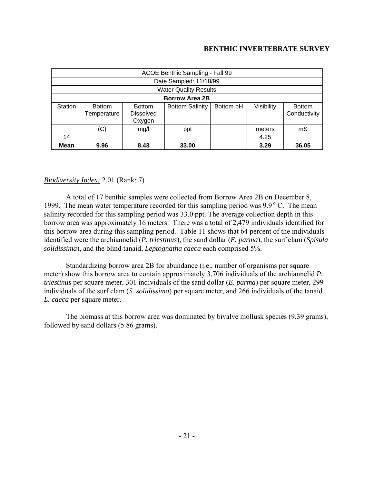|             | ACOE Benthic Sampling - Fall 99                                                                                                                                   |      |                              |  |      |       |  |  |  |
|-------------|-------------------------------------------------------------------------------------------------------------------------------------------------------------------|------|------------------------------|--|------|-------|--|--|--|
|             | Date Sampled: 11/18/99                                                                                                                                            |      |                              |  |      |       |  |  |  |
|             |                                                                                                                                                                   |      | <b>Water Quality Results</b> |  |      |       |  |  |  |
|             |                                                                                                                                                                   |      | <b>Borrow Area 2B</b>        |  |      |       |  |  |  |
| Station     | <b>Bottom Salinity</b><br>Visibility<br>Bottom pH<br><b>Bottom</b><br><b>Bottom</b><br><b>Bottom</b><br>Conductivity<br>Temperature<br><b>Dissolved</b><br>Oxygen |      |                              |  |      |       |  |  |  |
|             | (C)<br>mS<br>mg/l<br>meters<br>ppt                                                                                                                                |      |                              |  |      |       |  |  |  |
| 14          | 4.25                                                                                                                                                              |      |                              |  |      |       |  |  |  |
| <b>Mean</b> | 9.96                                                                                                                                                              | 8.43 | 33.00                        |  | 3.29 | 36.05 |  |  |  |

## *Biodiversity Index:* 2.01 (Rank: 7)

A total of 17 benthic samples were collected from Borrow Area 2B on December 8, 1999. The mean water temperature recorded for this sampling period was  $9.9^{\circ}$  C. The mean salinity recorded for this sampling period was 33.0 ppt. The average collection depth in this borrow area was approximately 16 meters. There was a total of 2,479 individuals identified for this borrow area during this sampling period. Table 11 shows that 64 percent of the individuals identified were the archiannelid (*P. triestinus*), the sand dollar (*E. parma*), the surf clam (*Spisula solidissima*), and the blind tanaid, *Leptognatha caeca* each comprised 5%.

Standardizing borrow area 2B for abundance (i.e., number of organisms per square meter) show this borrow area to contain approximately 3,706 individuals of the archiannelid *P. triestinus* per square meter, 301 individuals of the sand dollar (*E. parma*) per square meter, 299 individuals of the surf clam (*S. solidissima*) per square meter, and 266 individuals of the tanaid *L. caeca* per square meter.

The biomass at this borrow area was dominated by bivalve mollusk species (9.39 grams), followed by sand dollars (5.86 grams).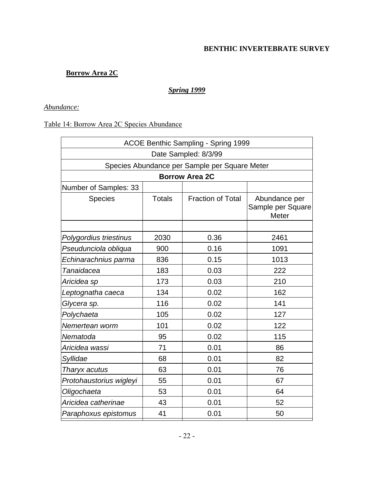# **Borrow Area 2C**

## *Spring 1999*

## *Abundance:*

## Table 14: Borrow Area 2C Species Abundance

| ACOE Benthic Sampling - Spring 1999 |                                               |                          |                                             |  |  |  |  |  |
|-------------------------------------|-----------------------------------------------|--------------------------|---------------------------------------------|--|--|--|--|--|
| Date Sampled: 8/3/99                |                                               |                          |                                             |  |  |  |  |  |
|                                     | Species Abundance per Sample per Square Meter |                          |                                             |  |  |  |  |  |
|                                     |                                               | <b>Borrow Area 2C</b>    |                                             |  |  |  |  |  |
| Number of Samples: 33               |                                               |                          |                                             |  |  |  |  |  |
| <b>Species</b>                      | <b>Totals</b>                                 | <b>Fraction of Total</b> | Abundance per<br>Sample per Square<br>Meter |  |  |  |  |  |
|                                     |                                               |                          |                                             |  |  |  |  |  |
| Polygordius triestinus              | 2030                                          | 0.36                     | 2461                                        |  |  |  |  |  |
| Pseudunciola obliqua                | 900                                           | 0.16                     | 1091                                        |  |  |  |  |  |
| Echinarachnius parma                | 836                                           | 0.15                     | 1013                                        |  |  |  |  |  |
| Tanaidacea                          | 183                                           | 0.03                     | 222                                         |  |  |  |  |  |
| Aricidea sp                         | 173                                           | 0.03                     | 210                                         |  |  |  |  |  |
| Leptognatha caeca                   | 134                                           | 0.02                     | 162                                         |  |  |  |  |  |
| Glycera sp.                         | 116                                           | 0.02                     | 141                                         |  |  |  |  |  |
| Polychaeta                          | 105                                           | 0.02                     | 127                                         |  |  |  |  |  |
| Nemertean worm                      | 101                                           | 0.02                     | 122                                         |  |  |  |  |  |
| Nematoda                            | 95                                            | 0.02                     | 115                                         |  |  |  |  |  |
| Aricidea wassi                      | 71                                            | 0.01                     | 86                                          |  |  |  |  |  |
| Syllidae                            | 68                                            | 0.01                     | 82                                          |  |  |  |  |  |
| Tharyx acutus                       | 63                                            | 0.01                     | 76                                          |  |  |  |  |  |
| Protohaustorius wigleyi             | 55                                            | 0.01                     | 67                                          |  |  |  |  |  |
| Oligochaeta                         | 53                                            | 0.01                     | 64                                          |  |  |  |  |  |
| Aricidea catherinae                 | 43                                            | 0.01                     | 52                                          |  |  |  |  |  |
| Paraphoxus epistomus                | 41                                            | 0.01                     | 50                                          |  |  |  |  |  |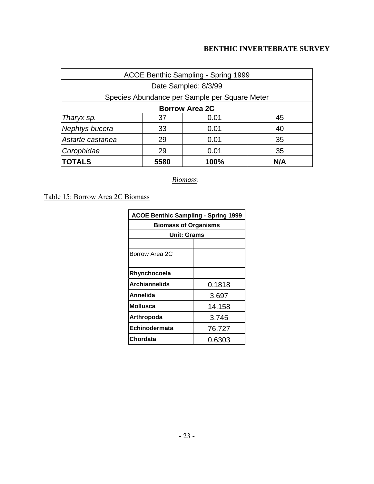| ACOE Benthic Sampling - Spring 1999  |                  |                                               |     |  |  |  |  |
|--------------------------------------|------------------|-----------------------------------------------|-----|--|--|--|--|
|                                      |                  | Date Sampled: 8/3/99                          |     |  |  |  |  |
|                                      |                  | Species Abundance per Sample per Square Meter |     |  |  |  |  |
| <b>Borrow Area 2C</b>                |                  |                                               |     |  |  |  |  |
| Tharyx sp.                           | 37<br>0.01<br>45 |                                               |     |  |  |  |  |
| Nephtys bucera<br>33<br>0.01<br>40   |                  |                                               |     |  |  |  |  |
| 29<br>Astarte castanea<br>35<br>0.01 |                  |                                               |     |  |  |  |  |
| Corophidae<br>29<br>0.01<br>35       |                  |                                               |     |  |  |  |  |
| <b>TOTALS</b>                        | 5580             | 100%                                          | N/A |  |  |  |  |

*Biomass*:

Table 15: Borrow Area 2C Biomass

| <b>ACOE Benthic Sampling - Spring 1999</b> |        |  |  |
|--------------------------------------------|--------|--|--|
| <b>Biomass of Organisms</b>                |        |  |  |
| <b>Unit: Grams</b>                         |        |  |  |
|                                            |        |  |  |
| Borrow Area 2C                             |        |  |  |
|                                            |        |  |  |
| Rhynchocoela                               |        |  |  |
| Archiannelids<br>0.1818                    |        |  |  |
| Annelida                                   | 3.697  |  |  |
| Mollusca                                   | 14.158 |  |  |
| Arthropoda<br>3.745                        |        |  |  |
| Echinodermata                              | 76.727 |  |  |
| Chordata                                   | 0.6303 |  |  |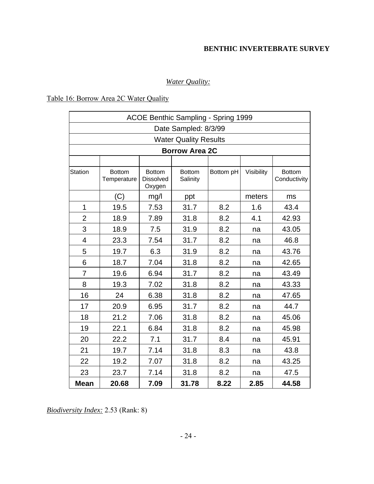# *Water Quality:*

## Table 16: Borrow Area 2C Water Quality

| ACOE Benthic Sampling - Spring 1999 |                              |                                             |                           |           |            |                               |  |  |  |
|-------------------------------------|------------------------------|---------------------------------------------|---------------------------|-----------|------------|-------------------------------|--|--|--|
| Date Sampled: 8/3/99                |                              |                                             |                           |           |            |                               |  |  |  |
|                                     | <b>Water Quality Results</b> |                                             |                           |           |            |                               |  |  |  |
|                                     |                              |                                             | <b>Borrow Area 2C</b>     |           |            |                               |  |  |  |
|                                     |                              |                                             |                           |           |            |                               |  |  |  |
| <b>Station</b>                      | <b>Bottom</b><br>Temperature | <b>Bottom</b><br><b>Dissolved</b><br>Oxygen | <b>Bottom</b><br>Salinity | Bottom pH | Visibility | <b>Bottom</b><br>Conductivity |  |  |  |
|                                     | (C)                          | mg/l                                        | ppt                       |           | meters     | ms                            |  |  |  |
| 1                                   | 19.5                         | 7.53                                        | 31.7                      | 8.2       | 1.6        | 43.4                          |  |  |  |
| $\overline{2}$                      | 18.9                         | 7.89                                        | 31.8                      | 8.2       | 4.1        | 42.93                         |  |  |  |
| 3                                   | 18.9                         | 7.5                                         | 31.9                      | 8.2       | na         | 43.05                         |  |  |  |
| $\overline{\mathcal{A}}$            | 23.3                         | 7.54                                        | 31.7                      | 8.2       | na         | 46.8                          |  |  |  |
| 5                                   | 19.7                         | 6.3                                         | 31.9                      | 8.2       | na         | 43.76                         |  |  |  |
| 6                                   | 18.7                         | 7.04                                        | 31.8                      | 8.2       | na         | 42.65                         |  |  |  |
| $\overline{7}$                      | 19.6                         | 6.94                                        | 31.7                      | 8.2       | na         | 43.49                         |  |  |  |
| 8                                   | 19.3                         | 7.02                                        | 31.8                      | 8.2       | na         | 43.33                         |  |  |  |
| 16                                  | 24                           | 6.38                                        | 31.8                      | 8.2       | na         | 47.65                         |  |  |  |
| 17                                  | 20.9                         | 6.95                                        | 31.7                      | 8.2       | na         | 44.7                          |  |  |  |
| 18                                  | 21.2                         | 7.06                                        | 31.8                      | 8.2       | na         | 45.06                         |  |  |  |
| 19                                  | 22.1                         | 6.84                                        | 31.8                      | 8.2       | na         | 45.98                         |  |  |  |
| 20                                  | 22.2                         | 7.1                                         | 31.7                      | 8.4       | na         | 45.91                         |  |  |  |
| 21                                  | 19.7                         | 7.14                                        | 31.8                      | 8.3       | na         | 43.8                          |  |  |  |
| 22                                  | 19.2                         | 7.07                                        | 31.8                      | 8.2       | na         | 43.25                         |  |  |  |
| 23                                  | 23.7                         | 7.14                                        | 31.8                      | 8.2       | na         | 47.5                          |  |  |  |
| <b>Mean</b>                         | 20.68                        | 7.09                                        | 31.78                     | 8.22      | 2.85       | 44.58                         |  |  |  |

*Biodiversity Index:* 2.53 (Rank: 8)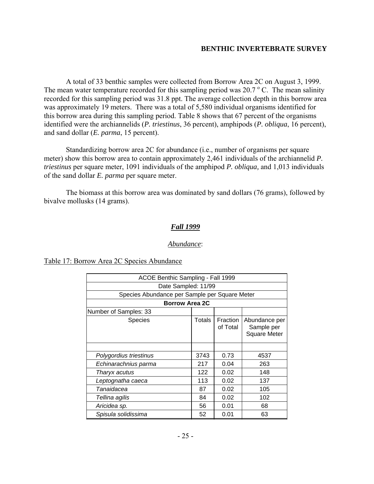A total of 33 benthic samples were collected from Borrow Area 2C on August 3, 1999. The mean water temperature recorded for this sampling period was  $20.7 \degree$  C. The mean salinity recorded for this sampling period was 31.8 ppt. The average collection depth in this borrow area was approximately 19 meters. There was a total of 5,580 individual organisms identified for this borrow area during this sampling period. Table 8 shows that 67 percent of the organisms identified were the archiannelids (*P. triestinus*, 36 percent), amphipods (*P. obliqua*, 16 percent), and sand dollar (*E. parma*, 15 percent).

Standardizing borrow area 2C for abundance (i.e., number of organisms per square meter) show this borrow area to contain approximately 2,461 individuals of the archiannelid *P. triestinus* per square meter, 1091 individuals of the amphipod *P. obliqua,* and 1,013 individuals of the sand dollar *E. parma* per square meter.

The biomass at this borrow area was dominated by sand dollars (76 grams), followed by bivalve mollusks (14 grams).

## *Fall 1999*

#### *Abundance*:

#### Table 17: Borrow Area 2C Species Abundance

| ACOE Benthic Sampling - Fall 1999             |        |                      |                                                    |  |  |  |
|-----------------------------------------------|--------|----------------------|----------------------------------------------------|--|--|--|
| Date Sampled: 11/99                           |        |                      |                                                    |  |  |  |
| Species Abundance per Sample per Square Meter |        |                      |                                                    |  |  |  |
| <b>Borrow Area 2C</b>                         |        |                      |                                                    |  |  |  |
| Number of Samples: 33                         |        |                      |                                                    |  |  |  |
| Species                                       | Totals | Fraction<br>of Total | Abundance per<br>Sample per<br><b>Square Meter</b> |  |  |  |
|                                               |        |                      |                                                    |  |  |  |
| Polygordius triestinus                        | 3743   | 0.73                 | 4537                                               |  |  |  |
| Echinarachnius parma                          | 217    | 0.04                 | 263                                                |  |  |  |
| Tharyx acutus                                 | 122    | 0.02                 | 148                                                |  |  |  |
| Leptognatha caeca                             | 113    | 0.02                 | 137                                                |  |  |  |
| Tanaidacea                                    | 87     | 0.02                 | 105                                                |  |  |  |
| Tellina agilis                                | 84     | 0.02                 | 102                                                |  |  |  |
| Aricidea sp.                                  | 56     | 0.01                 | 68                                                 |  |  |  |
| Spisula solidissima                           | 52     | 0.01                 | 63                                                 |  |  |  |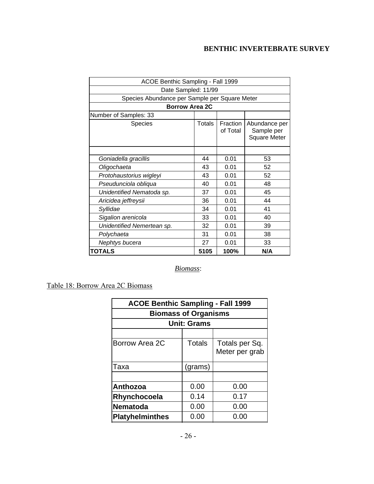| ACOE Benthic Sampling - Fall 1999             |        |                      |                                                    |  |  |  |  |
|-----------------------------------------------|--------|----------------------|----------------------------------------------------|--|--|--|--|
| Date Sampled: 11/99                           |        |                      |                                                    |  |  |  |  |
| Species Abundance per Sample per Square Meter |        |                      |                                                    |  |  |  |  |
| <b>Borrow Area 2C</b>                         |        |                      |                                                    |  |  |  |  |
| Number of Samples: 33                         |        |                      |                                                    |  |  |  |  |
| Species                                       | Totals | Fraction<br>of Total | Abundance per<br>Sample per<br><b>Square Meter</b> |  |  |  |  |
|                                               | 44     |                      |                                                    |  |  |  |  |
| Goniadella gracillis                          |        | 0.01                 | 53                                                 |  |  |  |  |
| Oligochaeta                                   | 43     | 0.01                 | 52                                                 |  |  |  |  |
| Protohaustorius wigleyi                       | 43     | 0.01                 | 52                                                 |  |  |  |  |
| Pseudunciola obliqua                          | 40     | 0.01                 | 48                                                 |  |  |  |  |
| Unidentified Nematoda sp.                     | 37     | 0.01                 | 45                                                 |  |  |  |  |
| Aricidea jeffreysii                           | 36     | 0.01                 | 44                                                 |  |  |  |  |
| Syllidae                                      | 34     | 0.01                 | 41                                                 |  |  |  |  |
| Sigalion arenicola                            | 33     | 0.01                 | 40                                                 |  |  |  |  |
| Unidentified Nemertean sp.                    | 32     | 0.01                 | 39                                                 |  |  |  |  |
| Polychaeta                                    | 31     | 0.01                 | 38                                                 |  |  |  |  |
| Nephtys bucera                                | 27     | 0.01                 | 33                                                 |  |  |  |  |
| <b>TOTALS</b>                                 | 5105   | 100%                 | N/A                                                |  |  |  |  |

# *Biomass*:

Table 18: Borrow Area 2C Biomass

| <b>ACOE Benthic Sampling - Fall 1999</b> |               |                                  |  |  |
|------------------------------------------|---------------|----------------------------------|--|--|
| <b>Biomass of Organisms</b>              |               |                                  |  |  |
| <b>Unit: Grams</b>                       |               |                                  |  |  |
|                                          |               |                                  |  |  |
| Borrow Area 2C                           | <b>Totals</b> | Totals per Sq.<br>Meter per grab |  |  |
| Taxa                                     | (grams)       |                                  |  |  |
|                                          |               |                                  |  |  |
| Anthozoa                                 | 0.00          | 0.00                             |  |  |
| Rhynchocoela                             | 0.14          | 0.17                             |  |  |
| <b>Nematoda</b>                          | 0.00          | 0.00                             |  |  |
| <b>Platyhelminthes</b>                   | 0.00          | 0.00                             |  |  |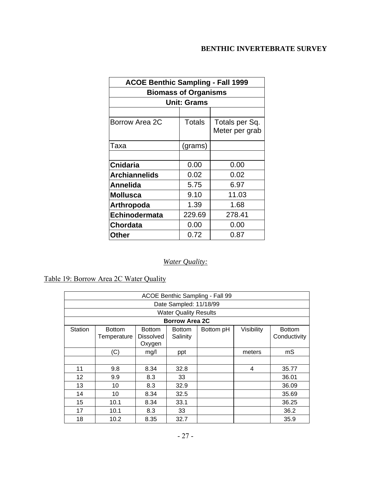| <b>ACOE Benthic Sampling - Fall 1999</b> |                             |                                  |  |  |
|------------------------------------------|-----------------------------|----------------------------------|--|--|
|                                          | <b>Biomass of Organisms</b> |                                  |  |  |
|                                          | <b>Unit: Grams</b>          |                                  |  |  |
|                                          |                             |                                  |  |  |
| Borrow Area 2C                           | <b>Totals</b>               | Totals per Sq.<br>Meter per grab |  |  |
| Taxa                                     | (grams)                     |                                  |  |  |
|                                          |                             |                                  |  |  |
| <b>Cnidaria</b>                          | 0.00                        | 0.00                             |  |  |
| <b>Archiannelids</b>                     | 0.02                        | 0.02                             |  |  |
| Annelida                                 | 5.75                        | 6.97                             |  |  |
| <b>Mollusca</b>                          | 9.10                        | 11.03                            |  |  |
| Arthropoda                               | 1.39                        | 1.68                             |  |  |
| <b>Echinodermata</b>                     | 229.69                      | 278.41                           |  |  |
| <b>Chordata</b>                          | 0.00                        | 0.00                             |  |  |
| Other                                    | 0.72                        | 0.87                             |  |  |

# *Water Quality:*

# Table 19: Borrow Area 2C Water Quality

| ACOE Benthic Sampling - Fall 99 |                        |                  |                              |           |            |               |  |
|---------------------------------|------------------------|------------------|------------------------------|-----------|------------|---------------|--|
|                                 | Date Sampled: 11/18/99 |                  |                              |           |            |               |  |
|                                 |                        |                  | <b>Water Quality Results</b> |           |            |               |  |
|                                 |                        |                  | <b>Borrow Area 2C</b>        |           |            |               |  |
| <b>Station</b>                  | <b>Bottom</b>          | <b>Bottom</b>    | <b>Bottom</b>                | Bottom pH | Visibility | <b>Bottom</b> |  |
|                                 | Temperature            | <b>Dissolved</b> | Salinity                     |           |            | Conductivity  |  |
|                                 |                        | Oxygen           |                              |           |            |               |  |
|                                 | (C)                    | mg/l             | ppt                          |           | meters     | mS            |  |
|                                 |                        |                  |                              |           |            |               |  |
| 11                              | 9.8                    | 8.34             | 32.8                         |           | 4          | 35.77         |  |
| 12                              | 9.9                    | 8.3              | 33                           |           |            | 36.01         |  |
| 13                              | 10                     | 8.3              | 32.9                         |           |            | 36.09         |  |
| 14                              | 10                     | 8.34             | 32.5                         |           |            | 35.69         |  |
| 15                              | 10.1                   | 8.34             | 33.1                         |           |            | 36.25         |  |
| 17                              | 10.1                   | 8.3              | 33                           |           |            | 36.2          |  |
| 18                              | 10.2                   | 8.35             | 32.7                         |           |            | 35.9          |  |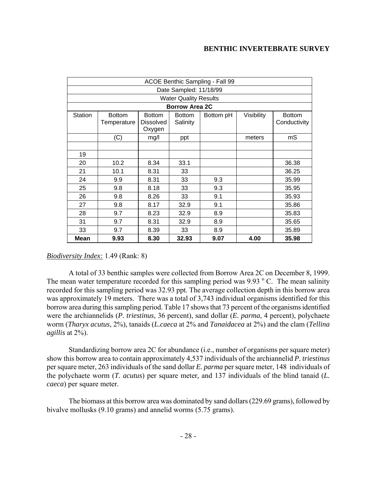|                | ACOE Benthic Sampling - Fall 99 |                  |                              |           |            |               |
|----------------|---------------------------------|------------------|------------------------------|-----------|------------|---------------|
|                |                                 |                  | Date Sampled: 11/18/99       |           |            |               |
|                |                                 |                  | <b>Water Quality Results</b> |           |            |               |
|                |                                 |                  | <b>Borrow Area 2C</b>        |           |            |               |
| <b>Station</b> | <b>Bottom</b>                   | <b>Bottom</b>    | <b>Bottom</b>                | Bottom pH | Visibility | <b>Bottom</b> |
|                | Temperature                     | <b>Dissolved</b> | Salinity                     |           |            | Conductivity  |
|                |                                 | Oxygen           |                              |           |            |               |
|                | (C)                             | mg/l             | ppt                          |           | meters     | mS            |
|                |                                 |                  |                              |           |            |               |
| 19             |                                 |                  |                              |           |            |               |
| 20             | 10.2                            | 8.34             | 33.1                         |           |            | 36.38         |
| 21             | 10.1                            | 8.31             | 33                           |           |            | 36.25         |
| 24             | 9.9                             | 8.31             | 33                           | 9.3       |            | 35.99         |
| 25             | 9.8                             | 8.18             | 33                           | 9.3       |            | 35.95         |
| 26             | 9.8                             | 8.26             | 33                           | 9.1       |            | 35.93         |
| 27             | 9.8                             | 8.17             | 32.9                         | 9.1       |            | 35.86         |
| 28             | 9.7                             | 8.23             | 32.9                         | 8.9       |            | 35.83         |
| 31             | 9.7                             | 8.31             | 32.9                         | 8.9       |            | 35.65         |
| 33             | 9.7                             | 8.39             | 33                           | 8.9       |            | 35.89         |
| <b>Mean</b>    | 9.93                            | 8.30             | 32.93                        | 9.07      | 4.00       | 35.98         |

*Biodiversity Index:* 1.49 (Rank: 8)

A total of 33 benthic samples were collected from Borrow Area 2C on December 8, 1999. The mean water temperature recorded for this sampling period was 9.93  $\degree$  C. The mean salinity recorded for this sampling period was 32.93 ppt. The average collection depth in this borrow area was approximately 19 meters. There was a total of 3,743 individual organisms identified for this borrow area during this sampling period. Table 17 shows that 73 percent of the organisms identified were the archiannelids (*P. triestinus*, 36 percent), sand dollar (*E. parma*, 4 percent), polychaete worm (*Tharyx acutus*, 2%), tanaids (*L.caeca* at 2% and *Tanaidacea* at 2%) and the clam (*Tellina agillis* at 2%).

Standardizing borrow area 2C for abundance (i.e., number of organisms per square meter) show this borrow area to contain approximately 4,537 individuals of the archiannelid *P. triestinus* per square meter, 263 individuals of the sand dollar *E. parma* per square meter, 148 individuals of the polychaete worm (*T. acutus*) per square meter*,* and 137 individuals of the blind tanaid (*L. caeca*) per square meter.

The biomass at this borrow area was dominated by sand dollars (229.69 grams), followed by bivalve mollusks (9.10 grams) and annelid worms (5.75 grams).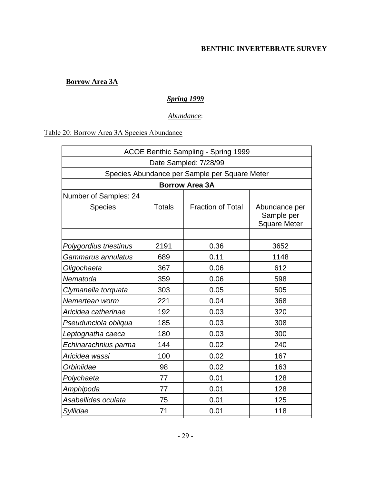# **Borrow Area 3A**

# *Spring 1999*

# *Abundance*:

# Table 20: Borrow Area 3A Species Abundance

| <b>ACOE Benthic Sampling - Spring 1999</b> |               |                                               |                                                    |  |  |  |  |
|--------------------------------------------|---------------|-----------------------------------------------|----------------------------------------------------|--|--|--|--|
| Date Sampled: 7/28/99                      |               |                                               |                                                    |  |  |  |  |
|                                            |               | Species Abundance per Sample per Square Meter |                                                    |  |  |  |  |
|                                            |               | <b>Borrow Area 3A</b>                         |                                                    |  |  |  |  |
| Number of Samples: 24                      |               |                                               |                                                    |  |  |  |  |
| <b>Species</b>                             | <b>Totals</b> | <b>Fraction of Total</b>                      | Abundance per<br>Sample per<br><b>Square Meter</b> |  |  |  |  |
|                                            |               |                                               |                                                    |  |  |  |  |
| Polygordius triestinus                     | 2191          | 0.36                                          | 3652                                               |  |  |  |  |
| Gammarus annulatus                         | 689           | 0.11                                          | 1148                                               |  |  |  |  |
| Oligochaeta                                | 367           | 0.06                                          | 612                                                |  |  |  |  |
| Nematoda                                   | 359           | 0.06                                          | 598                                                |  |  |  |  |
| Clymanella torquata                        | 303           | 0.05                                          | 505                                                |  |  |  |  |
| Nemertean worm                             | 221           | 0.04                                          | 368                                                |  |  |  |  |
| Aricidea catherinae                        | 192           | 0.03                                          | 320                                                |  |  |  |  |
| Pseudunciola obliqua                       | 185           | 0.03                                          | 308                                                |  |  |  |  |
| Leptognatha caeca                          | 180           | 0.03                                          | 300                                                |  |  |  |  |
| Echinarachnius parma                       | 144           | 0.02                                          | 240                                                |  |  |  |  |
| Aricidea wassi                             | 100           | 0.02                                          | 167                                                |  |  |  |  |
| Orbiniidae                                 | 98            | 0.02                                          | 163                                                |  |  |  |  |
| Polychaeta                                 | 77            | 0.01                                          | 128                                                |  |  |  |  |
| Amphipoda                                  | 77            | 0.01                                          | 128                                                |  |  |  |  |
| Asabellides oculata                        | 75            | 0.01                                          | 125                                                |  |  |  |  |
| Syllidae                                   | 71            | 0.01                                          | 118                                                |  |  |  |  |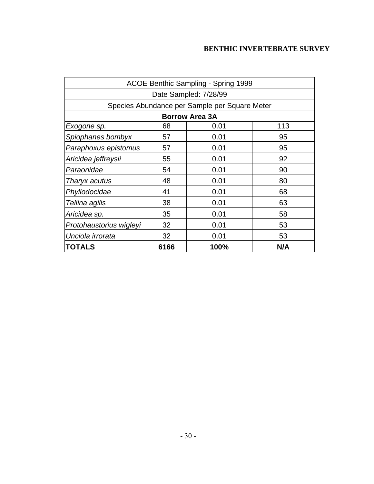| ACOE Benthic Sampling - Spring 1999 |                  |                                               |     |  |  |  |
|-------------------------------------|------------------|-----------------------------------------------|-----|--|--|--|
| Date Sampled: 7/28/99               |                  |                                               |     |  |  |  |
|                                     |                  | Species Abundance per Sample per Square Meter |     |  |  |  |
|                                     |                  | <b>Borrow Area 3A</b>                         |     |  |  |  |
| Exogone sp.                         | 68               | 0.01                                          | 113 |  |  |  |
| Spiophanes bombyx                   | 57               | 0.01                                          | 95  |  |  |  |
| Paraphoxus epistomus                | 57               | 0.01                                          | 95  |  |  |  |
| Aricidea jeffreysii                 | 55               | 0.01                                          | 92  |  |  |  |
| Paraonidae<br>54<br>0.01<br>90      |                  |                                               |     |  |  |  |
| 48<br>0.01<br>80<br>Tharyx acutus   |                  |                                               |     |  |  |  |
| Phyllodocidae                       | 41               | 0.01                                          | 68  |  |  |  |
| Tellina agilis                      | 38               | 0.01                                          | 63  |  |  |  |
| Aricidea sp.                        | 35               | 0.01                                          | 58  |  |  |  |
| Protohaustorius wigleyi             | 32               | 0.01                                          | 53  |  |  |  |
| Unciola irrorata                    | 32<br>0.01<br>53 |                                               |     |  |  |  |
| <b>TOTALS</b>                       | 6166             | 100%                                          | N/A |  |  |  |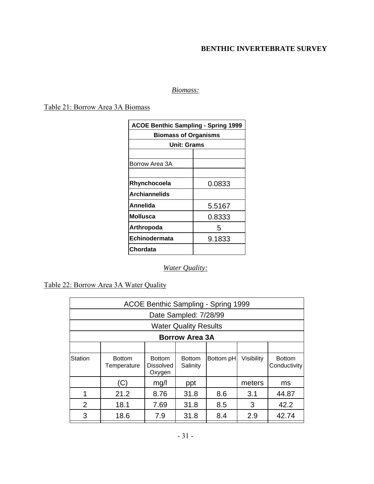## *Biomass:*

## Table 21: Borrow Area 3A Biomass

| <b>ACOE Benthic Sampling - Spring 1999</b> |        |  |  |  |
|--------------------------------------------|--------|--|--|--|
| <b>Biomass of Organisms</b>                |        |  |  |  |
| <b>Unit: Grams</b>                         |        |  |  |  |
|                                            |        |  |  |  |
| Borrow Area 3A                             |        |  |  |  |
|                                            |        |  |  |  |
| Rhynchocoela                               | 0.0833 |  |  |  |
| <b>Archiannelids</b>                       |        |  |  |  |
| Annelida                                   | 5.5167 |  |  |  |
| Mollusca                                   | 0.8333 |  |  |  |
| Arthropoda<br>5                            |        |  |  |  |
| <b>Echinodermata</b><br>9.1833             |        |  |  |  |
| Chordata                                   |        |  |  |  |

# *Water Quality:*

# Table 22: Borrow Area 3A Water Quality

|                                    | ACOE Benthic Sampling - Spring 1999      |                                             |                              |           |            |                               |  |
|------------------------------------|------------------------------------------|---------------------------------------------|------------------------------|-----------|------------|-------------------------------|--|
|                                    |                                          |                                             | Date Sampled: 7/28/99        |           |            |                               |  |
|                                    |                                          |                                             | <b>Water Quality Results</b> |           |            |                               |  |
|                                    | <b>Borrow Area 3A</b>                    |                                             |                              |           |            |                               |  |
|                                    |                                          |                                             |                              |           |            |                               |  |
| Station                            | <b>Bottom</b><br>Temperature             | <b>Bottom</b><br><b>Dissolved</b><br>Oxygen | <b>Bottom</b><br>Salinity    | Bottom pH | Visibility | <b>Bottom</b><br>Conductivity |  |
| (C)<br>mg/l<br>meters<br>ppt<br>ms |                                          |                                             |                              |           |            |                               |  |
| 1                                  | 21.2                                     | 8.76                                        | 31.8                         | 8.6       | 3.1        | 44.87                         |  |
| 2                                  | 8.5<br>3<br>42.2<br>18.1<br>7.69<br>31.8 |                                             |                              |           |            |                               |  |
| 3                                  | 18.6                                     | 7.9                                         | 31.8                         | 8.4       | 2.9        | 42.74                         |  |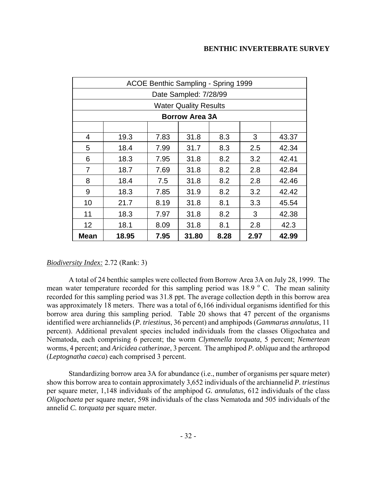|      | ACOE Benthic Sampling - Spring 1999 |      |                              |      |      |       |
|------|-------------------------------------|------|------------------------------|------|------|-------|
|      |                                     |      | Date Sampled: 7/28/99        |      |      |       |
|      |                                     |      | <b>Water Quality Results</b> |      |      |       |
|      |                                     |      | <b>Borrow Area 3A</b>        |      |      |       |
|      |                                     |      |                              |      |      |       |
| 4    | 19.3                                | 7.83 | 31.8                         | 8.3  | 3    | 43.37 |
| 5    | 18.4                                | 7.99 | 31.7                         | 8.3  | 2.5  | 42.34 |
| 6    | 18.3                                | 7.95 | 31.8                         | 8.2  | 3.2  | 42.41 |
| 7    | 8.2<br>7.69<br>31.8<br>2.8<br>18.7  |      |                              |      |      | 42.84 |
| 8    | 18.4                                | 7.5  | 31.8                         | 8.2  | 2.8  | 42.46 |
| 9    | 18.3                                | 7.85 | 31.9                         | 8.2  | 3.2  | 42.42 |
| 10   | 21.7                                | 8.19 | 31.8                         | 8.1  | 3.3  | 45.54 |
| 11   | 18.3                                | 7.97 | 31.8                         | 8.2  | 3    | 42.38 |
| 12   | 18.1                                | 8.09 | 31.8                         | 8.1  | 2.8  | 42.3  |
| Mean | 18.95                               | 7.95 | 31.80                        | 8.28 | 2.97 | 42.99 |

## *Biodiversity Index:* 2.72 (Rank: 3)

A total of 24 benthic samples were collected from Borrow Area 3A on July 28, 1999. The mean water temperature recorded for this sampling period was  $18.9\degree$  C. The mean salinity recorded for this sampling period was 31.8 ppt. The average collection depth in this borrow area was approximately 18 meters. There was a total of 6,166 individual organisms identified for this borrow area during this sampling period. Table 20 shows that 47 percent of the organisms identified were archiannelids (*P. triestinus*, 36 percent) and amphipods (*Gammarus annulatus*, 11 percent). Additional prevalent species included individuals from the classes Oligochatea and Nematoda, each comprising 6 percent; the worm *Clymenella torquata*, 5 percent; *Nemertean* worms, 4 percent; and *Aricidea catherinae*, 3 percent. The amphipod *P. obliqua* and the arthropod (*Leptognatha caeca*) each comprised 3 percent.

Standardizing borrow area 3A for abundance (i.e., number of organisms per square meter) show this borrow area to contain approximately 3,652 individuals of the archiannelid *P. triestinus* per square meter, 1,148 individuals of the amphipod *G. annulatus,* 612 individuals of the class *Oligochaeta* per square meter, 598 individuals of the class Nematoda and 505 individuals of the annelid *C. torquata* per square meter.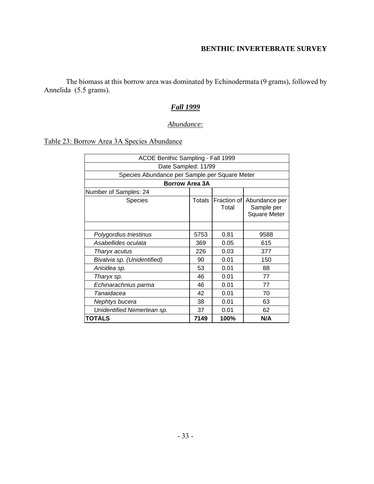The biomass at this borrow area was dominated by Echinodermata (9 grams), followed by Annelida (5.5 grams).

## *Fall 1999*

## *Abundance:*

## Table 23: Borrow Area 3A Species Abundance

| ACOE Benthic Sampling - Fall 1999             |        |                      |                                                    |  |  |  |
|-----------------------------------------------|--------|----------------------|----------------------------------------------------|--|--|--|
| Date Sampled: 11/99                           |        |                      |                                                    |  |  |  |
| Species Abundance per Sample per Square Meter |        |                      |                                                    |  |  |  |
| <b>Borrow Area 3A</b>                         |        |                      |                                                    |  |  |  |
| Number of Samples: 24                         |        |                      |                                                    |  |  |  |
| <b>Species</b>                                | Totals | Fraction of<br>Total | Abundance per<br>Sample per<br><b>Square Meter</b> |  |  |  |
|                                               |        |                      |                                                    |  |  |  |
| Polygordius triestinus                        | 5753   | 0.81                 | 9588                                               |  |  |  |
| Asabellides oculata                           | 369    | 0.05                 | 615                                                |  |  |  |
| Tharyx acutus                                 | 226    | 0.03                 | 377                                                |  |  |  |
| Bivalvia sp. (Unidentified)                   | 90     | 0.01                 | 150                                                |  |  |  |
| Aricidea sp.                                  | 53     | 0.01                 | 88                                                 |  |  |  |
| Tharyx sp.                                    | 46     | 0.01                 | 77                                                 |  |  |  |
| Echinarachnius parma                          | 46     | 0.01                 | 77                                                 |  |  |  |
| Tanaidacea                                    | 42     | 0.01                 | 70                                                 |  |  |  |
| Nephtys bucera                                | 38     | 0.01                 | 63                                                 |  |  |  |
| Unidentified Nemertean sp.                    | 37     | 0.01                 | 62                                                 |  |  |  |
| TOTALS                                        | 7149   | 100%                 | N/A                                                |  |  |  |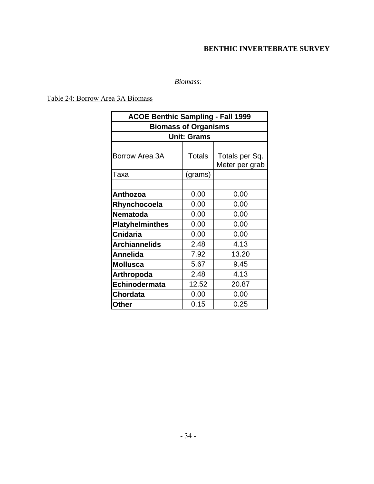## *Biomass:*

Table 24: Borrow Area 3A Biomass

| <b>ACOE Benthic Sampling - Fall 1999</b> |               |                |  |  |  |  |  |  |
|------------------------------------------|---------------|----------------|--|--|--|--|--|--|
| <b>Biomass of Organisms</b>              |               |                |  |  |  |  |  |  |
| <b>Unit: Grams</b>                       |               |                |  |  |  |  |  |  |
|                                          |               |                |  |  |  |  |  |  |
| Borrow Area 3A                           | <b>Totals</b> | Totals per Sq. |  |  |  |  |  |  |
|                                          |               | Meter per grab |  |  |  |  |  |  |
| Taxa                                     | (grams)       |                |  |  |  |  |  |  |
|                                          |               |                |  |  |  |  |  |  |
| Anthozoa                                 | 0.00          | 0.00           |  |  |  |  |  |  |
| Rhynchocoela                             | 0.00          | 0.00           |  |  |  |  |  |  |
| <b>Nematoda</b>                          | 0.00          | 0.00           |  |  |  |  |  |  |
| <b>Platyhelminthes</b>                   | 0.00          | 0.00           |  |  |  |  |  |  |
| <b>Cnidaria</b>                          | 0.00          | 0.00           |  |  |  |  |  |  |
| <b>Archiannelids</b>                     | 2.48          | 4.13           |  |  |  |  |  |  |
| Annelida                                 | 7.92          | 13.20          |  |  |  |  |  |  |
| <b>Mollusca</b>                          | 5.67          | 9.45           |  |  |  |  |  |  |
| <b>Arthropoda</b>                        | 2.48          | 4.13           |  |  |  |  |  |  |
| Echinodermata                            | 12.52         | 20.87          |  |  |  |  |  |  |
| <b>Chordata</b>                          | 0.00          | 0.00           |  |  |  |  |  |  |
| Other                                    | 0.15          | 0.25           |  |  |  |  |  |  |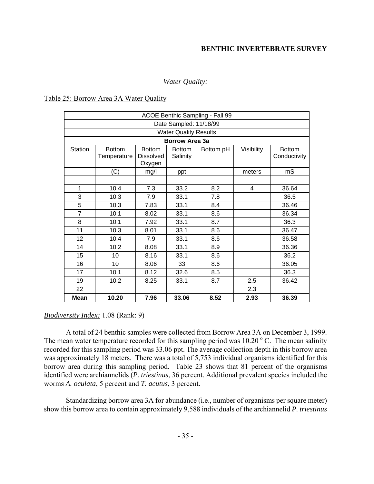### *Water Quality:*

#### Table 25: Borrow Area 3A Water Quality

| ACOE Benthic Sampling - Fall 99 |                              |                                             |                           |           |            |                               |  |  |
|---------------------------------|------------------------------|---------------------------------------------|---------------------------|-----------|------------|-------------------------------|--|--|
| Date Sampled: 11/18/99          |                              |                                             |                           |           |            |                               |  |  |
|                                 | <b>Water Quality Results</b> |                                             |                           |           |            |                               |  |  |
|                                 |                              |                                             | <b>Borrow Area 3a</b>     |           |            |                               |  |  |
| Station                         | <b>Bottom</b><br>Temperature | <b>Bottom</b><br><b>Dissolved</b><br>Oxygen | <b>Bottom</b><br>Salinity | Bottom pH | Visibility | <b>Bottom</b><br>Conductivity |  |  |
|                                 | (C)                          | mg/l                                        | ppt                       |           | meters     | mS                            |  |  |
|                                 |                              |                                             |                           |           |            |                               |  |  |
| 1                               | 10.4                         | 7.3                                         | 33.2                      | 8.2       | 4          | 36.64                         |  |  |
| 3                               | 10.3                         | 7.9                                         | 33.1                      | 7.8       |            | 36.5                          |  |  |
| 5                               | 10.3                         | 7.83                                        | 33.1                      | 8.4       |            | 36.46                         |  |  |
| $\overline{7}$                  | 10.1                         | 8.02                                        | 33.1                      | 8.6       |            | 36.34                         |  |  |
| 8                               | 10.1                         | 7.92                                        | 33.1                      | 8.7       |            | 36.3                          |  |  |
| 11                              | 10.3                         | 8.01                                        | 33.1                      | 8.6       |            | 36.47                         |  |  |
| 12                              | 10.4                         | 7.9                                         | 33.1                      | 8.6       |            | 36.58                         |  |  |
| 14                              | 10.2                         | 8.08                                        | 33.1                      | 8.9       |            | 36.36                         |  |  |
| 15                              | 10                           | 8.16                                        | 33.1                      | 8.6       |            | 36.2                          |  |  |
| 16                              | 10 <sup>1</sup>              | 8.06                                        | 33                        | 8.6       |            | 36.05                         |  |  |
| 17                              | 10.1                         | 8.12                                        | 32.6                      | 8.5       |            | 36.3                          |  |  |
| 19                              | 10.2                         | 8.25                                        | 33.1                      | 8.7       | 2.5        | 36.42                         |  |  |
| 22                              |                              |                                             |                           |           | 2.3        |                               |  |  |
| <b>Mean</b>                     | 10.20                        | 7.96                                        | 33.06                     | 8.52      | 2.93       | 36.39                         |  |  |

#### *Biodiversity Index:* 1.08 (Rank: 9)

A total of 24 benthic samples were collected from Borrow Area 3A on December 3, 1999. The mean water temperature recorded for this sampling period was  $10.20\degree$  C. The mean salinity recorded for this sampling period was 33.06 ppt. The average collection depth in this borrow area was approximately 18 meters. There was a total of 5,753 individual organisms identified for this borrow area during this sampling period. Table 23 shows that 81 percent of the organisms identified were archiannelids (*P. triestinus*, 36 percent. Additional prevalent species included the worms *A. oculata*, 5 percent and *T. acutus*, 3 percent.

Standardizing borrow area 3A for abundance (i.e., number of organisms per square meter) show this borrow area to contain approximately 9,588 individuals of the archiannelid *P. triestinus*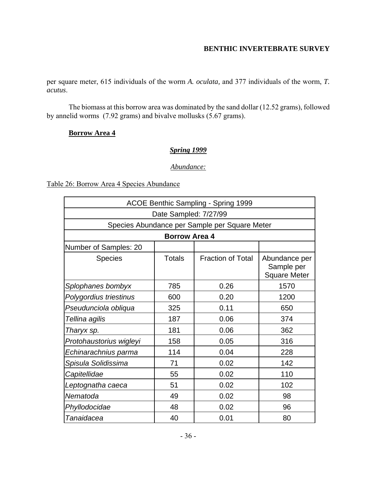per square meter, 615 individuals of the worm *A. oculata,* and 377 individuals of the worm, *T. acutus*.

The biomass at this borrow area was dominated by the sand dollar (12.52 grams), followed by annelid worms (7.92 grams) and bivalve mollusks (5.67 grams).

### **Borrow Area 4**

### *Spring 1999*

#### *Abundance:*

### Table 26: Borrow Area 4 Species Abundance

| <b>ACOE Benthic Sampling - Spring 1999</b>    |               |                          |                                                    |  |  |  |  |  |
|-----------------------------------------------|---------------|--------------------------|----------------------------------------------------|--|--|--|--|--|
| Date Sampled: 7/27/99                         |               |                          |                                                    |  |  |  |  |  |
| Species Abundance per Sample per Square Meter |               |                          |                                                    |  |  |  |  |  |
| <b>Borrow Area 4</b>                          |               |                          |                                                    |  |  |  |  |  |
| Number of Samples: 20                         |               |                          |                                                    |  |  |  |  |  |
| <b>Species</b>                                | <b>Totals</b> | <b>Fraction of Total</b> | Abundance per<br>Sample per<br><b>Square Meter</b> |  |  |  |  |  |
| Splophanes bombyx                             | 785           | 0.26                     | 1570                                               |  |  |  |  |  |
| Polygordius triestinus                        | 600           | 0.20                     | 1200                                               |  |  |  |  |  |
| Pseudunciola obliqua                          | 325           | 0.11                     | 650                                                |  |  |  |  |  |
| Tellina agilis                                | 187           | 0.06                     | 374                                                |  |  |  |  |  |
| Tharyx sp.                                    | 181           | 0.06                     | 362                                                |  |  |  |  |  |
| Protohaustorius wigleyi                       | 158           | 0.05                     | 316                                                |  |  |  |  |  |
| Echinarachnius parma                          | 114           | 0.04                     | 228                                                |  |  |  |  |  |
| Spisula Solidissima                           | 71            | 0.02                     | 142                                                |  |  |  |  |  |
| Capitellidae                                  | 55            | 0.02                     | 110                                                |  |  |  |  |  |
| Leptognatha caeca                             | 51            | 0.02                     | 102                                                |  |  |  |  |  |
| Nematoda                                      | 49            | 0.02                     | 98                                                 |  |  |  |  |  |
| Phyllodocidae                                 | 48            | 0.02                     | 96                                                 |  |  |  |  |  |
| Tanaidacea                                    | 40            | 0.01                     | 80                                                 |  |  |  |  |  |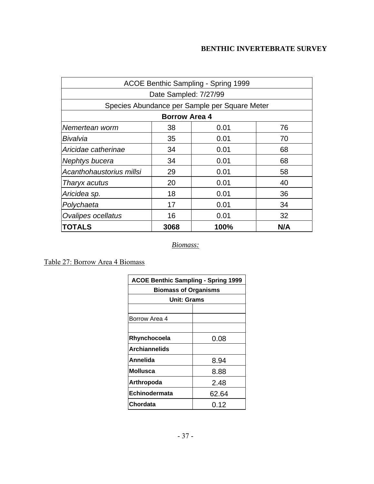| ACOE Benthic Sampling - Spring 1999           |                       |      |     |  |  |  |  |  |
|-----------------------------------------------|-----------------------|------|-----|--|--|--|--|--|
|                                               | Date Sampled: 7/27/99 |      |     |  |  |  |  |  |
| Species Abundance per Sample per Square Meter |                       |      |     |  |  |  |  |  |
|                                               | <b>Borrow Area 4</b>  |      |     |  |  |  |  |  |
| Nemertean worm                                | 38                    | 0.01 | 76  |  |  |  |  |  |
| Bivalvia                                      | 35                    | 0.01 | 70  |  |  |  |  |  |
| Aricidae catherinae                           | 34                    | 0.01 | 68  |  |  |  |  |  |
| 34<br>0.01<br>68<br>Nephtys bucera            |                       |      |     |  |  |  |  |  |
| 29<br>Acanthohaustorius millsi<br>0.01<br>58  |                       |      |     |  |  |  |  |  |
| Tharyx acutus                                 | 20                    | 0.01 | 40  |  |  |  |  |  |
| Aricidea sp.                                  | 18                    | 0.01 | 36  |  |  |  |  |  |
| Polychaeta                                    | 17<br>0.01<br>34      |      |     |  |  |  |  |  |
| <b>Ovalipes ocellatus</b>                     | 16<br>0.01<br>32      |      |     |  |  |  |  |  |
| <b>TOTALS</b>                                 | 3068                  | 100% | N/A |  |  |  |  |  |

*Biomass:*

Table 27: Borrow Area 4 Biomass

| <b>ACOE Benthic Sampling - Spring 1999</b> |       |  |  |  |  |
|--------------------------------------------|-------|--|--|--|--|
| <b>Biomass of Organisms</b>                |       |  |  |  |  |
| <b>Unit: Grams</b>                         |       |  |  |  |  |
|                                            |       |  |  |  |  |
| Borrow Area 4                              |       |  |  |  |  |
|                                            |       |  |  |  |  |
| Rhynchocoela<br>0.08                       |       |  |  |  |  |
| <b>Archiannelids</b>                       |       |  |  |  |  |
| Annelida<br>8.94                           |       |  |  |  |  |
| <b>Mollusca</b>                            | 8.88  |  |  |  |  |
| Arthropoda                                 | 2.48  |  |  |  |  |
| Echinodermata                              | 62.64 |  |  |  |  |
| Chordata                                   | 0.12  |  |  |  |  |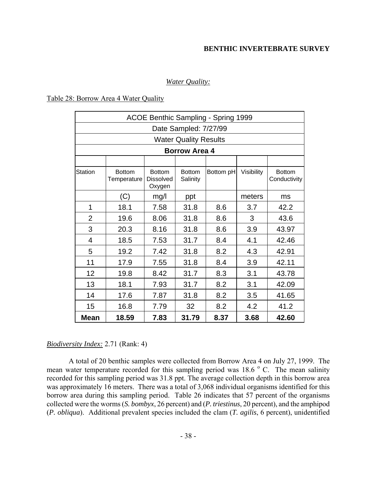#### *Water Quality:*

#### Table 28: Borrow Area 4 Water Quality

| ACOE Benthic Sampling - Spring 1999 |                              |                                             |                              |           |            |                               |  |
|-------------------------------------|------------------------------|---------------------------------------------|------------------------------|-----------|------------|-------------------------------|--|
|                                     | Date Sampled: 7/27/99        |                                             |                              |           |            |                               |  |
|                                     |                              |                                             | <b>Water Quality Results</b> |           |            |                               |  |
|                                     |                              |                                             | <b>Borrow Area 4</b>         |           |            |                               |  |
|                                     |                              |                                             |                              |           |            |                               |  |
| Station                             | <b>Bottom</b><br>Temperature | <b>Bottom</b><br><b>Dissolved</b><br>Oxygen | <b>Bottom</b><br>Salinity    | Bottom pH | Visibility | <b>Bottom</b><br>Conductivity |  |
|                                     | (C)                          | mg/l                                        | ppt                          |           | meters     | ms                            |  |
| 1                                   | 18.1                         | 7.58                                        | 31.8                         | 8.6       | 3.7        | 42.2                          |  |
| $\overline{2}$                      | 19.6                         | 8.06                                        | 31.8                         | 8.6       | 3          | 43.6                          |  |
| 3                                   | 20.3                         | 8.16                                        | 31.8                         | 8.6       | 3.9        | 43.97                         |  |
| $\overline{4}$                      | 18.5                         | 7.53                                        | 31.7                         | 8.4       | 4.1        | 42.46                         |  |
| 5                                   | 19.2                         | 7.42                                        | 31.8                         | 8.2       | 4.3        | 42.91                         |  |
| 11                                  | 17.9                         | 7.55                                        | 31.8                         | 8.4       | 3.9        | 42.11                         |  |
| 12                                  | 19.8                         | 8.42                                        | 31.7                         | 8.3       | 3.1        | 43.78                         |  |
| 13                                  | 18.1                         | 7.93                                        | 31.7                         | 8.2       | 3.1        | 42.09                         |  |
| 14                                  | 17.6                         | 7.87                                        | 31.8                         | 8.2       | 3.5        | 41.65                         |  |
| 15                                  | 16.8                         | 7.79                                        | 32                           | 8.2       | 4.2        | 41.2                          |  |
| <b>Mean</b>                         | 18.59                        | 7.83                                        | 31.79                        | 8.37      | 3.68       | 42.60                         |  |

#### *Biodiversity Index:* 2.71 (Rank: 4)

A total of 20 benthic samples were collected from Borrow Area 4 on July 27, 1999. The mean water temperature recorded for this sampling period was  $18.6\degree$  C. The mean salinity recorded for this sampling period was 31.8 ppt. The average collection depth in this borrow area was approximately 16 meters. There was a total of 3,068 individual organisms identified for this borrow area during this sampling period. Table 26 indicates that 57 percent of the organisms collected were the worms (*S. bombyx*, 26 percent) and (*P. triestinus*, 20 percent), and the amphipod (*P. obliqua*). Additional prevalent species included the clam (*T. agilis*, 6 percent), unidentified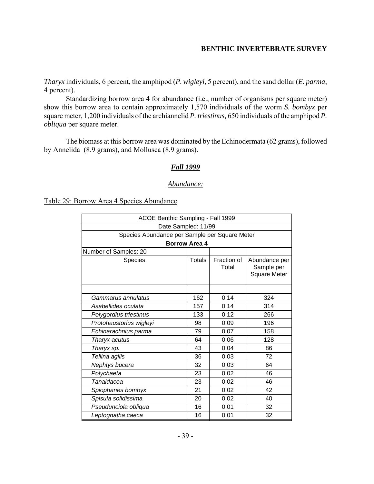*Tharyx* individuals, 6 percent, the amphipod (*P. wigleyi*, 5 percent), and the sand dollar (*E. parma*, 4 percent).

Standardizing borrow area 4 for abundance (i.e., number of organisms per square meter) show this borrow area to contain approximately 1,570 individuals of the worm *S. bombyx* per square meter, 1,200 individuals of the archiannelid *P. triestinus,* 650 individuals of the amphipod *P. obliqua* per square meter.

The biomass at this borrow area was dominated by the Echinodermata (62 grams), followed by Annelida (8.9 grams), and Mollusca (8.9 grams).

#### *Fall 1999*

#### *Abundance:*

Table 29: Borrow Area 4 Species Abundance

| ACOE Benthic Sampling - Fall 1999             |               |                      |                                                    |  |  |  |  |  |
|-----------------------------------------------|---------------|----------------------|----------------------------------------------------|--|--|--|--|--|
| Date Sampled: 11/99                           |               |                      |                                                    |  |  |  |  |  |
| Species Abundance per Sample per Square Meter |               |                      |                                                    |  |  |  |  |  |
| <b>Borrow Area 4</b>                          |               |                      |                                                    |  |  |  |  |  |
| Number of Samples: 20                         |               |                      |                                                    |  |  |  |  |  |
| Species                                       | <b>Totals</b> | Fraction of<br>Total | Abundance per<br>Sample per<br><b>Square Meter</b> |  |  |  |  |  |
|                                               |               |                      |                                                    |  |  |  |  |  |
| Gammarus annulatus                            | 162           | 0.14                 | 324                                                |  |  |  |  |  |
| Asabellides oculata<br>0.14<br>157<br>314     |               |                      |                                                    |  |  |  |  |  |
| Polygordius triestinus                        | 133           | 0.12                 | 266                                                |  |  |  |  |  |
| Protohaustorius wigleyi                       | 98            | 0.09                 | 196                                                |  |  |  |  |  |
| Echinarachnius parma                          | 79            | 0.07                 | 158                                                |  |  |  |  |  |
| Tharyx acutus                                 | 64            | 0.06                 | 128                                                |  |  |  |  |  |
| Tharyx sp.                                    | 43            | 0.04                 | 86                                                 |  |  |  |  |  |
| Tellina agilis                                | 36            | 0.03                 | 72                                                 |  |  |  |  |  |
| Nephtys bucera                                | 32            | 0.03                 | 64                                                 |  |  |  |  |  |
| Polychaeta                                    | 23            | 0.02                 | 46                                                 |  |  |  |  |  |
| Tanaidacea                                    | 23            | 0.02                 | 46                                                 |  |  |  |  |  |
| Spiophanes bombyx                             | 21            | 0.02                 | 42                                                 |  |  |  |  |  |
| Spisula solidissima                           | 20            | 0.02                 | 40                                                 |  |  |  |  |  |
| Pseudunciola obliqua                          | 16            | 0.01                 | 32                                                 |  |  |  |  |  |
| Leptognatha caeca                             | 16            | 0.01                 | 32                                                 |  |  |  |  |  |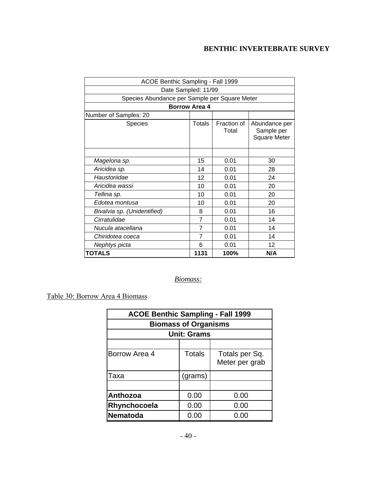| ACOE Benthic Sampling - Fall 1999             |                |                      |                                                    |  |  |  |  |  |  |
|-----------------------------------------------|----------------|----------------------|----------------------------------------------------|--|--|--|--|--|--|
| Date Sampled: 11/99                           |                |                      |                                                    |  |  |  |  |  |  |
| Species Abundance per Sample per Square Meter |                |                      |                                                    |  |  |  |  |  |  |
| <b>Borrow Area 4</b>                          |                |                      |                                                    |  |  |  |  |  |  |
| Number of Samples: 20                         |                |                      |                                                    |  |  |  |  |  |  |
| Species                                       | <b>Totals</b>  | Fraction of<br>Total | Abundance per<br>Sample per<br><b>Square Meter</b> |  |  |  |  |  |  |
|                                               |                |                      |                                                    |  |  |  |  |  |  |
| Magelona sp.                                  | 15             | 0.01                 | 30                                                 |  |  |  |  |  |  |
| Aricidea sp.                                  | 14             | 0.01                 | 28                                                 |  |  |  |  |  |  |
| Haustoriidae                                  | 12             | 0.01                 | 24                                                 |  |  |  |  |  |  |
| Aricidea wassi                                | 10             | 0.01                 | 20                                                 |  |  |  |  |  |  |
| Tellina sp.                                   | 10             | 0.01                 | 20                                                 |  |  |  |  |  |  |
| Edotea montusa                                | 10             | 0.01                 | 20                                                 |  |  |  |  |  |  |
| Bivalvia sp. (Unidentified)                   | 8              | 0.01                 | 16                                                 |  |  |  |  |  |  |
| Cirratulidae                                  | $\overline{7}$ | 0.01                 | 14                                                 |  |  |  |  |  |  |
| Nucula atacellana                             | $\overline{7}$ | 0.01                 | 14                                                 |  |  |  |  |  |  |
| Chiridotea coeca                              | 7              | 0.01                 | 14                                                 |  |  |  |  |  |  |
| Nephtys picta                                 | 6              | 0.01                 | 12                                                 |  |  |  |  |  |  |
| TOTALS                                        | 1131           | 100%                 | N/A                                                |  |  |  |  |  |  |

## *Biomass:*

Table 30: Borrow Area 4 Biomass

| <b>ACOE Benthic Sampling - Fall 1999</b> |         |                                  |  |  |  |
|------------------------------------------|---------|----------------------------------|--|--|--|
| <b>Biomass of Organisms</b>              |         |                                  |  |  |  |
| <b>Unit: Grams</b>                       |         |                                  |  |  |  |
|                                          |         |                                  |  |  |  |
| Borrow Area 4                            | Totals  | Totals per Sq.<br>Meter per grab |  |  |  |
| Taxa                                     | (grams) |                                  |  |  |  |
|                                          |         |                                  |  |  |  |
| Anthozoa                                 | 0.00    | 0.00                             |  |  |  |
| Rhynchocoela                             | 0.00    | 0.00                             |  |  |  |
| <b>Nematoda</b>                          | 0.00    | 0.00                             |  |  |  |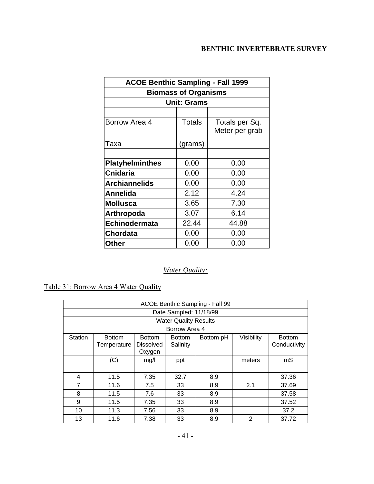| <b>ACOE Benthic Sampling - Fall 1999</b> |                             |                                  |  |  |  |  |  |  |
|------------------------------------------|-----------------------------|----------------------------------|--|--|--|--|--|--|
|                                          | <b>Biomass of Organisms</b> |                                  |  |  |  |  |  |  |
| <b>Unit: Grams</b>                       |                             |                                  |  |  |  |  |  |  |
|                                          |                             |                                  |  |  |  |  |  |  |
| Borrow Area 4                            | <b>Totals</b>               | Totals per Sq.<br>Meter per grab |  |  |  |  |  |  |
| Taxa                                     | (grams)                     |                                  |  |  |  |  |  |  |
|                                          |                             |                                  |  |  |  |  |  |  |
| <b>Platyhelminthes</b>                   | 0.00                        | 0.00                             |  |  |  |  |  |  |
| <b>Cnidaria</b>                          | 0.00                        | 0.00                             |  |  |  |  |  |  |
| <b>Archiannelids</b>                     | 0.00                        | 0.00                             |  |  |  |  |  |  |
| Annelida                                 | 2.12                        | 4.24                             |  |  |  |  |  |  |
| <b>Mollusca</b>                          | 3.65                        | 7.30                             |  |  |  |  |  |  |
| Arthropoda                               | 3.07                        | 6.14                             |  |  |  |  |  |  |
| <b>Echinodermata</b>                     | 22.44                       | 44.88                            |  |  |  |  |  |  |
| <b>Chordata</b>                          | 0.00                        | 0.00                             |  |  |  |  |  |  |
| Other                                    | 0.00                        | 0.00                             |  |  |  |  |  |  |

## *Water Quality:*

Table 31: Borrow Area 4 Water Quality

| ACOE Benthic Sampling - Fall 99 |                              |                                             |                              |           |            |                               |  |  |  |
|---------------------------------|------------------------------|---------------------------------------------|------------------------------|-----------|------------|-------------------------------|--|--|--|
|                                 | Date Sampled: 11/18/99       |                                             |                              |           |            |                               |  |  |  |
|                                 |                              |                                             | <b>Water Quality Results</b> |           |            |                               |  |  |  |
|                                 |                              |                                             | Borrow Area 4                |           |            |                               |  |  |  |
| <b>Station</b>                  | <b>Bottom</b><br>Temperature | <b>Bottom</b><br><b>Dissolved</b><br>Oxygen | <b>Bottom</b><br>Salinity    | Bottom pH | Visibility | <b>Bottom</b><br>Conductivity |  |  |  |
|                                 | (C)                          | mg/l                                        | ppt                          |           | meters     | mS                            |  |  |  |
|                                 |                              |                                             |                              |           |            |                               |  |  |  |
| 4                               | 11.5                         | 7.35                                        | 32.7                         | 8.9       |            | 37.36                         |  |  |  |
| 7                               | 11.6                         | 7.5                                         | 33                           | 8.9       | 2.1        | 37.69                         |  |  |  |
| 8                               | 11.5                         | 7.6                                         | 33                           | 8.9       |            | 37.58                         |  |  |  |
| 9                               | 11.5                         | 7.35                                        | 33                           | 8.9       |            | 37.52                         |  |  |  |
| 10                              | 11.3                         | 7.56                                        | 33                           | 8.9       |            | 37.2                          |  |  |  |
| 13                              | 11.6                         | 7.38                                        | 33                           | 8.9       | 2          | 37.72                         |  |  |  |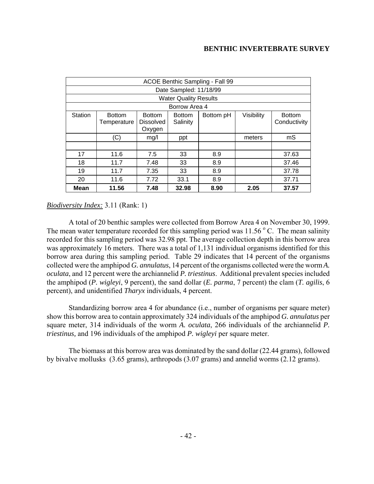| ACOE Benthic Sampling - Fall 99 |                              |                                             |                              |           |            |                               |  |  |  |
|---------------------------------|------------------------------|---------------------------------------------|------------------------------|-----------|------------|-------------------------------|--|--|--|
|                                 | Date Sampled: 11/18/99       |                                             |                              |           |            |                               |  |  |  |
|                                 |                              |                                             | <b>Water Quality Results</b> |           |            |                               |  |  |  |
|                                 |                              |                                             | Borrow Area 4                |           |            |                               |  |  |  |
| Station                         | <b>Bottom</b><br>Temperature | <b>Bottom</b><br><b>Dissolved</b><br>Oxygen | <b>Bottom</b><br>Salinity    | Bottom pH | Visibility | <b>Bottom</b><br>Conductivity |  |  |  |
|                                 | (C)                          | mg/l                                        | ppt                          |           | meters     | mS                            |  |  |  |
|                                 |                              |                                             |                              |           |            |                               |  |  |  |
| 17                              | 11.6                         | 7.5                                         | 33                           | 8.9       |            | 37.63                         |  |  |  |
| 18                              | 11.7                         | 7.48                                        | 33                           | 8.9       |            | 37.46                         |  |  |  |
| 19                              | 11.7                         | 7.35                                        | 33                           | 8.9       |            | 37.78                         |  |  |  |
| 20                              | 11.6                         | 7.72                                        | 33.1                         | 8.9       |            | 37.71                         |  |  |  |
| Mean                            | 11.56                        | 7.48                                        | 32.98                        | 8.90      | 2.05       | 37.57                         |  |  |  |

### *Biodiversity Index:* 3.11 (Rank: 1)

A total of 20 benthic samples were collected from Borrow Area 4 on November 30, 1999. The mean water temperature recorded for this sampling period was  $11.56\degree$  C. The mean salinity recorded for this sampling period was 32.98 ppt. The average collection depth in this borrow area was approximately 16 meters. There was a total of 1,131 individual organisms identified for this borrow area during this sampling period. Table 29 indicates that 14 percent of the organisms collected were the amphipod *G. annulatus*, 14 percent of the organisms collected were the worm *A. oculata*, and 12 percent were the archiannelid *P. triestinus*. Additional prevalent species included the amphipod (*P. wigleyi*, 9 percent), the sand dollar (*E. parma*, 7 percent) the clam (*T. agilis*, 6 percent), and unidentified *Tharyx* individuals, 4 percent.

Standardizing borrow area 4 for abundance (i.e., number of organisms per square meter) show this borrow area to contain approximately 324 individuals of the amphipod *G. annulatus* per square meter, 314 individuals of the worm *A. oculata*, 266 individuals of the archiannelid *P. triestinus,* and 196 individuals of the amphipod *P. wigleyi* per square meter.

The biomass at this borrow area was dominated by the sand dollar (22.44 grams), followed by bivalve mollusks (3.65 grams), arthropods (3.07 grams) and annelid worms (2.12 grams).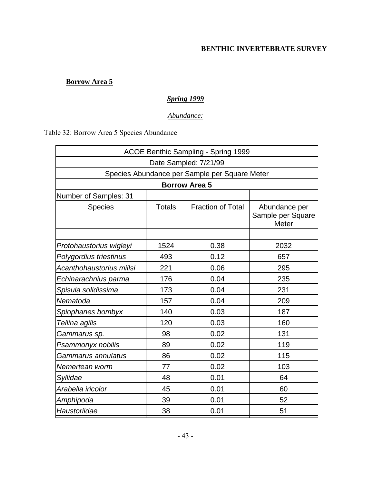## **Borrow Area 5**

## *Spring 1999*

## *Abundance:*

# Table 32: Borrow Area 5 Species Abundance

| ACOE Benthic Sampling - Spring 1999           |               |                          |                                             |  |  |  |  |  |
|-----------------------------------------------|---------------|--------------------------|---------------------------------------------|--|--|--|--|--|
| Date Sampled: 7/21/99                         |               |                          |                                             |  |  |  |  |  |
| Species Abundance per Sample per Square Meter |               |                          |                                             |  |  |  |  |  |
|                                               |               | <b>Borrow Area 5</b>     |                                             |  |  |  |  |  |
| Number of Samples: 31                         |               |                          |                                             |  |  |  |  |  |
| <b>Species</b>                                | <b>Totals</b> | <b>Fraction of Total</b> | Abundance per<br>Sample per Square<br>Meter |  |  |  |  |  |
|                                               |               |                          |                                             |  |  |  |  |  |
| Protohaustorius wigleyi                       | 1524          | 0.38                     | 2032                                        |  |  |  |  |  |
| Polygordius triestinus                        | 493           | 0.12                     | 657                                         |  |  |  |  |  |
| Acanthohaustorius millsi                      | 221           | 0.06                     | 295                                         |  |  |  |  |  |
| Echinarachnius parma                          | 176           | 0.04                     | 235                                         |  |  |  |  |  |
| Spisula solidissima                           | 173           | 0.04                     | 231                                         |  |  |  |  |  |
| Nematoda                                      | 157           | 0.04                     | 209                                         |  |  |  |  |  |
| Spiophanes bombyx                             | 140           | 0.03                     | 187                                         |  |  |  |  |  |
| Tellina agilis                                | 120           | 0.03                     | 160                                         |  |  |  |  |  |
| Gammarus sp.                                  | 98            | 0.02                     | 131                                         |  |  |  |  |  |
| Psammonyx nobilis                             | 89            | 0.02                     | 119                                         |  |  |  |  |  |
| Gammarus annulatus                            | 86            | 0.02                     | 115                                         |  |  |  |  |  |
| Nemertean worm                                | 77            | 0.02                     | 103                                         |  |  |  |  |  |
| Syllidae                                      | 48            | 0.01                     | 64                                          |  |  |  |  |  |
| Arabella iricolor                             | 45            | 0.01                     | 60                                          |  |  |  |  |  |
| Amphipoda                                     | 39            | 0.01                     | 52                                          |  |  |  |  |  |
| Haustoriidae                                  | 38            | 0.01                     | 51                                          |  |  |  |  |  |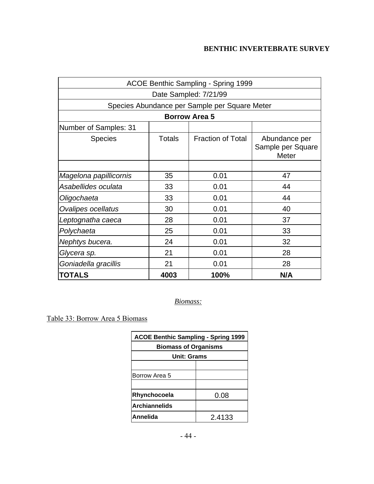| ACOE Benthic Sampling - Spring 1999           |                     |                          |                                                    |  |  |  |  |  |
|-----------------------------------------------|---------------------|--------------------------|----------------------------------------------------|--|--|--|--|--|
| Date Sampled: 7/21/99                         |                     |                          |                                                    |  |  |  |  |  |
| Species Abundance per Sample per Square Meter |                     |                          |                                                    |  |  |  |  |  |
| <b>Borrow Area 5</b>                          |                     |                          |                                                    |  |  |  |  |  |
| Number of Samples: 31                         |                     |                          |                                                    |  |  |  |  |  |
| <b>Species</b>                                | <b>Totals</b>       | <b>Fraction of Total</b> | Abundance per<br>Sample per Square<br><b>Meter</b> |  |  |  |  |  |
|                                               |                     |                          |                                                    |  |  |  |  |  |
| Magelona papillicornis                        | 35                  | 0.01                     | 47                                                 |  |  |  |  |  |
| Asabellides oculata                           | 33                  | 0.01                     | 44                                                 |  |  |  |  |  |
| Oligochaeta                                   | 33                  | 0.01                     | 44                                                 |  |  |  |  |  |
| Ovalipes ocellatus                            | 30                  | 0.01                     | 40                                                 |  |  |  |  |  |
| Leptognatha caeca                             | 28                  | 0.01                     | 37                                                 |  |  |  |  |  |
| Polychaeta                                    | 25                  | 0.01                     | 33                                                 |  |  |  |  |  |
| Nephtys bucera.                               | 24                  | 0.01                     | 32                                                 |  |  |  |  |  |
| Glycera sp.                                   | 21                  | 0.01                     | 28                                                 |  |  |  |  |  |
| Goniadella gracillis                          | 21                  | 0.01                     | 28                                                 |  |  |  |  |  |
| <b>TOTALS</b>                                 | 4003<br>100%<br>N/A |                          |                                                    |  |  |  |  |  |

*Biomass:*

Table 33: Borrow Area 5 Biomass

| <b>ACOE Benthic Sampling - Spring 1999</b> |        |  |  |  |  |
|--------------------------------------------|--------|--|--|--|--|
| <b>Biomass of Organisms</b>                |        |  |  |  |  |
| <b>Unit: Grams</b>                         |        |  |  |  |  |
|                                            |        |  |  |  |  |
| Borrow Area 5                              |        |  |  |  |  |
|                                            |        |  |  |  |  |
| Rhynchocoela<br>0.08                       |        |  |  |  |  |
| <b>Archiannelids</b>                       |        |  |  |  |  |
| Annelida                                   | 2.4133 |  |  |  |  |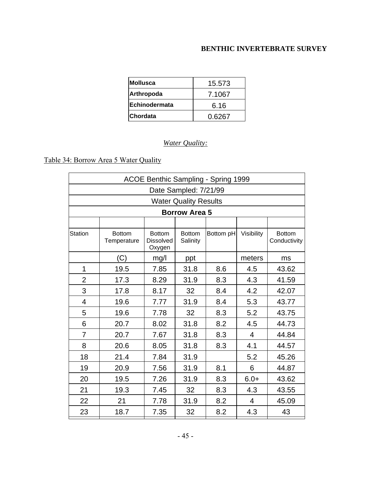| <b>Mollusca</b>      | 15.573 |
|----------------------|--------|
| Arthropoda           | 7.1067 |
| <b>Echinodermata</b> | 6.16   |
| Chordata             | 0.6267 |

## *Water Quality:*

# Table 34: Borrow Area 5 Water Quality

| ACOE Benthic Sampling - Spring 1999 |                              |                                             |                              |           |                |                               |  |
|-------------------------------------|------------------------------|---------------------------------------------|------------------------------|-----------|----------------|-------------------------------|--|
| Date Sampled: 7/21/99               |                              |                                             |                              |           |                |                               |  |
|                                     |                              |                                             | <b>Water Quality Results</b> |           |                |                               |  |
|                                     |                              |                                             | <b>Borrow Area 5</b>         |           |                |                               |  |
|                                     |                              |                                             |                              |           |                |                               |  |
| Station                             | <b>Bottom</b><br>Temperature | <b>Bottom</b><br><b>Dissolved</b><br>Oxygen | <b>Bottom</b><br>Salinity    | Bottom pH | Visibility     | <b>Bottom</b><br>Conductivity |  |
|                                     | (C)                          | mg/l                                        | ppt                          |           | meters         | ms                            |  |
| 1                                   | 19.5                         | 7.85                                        | 31.8                         | 8.6       | 4.5            | 43.62                         |  |
| $\overline{2}$                      | 17.3                         | 8.29                                        | 31.9                         | 8.3       | 4.3            | 41.59                         |  |
| 3                                   | 17.8                         | 8.17                                        | 32                           | 8.4       | 4.2            | 42.07                         |  |
| 4                                   | 19.6                         | 7.77                                        | 31.9                         | 8.4       | 5.3            | 43.77                         |  |
| 5                                   | 19.6                         | 7.78                                        | 32                           | 8.3       | 5.2            | 43.75                         |  |
| 6                                   | 20.7                         | 8.02                                        | 31.8                         | 8.2       | 4.5            | 44.73                         |  |
| $\overline{7}$                      | 20.7                         | 7.67                                        | 31.8                         | 8.3       | $\overline{4}$ | 44.84                         |  |
| 8                                   | 20.6                         | 8.05                                        | 31.8                         | 8.3       | 4.1            | 44.57                         |  |
| 18                                  | 21.4                         | 7.84                                        | 31.9                         |           | 5.2            | 45.26                         |  |
| 19                                  | 20.9                         | 7.56                                        | 31.9                         | 8.1       | 6              | 44.87                         |  |
| 20                                  | 19.5                         | 7.26                                        | 31.9                         | 8.3       | $6.0+$         | 43.62                         |  |
| 21                                  | 19.3                         | 7.45                                        | 32                           | 8.3       | 4.3            | 43.55                         |  |
| 22                                  | 21                           | 7.78                                        | 31.9                         | 8.2       | 4              | 45.09                         |  |
| 23                                  | 18.7                         | 7.35                                        | 32                           | 8.2       | 4.3            | 43                            |  |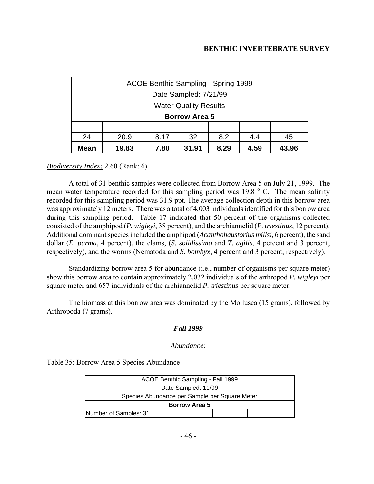| ACOE Benthic Sampling - Spring 1999          |                                                 |  |                              |  |  |  |  |
|----------------------------------------------|-------------------------------------------------|--|------------------------------|--|--|--|--|
|                                              | Date Sampled: 7/21/99                           |  |                              |  |  |  |  |
|                                              |                                                 |  | <b>Water Quality Results</b> |  |  |  |  |
|                                              | <b>Borrow Area 5</b>                            |  |                              |  |  |  |  |
|                                              |                                                 |  |                              |  |  |  |  |
| 8.2<br>24<br>20.9<br>32<br>8.17<br>4.4<br>45 |                                                 |  |                              |  |  |  |  |
| <b>Mean</b>                                  | 19.83<br>31.91<br>4.59<br>7.80<br>8.29<br>43.96 |  |                              |  |  |  |  |

#### *Biodiversity Index:* 2.60 (Rank: 6)

A total of 31 benthic samples were collected from Borrow Area 5 on July 21, 1999. The mean water temperature recorded for this sampling period was 19.8 °C. The mean salinity recorded for this sampling period was 31.9 ppt. The average collection depth in this borrow area was approximately 12 meters. There was a total of 4,003 individuals identified for this borrow area during this sampling period. Table 17 indicated that 50 percent of the organisms collected consisted of the amphipod (*P. wigleyi*, 38 percent), and the archiannelid (*P. triestinus*, 12 percent). Additional dominant species included the amphipod (*Acanthohaustorius millsi*, 6 percent), the sand dollar (*E. parma*, 4 percent), the clams, (*S. solidissima* and *T. agilis*, 4 percent and 3 percent, respectively), and the worms (Nematoda and *S. bombyx*, 4 percent and 3 percent, respectively).

Standardizing borrow area 5 for abundance (i.e., number of organisms per square meter) show this borrow area to contain approximately 2,032 individuals of the arthropod *P. wigleyi* per square meter and 657 individuals of the archiannelid *P. triestinus* per square meter.

The biomass at this borrow area was dominated by the Mollusca (15 grams), followed by Arthropoda (7 grams).

#### *Fall 1999*

#### *Abundance:*

Table 35: Borrow Area 5 Species Abundance

| ACOE Benthic Sampling - Fall 1999             |  |  |  |  |  |  |
|-----------------------------------------------|--|--|--|--|--|--|
| Date Sampled: 11/99                           |  |  |  |  |  |  |
| Species Abundance per Sample per Square Meter |  |  |  |  |  |  |
| <b>Borrow Area 5</b>                          |  |  |  |  |  |  |
| Number of Samples: 31                         |  |  |  |  |  |  |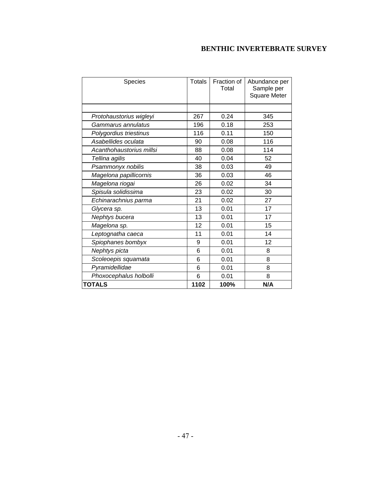| Species                  | <b>Totals</b> | Fraction of<br>Total | Abundance per<br>Sample per<br><b>Square Meter</b> |
|--------------------------|---------------|----------------------|----------------------------------------------------|
|                          |               |                      |                                                    |
| Protohaustorius wigleyi  | 267           | 0.24                 | 345                                                |
| Gammarus annulatus       | 196           | 0.18                 | 253                                                |
| Polygordius triestinus   | 116           | 0.11                 | 150                                                |
| Asabellides oculata      | 90            | 0.08                 | 116                                                |
| Acanthohaustorius millsi | 88            | 0.08                 | 114                                                |
| Tellina agilis           | 40            | 0.04                 | 52                                                 |
| Psammonyx nobilis        | 38            | 0.03                 | 49                                                 |
| Magelona papillicornis   | 36            | 0.03                 | 46                                                 |
| Magelona riogai          | 26            | 0.02                 | 34                                                 |
| Spisula solidissima      | 23            | 0.02                 | 30                                                 |
| Echinarachnius parma     | 21            | 0.02                 | 27                                                 |
| Glycera sp.              | 13            | 0.01                 | 17                                                 |
| Nephtys bucera           | 13            | 0.01                 | 17                                                 |
| Magelona sp.             | 12            | 0.01                 | 15                                                 |
| Leptognatha caeca        | 11            | 0.01                 | 14                                                 |
| Spiophanes bombyx        | 9             | 0.01                 | 12                                                 |
| Nephtys picta            | 6             | 0.01                 | 8                                                  |
| Scoleoepis squamata      | 6             | 0.01                 | 8                                                  |
| Pyramidellidae           | 6             | 0.01                 | 8                                                  |
| Phoxocephalus holbolli   | 6             | 0.01                 | 8                                                  |
| <b>TOTALS</b>            | 1102          | 100%                 | N/A                                                |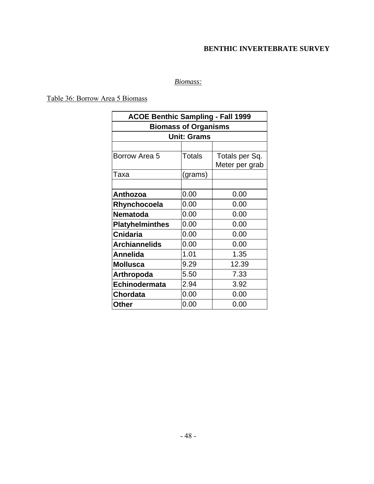## *Biomass:*

Table 36: Borrow Area 5 Biomass

| <b>ACOE Benthic Sampling - Fall 1999</b> |                    |                                  |  |  |  |  |  |
|------------------------------------------|--------------------|----------------------------------|--|--|--|--|--|
| <b>Biomass of Organisms</b>              |                    |                                  |  |  |  |  |  |
|                                          | <b>Unit: Grams</b> |                                  |  |  |  |  |  |
|                                          |                    |                                  |  |  |  |  |  |
| Borrow Area 5                            | Totals             | Totals per Sq.<br>Meter per grab |  |  |  |  |  |
| Taxa                                     | (grams)            |                                  |  |  |  |  |  |
|                                          |                    |                                  |  |  |  |  |  |
| Anthozoa                                 | 0.00               | 0.00                             |  |  |  |  |  |
| Rhynchocoela                             | 0.00               | 0.00                             |  |  |  |  |  |
| <b>Nematoda</b>                          | 0.00               | 0.00                             |  |  |  |  |  |
| <b>Platyhelminthes</b>                   | 0.00               | 0.00                             |  |  |  |  |  |
| <b>Cnidaria</b>                          | 0.00               | 0.00                             |  |  |  |  |  |
| <b>Archiannelids</b>                     | 0.00               | 0.00                             |  |  |  |  |  |
| <b>Annelida</b>                          | 1.01               | 1.35                             |  |  |  |  |  |
| <b>Mollusca</b>                          | 9.29               | 12.39                            |  |  |  |  |  |
| <b>Arthropoda</b>                        | 5.50               | 7.33                             |  |  |  |  |  |
| Echinodermata                            | 2.94               | 3.92                             |  |  |  |  |  |
| <b>Chordata</b>                          | 0.00               | 0.00                             |  |  |  |  |  |
| Other                                    | 0.00               | 0.00                             |  |  |  |  |  |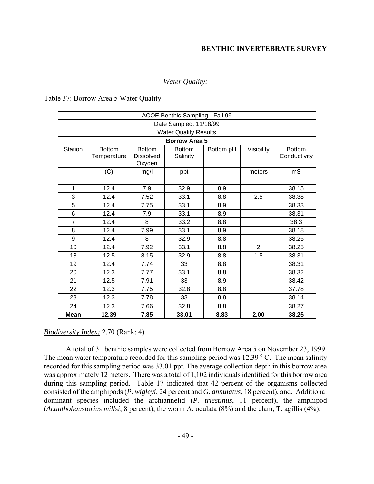### *Water Quality:*

#### Table 37: Borrow Area 5 Water Quality

|                | ACOE Benthic Sampling - Fall 99 |                                             |                              |           |                |                               |  |  |
|----------------|---------------------------------|---------------------------------------------|------------------------------|-----------|----------------|-------------------------------|--|--|
|                | Date Sampled: 11/18/99          |                                             |                              |           |                |                               |  |  |
|                |                                 |                                             | <b>Water Quality Results</b> |           |                |                               |  |  |
|                |                                 |                                             | <b>Borrow Area 5</b>         |           |                |                               |  |  |
| Station        | <b>Bottom</b><br>Temperature    | <b>Bottom</b><br><b>Dissolved</b><br>Oxygen | <b>Bottom</b><br>Salinity    | Bottom pH | Visibility     | <b>Bottom</b><br>Conductivity |  |  |
|                | (C)                             | mg/l                                        | ppt                          |           | meters         | mS                            |  |  |
|                |                                 |                                             |                              |           |                |                               |  |  |
| 1              | 12.4                            | 7.9                                         | 32.9                         | 8.9       |                | 38.15                         |  |  |
| 3              | 12.4                            | 7.52                                        | 33.1                         | 8.8       | 2.5            | 38.38                         |  |  |
| 5              | 12.4                            | 7.75                                        | 33.1                         | 8.9       |                | 38.33                         |  |  |
| 6              | 12.4                            | 7.9                                         | 33.1                         | 8.9       |                | 38.31                         |  |  |
| $\overline{7}$ | 12.4                            | 8                                           | 33.2                         | 8.8       |                | 38.3                          |  |  |
| 8              | 12.4                            | 7.99                                        | 33.1                         | 8.9       |                | 38.18                         |  |  |
| 9              | 12.4                            | 8                                           | 32.9                         | 8.8       |                | 38.25                         |  |  |
| 10             | 12.4                            | 7.92                                        | 33.1                         | 8.8       | $\overline{2}$ | 38.25                         |  |  |
| 18             | 12.5                            | 8.15                                        | 32.9                         | 8.8       | 1.5            | 38.31                         |  |  |
| 19             | 12.4                            | 7.74                                        | 33                           | 8.8       |                | 38.31                         |  |  |
| 20             | 12.3                            | 7.77                                        | 33.1                         | 8.8       |                | 38.32                         |  |  |
| 21             | 12.5                            | 7.91                                        | 33                           | 8.9       |                | 38.42                         |  |  |
| 22             | 12.3                            | 7.75                                        | 32.8                         | 8.8       |                | 37.78                         |  |  |
| 23             | 12.3                            | 7.78                                        | 33                           | 8.8       |                | 38.14                         |  |  |
| 24             | 12.3                            | 7.66                                        | 32.8                         | 8.8       |                | 38.27                         |  |  |
| <b>Mean</b>    | 12.39                           | 7.85                                        | 33.01                        | 8.83      | 2.00           | 38.25                         |  |  |

#### *Biodiversity Index:* 2.70 (Rank: 4)

A total of 31 benthic samples were collected from Borrow Area 5 on November 23, 1999. The mean water temperature recorded for this sampling period was  $12.39\degree$  C. The mean salinity recorded for this sampling period was 33.01 ppt. The average collection depth in this borrow area was approximately 12 meters. There was a total of 1,102 individuals identified for this borrow area during this sampling period. Table 17 indicated that 42 percent of the organisms collected consisted of the amphipods (*P. wigleyi*, 24 percent and *G. annulatus*, 18 percent), and. Additional dominant species included the archiannelid (*P. triestinus*, 11 percent), the amphipod (*Acanthohaustorius millsi*, 8 percent), the worm A. oculata (8%) and the clam, T. agillis (4%).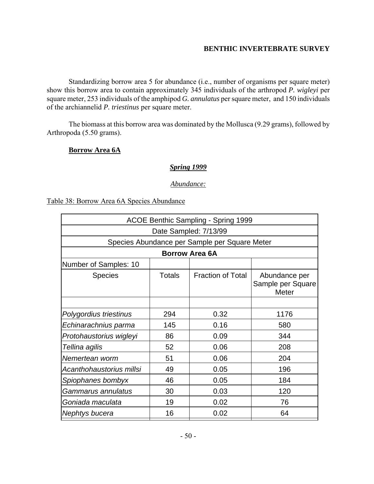Standardizing borrow area 5 for abundance (i.e., number of organisms per square meter) show this borrow area to contain approximately 345 individuals of the arthropod *P. wigleyi* per square meter, 253 individuals of the amphipod *G. annulatus* per square meter, and 150 individuals of the archiannelid *P. triestinus* per square meter.

The biomass at this borrow area was dominated by the Mollusca (9.29 grams), followed by Arthropoda (5.50 grams).

### **Borrow Area 6A**

#### *Spring 1999*

#### *Abundance:*

### Table 38: Borrow Area 6A Species Abundance

| <b>ACOE Benthic Sampling - Spring 1999</b> |                                               |                          |                                             |  |  |  |  |  |
|--------------------------------------------|-----------------------------------------------|--------------------------|---------------------------------------------|--|--|--|--|--|
| Date Sampled: 7/13/99                      |                                               |                          |                                             |  |  |  |  |  |
|                                            | Species Abundance per Sample per Square Meter |                          |                                             |  |  |  |  |  |
| <b>Borrow Area 6A</b>                      |                                               |                          |                                             |  |  |  |  |  |
| Number of Samples: 10                      |                                               |                          |                                             |  |  |  |  |  |
| <b>Species</b>                             | Totals                                        | <b>Fraction of Total</b> | Abundance per<br>Sample per Square<br>Meter |  |  |  |  |  |
|                                            |                                               |                          |                                             |  |  |  |  |  |
| Polygordius triestinus                     | 294                                           | 0.32                     | 1176                                        |  |  |  |  |  |
| Echinarachnius parma                       | 145                                           | 0.16                     | 580                                         |  |  |  |  |  |
| Protohaustorius wigleyi                    | 86                                            | 0.09                     | 344                                         |  |  |  |  |  |
| Tellina agilis                             | 52                                            | 0.06                     | 208                                         |  |  |  |  |  |
| Nemertean worm                             | 51                                            | 0.06                     | 204                                         |  |  |  |  |  |
| Acanthohaustorius millsi                   | 49                                            | 0.05                     | 196                                         |  |  |  |  |  |
| Spiophanes bombyx                          | 46                                            | 0.05                     | 184                                         |  |  |  |  |  |
| Gammarus annulatus                         | 30                                            | 0.03                     | 120                                         |  |  |  |  |  |
| Goniada maculata                           | 19                                            | 0.02                     | 76                                          |  |  |  |  |  |
| Nephtys bucera                             | 16                                            | 0.02                     | 64                                          |  |  |  |  |  |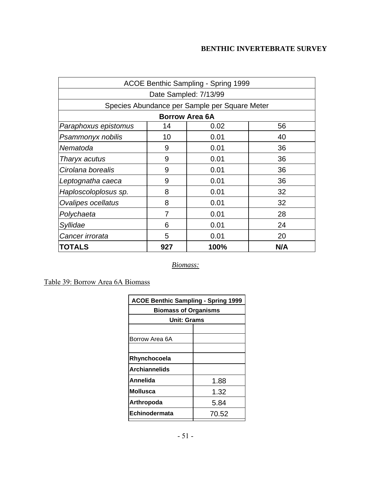| <b>ACOE Benthic Sampling - Spring 1999</b>    |                       |      |     |  |  |  |  |  |
|-----------------------------------------------|-----------------------|------|-----|--|--|--|--|--|
| Date Sampled: 7/13/99                         |                       |      |     |  |  |  |  |  |
| Species Abundance per Sample per Square Meter |                       |      |     |  |  |  |  |  |
|                                               | <b>Borrow Area 6A</b> |      |     |  |  |  |  |  |
| Paraphoxus epistomus                          | 14                    | 0.02 | 56  |  |  |  |  |  |
| Psammonyx nobilis                             | 10                    | 0.01 | 40  |  |  |  |  |  |
| Nematoda                                      | 9                     | 0.01 | 36  |  |  |  |  |  |
| Tharyx acutus                                 | 9                     | 0.01 | 36  |  |  |  |  |  |
| Cirolana borealis                             | 9                     | 0.01 | 36  |  |  |  |  |  |
| Leptognatha caeca                             | 0.01<br>36<br>9       |      |     |  |  |  |  |  |
| Haploscoloplosus sp.                          | 8                     | 0.01 | 32  |  |  |  |  |  |
| Ovalipes ocellatus                            | 8                     | 0.01 | 32  |  |  |  |  |  |
| Polychaeta                                    | 0.01<br>28<br>7       |      |     |  |  |  |  |  |
| Syllidae                                      | 6                     | 0.01 | 24  |  |  |  |  |  |
| Cancer irrorata                               | 0.01<br>5<br>20       |      |     |  |  |  |  |  |
| <b>TOTALS</b>                                 | 927                   | 100% | N/A |  |  |  |  |  |

*Biomass:*

Table 39: Borrow Area 6A Biomass

| <b>ACOE Benthic Sampling - Spring 1999</b> |       |
|--------------------------------------------|-------|
| <b>Biomass of Organisms</b>                |       |
| Unit: Grams                                |       |
|                                            |       |
| Borrow Area 6A                             |       |
|                                            |       |
| Rhynchocoela                               |       |
| Archiannelids                              |       |
| Annelida                                   | 1.88  |
| Mollusca                                   | 1.32  |
| Arthropoda                                 | 5.84  |
| Echinodermata                              | 70.52 |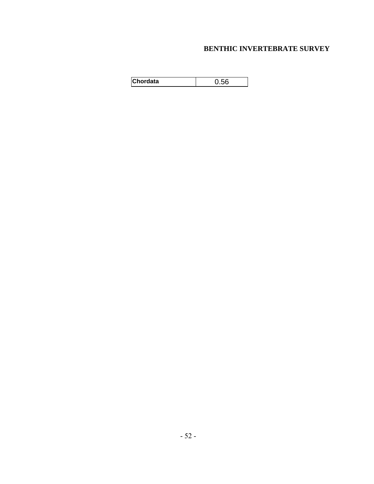| <b>Chordata</b> |  |
|-----------------|--|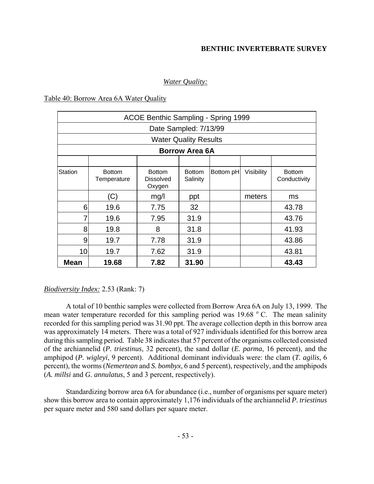### *Water Quality:*

#### Table 40: Borrow Area 6A Water Quality

|             |                              | ACOE Benthic Sampling - Spring 1999  |                              |           |            |                               |
|-------------|------------------------------|--------------------------------------|------------------------------|-----------|------------|-------------------------------|
|             |                              |                                      | Date Sampled: 7/13/99        |           |            |                               |
|             |                              |                                      | <b>Water Quality Results</b> |           |            |                               |
|             |                              |                                      | <b>Borrow Area 6A</b>        |           |            |                               |
|             |                              |                                      |                              |           |            |                               |
| Station     | <b>Bottom</b><br>Temperature | <b>Bottom</b><br>Dissolved<br>Oxygen | <b>Bottom</b><br>Salinity    | Bottom pH | Visibility | <b>Bottom</b><br>Conductivity |
|             | (C)                          | mg/l                                 | ppt                          |           | meters     | ms                            |
| 6           | 19.6                         | 7.75                                 | 32                           |           |            | 43.78                         |
| 7           | 19.6                         | 7.95                                 | 31.9                         |           |            | 43.76                         |
| 8           | 19.8                         | 8                                    | 31.8                         |           |            | 41.93                         |
| 9           | 19.7                         | 7.78                                 | 31.9                         |           |            | 43.86                         |
| 10          | 19.7                         | 7.62                                 | 31.9                         |           |            | 43.81                         |
| <b>Mean</b> | 19.68                        | 7.82                                 | 31.90                        |           |            | 43.43                         |

### *Biodiversity Index:* 2.53 (Rank: 7)

A total of 10 benthic samples were collected from Borrow Area 6A on July 13, 1999. The mean water temperature recorded for this sampling period was  $19.68\degree$  C. The mean salinity recorded for this sampling period was 31.90 ppt. The average collection depth in this borrow area was approximately 14 meters. There was a total of 927 individuals identified for this borrow area during this sampling period. Table 38 indicates that 57 percent of the organisms collected consisted of the archiannelid (*P. triestinus*, 32 percent), the sand dollar (*E. parma*, 16 percent), and the amphipod (*P. wigleyi*, 9 percent). Additional dominant individuals were: the clam (*T. agilis*, 6 percent), the worms (*Nemertean* and *S. bombyx*, 6 and 5 percent), respectively, and the amphipods (*A. millsi* and *G. annulatus*, 5 and 3 percent, respectively).

Standardizing borrow area 6A for abundance (i.e., number of organisms per square meter) show this borrow area to contain approximately 1,176 individuals of the archiannelid *P. triestinus*  per square meter and 580 sand dollars per square meter.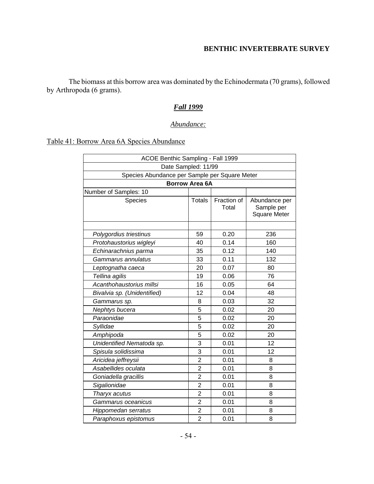The biomass at this borrow area was dominated by the Echinodermata (70 grams), followed by Arthropoda (6 grams).

### *Fall 1999*

### *Abundance:*

# Table 41: Borrow Area 6A Species Abundance

| ACOE Benthic Sampling - Fall 1999             |                       |                      |                                                    |
|-----------------------------------------------|-----------------------|----------------------|----------------------------------------------------|
|                                               | Date Sampled: 11/99   |                      |                                                    |
| Species Abundance per Sample per Square Meter |                       |                      |                                                    |
|                                               | <b>Borrow Area 6A</b> |                      |                                                    |
| Number of Samples: 10                         |                       |                      |                                                    |
| Species                                       | <b>Totals</b>         | Fraction of<br>Total | Abundance per<br>Sample per<br><b>Square Meter</b> |
|                                               |                       |                      |                                                    |
| Polygordius triestinus                        | 59                    | 0.20                 | 236                                                |
| Protohaustorius wigleyi                       | 40                    | 0.14                 | 160                                                |
| Echinarachnius parma                          | 35                    | 0.12                 | 140                                                |
| Gammarus annulatus                            | 33                    | 0.11                 | 132                                                |
| Leptognatha caeca                             | 20                    | 0.07                 | 80                                                 |
| Tellina agilis                                | 19                    | 0.06                 | 76                                                 |
| Acanthohaustorius millsi                      | 16                    | 0.05                 | 64                                                 |
| Bivalvia sp. (Unidentified)                   | 12                    | 0.04                 | 48                                                 |
| Gammarus sp.                                  | 8                     | 0.03                 | 32                                                 |
| Nephtys bucera                                | 5                     | 0.02                 | 20                                                 |
| Paraonidae                                    | 5                     | 0.02                 | 20                                                 |
| Syllidae                                      | 5                     | 0.02                 | 20                                                 |
| Amphipoda                                     | 5                     | 0.02                 | 20                                                 |
| Unidentified Nematoda sp.                     | 3                     | 0.01                 | 12                                                 |
| Spisula solidissima                           | 3                     | 0.01                 | 12                                                 |
| Aricidea jeffreysii                           | $\overline{2}$        | 0.01                 | 8                                                  |
| Asabellides oculata                           | $\overline{2}$        | 0.01                 | 8                                                  |
| Goniadella gracillis                          | $\overline{2}$        | 0.01                 | 8                                                  |
| Sigalionidae                                  | $\overline{2}$        | 0.01                 | 8                                                  |
| Tharyx acutus                                 | $\overline{2}$        | 0.01                 | 8                                                  |
| Gammarus oceanicus                            | $\overline{2}$        | 0.01                 | 8                                                  |
| Hippomedan serratus                           | $\overline{2}$        | 0.01                 | 8                                                  |
| Paraphoxus epistomus                          | $\overline{2}$        | 0.01                 | 8                                                  |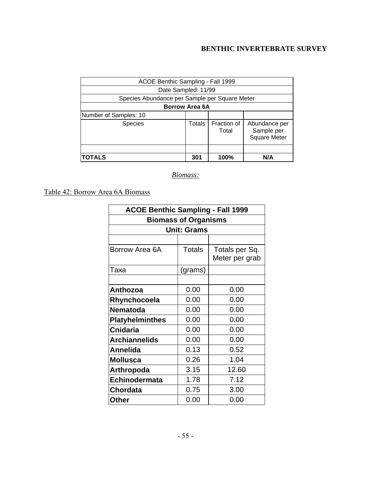| ACOE Benthic Sampling - Fall 1999             |                       |                      |                                                    |
|-----------------------------------------------|-----------------------|----------------------|----------------------------------------------------|
| Date Sampled: 11/99                           |                       |                      |                                                    |
| Species Abundance per Sample per Square Meter |                       |                      |                                                    |
|                                               | <b>Borrow Area 6A</b> |                      |                                                    |
| Number of Samples: 10                         |                       |                      |                                                    |
| <b>Species</b>                                | Totals                | Fraction of<br>Total | Abundance per<br>Sample per<br><b>Square Meter</b> |
|                                               |                       |                      |                                                    |
| <b>TOTALS</b>                                 | 301                   | 100%                 | N/A                                                |

*Biomass:*

Table 42: Borrow Area 6A Biomass

| <b>ACOE Benthic Sampling - Fall 1999</b> |                             |                |
|------------------------------------------|-----------------------------|----------------|
|                                          | <b>Biomass of Organisms</b> |                |
|                                          | <b>Unit: Grams</b>          |                |
|                                          |                             |                |
| Borrow Area 6A                           | <b>Totals</b>               | Totals per Sq. |
|                                          |                             | Meter per grab |
| Taxa                                     | (grams)                     |                |
|                                          |                             |                |
| Anthozoa                                 | 0.00                        | 0.00           |
| Rhynchocoela                             | 0.00                        | 0.00           |
| <b>Nematoda</b>                          | 0.00                        | 0.00           |
| <b>Platyhelminthes</b>                   | 0.00                        | 0.00           |
| <b>Cnidaria</b>                          | 0.00                        | 0.00           |
| <b>Archiannelids</b>                     | 0.00                        | 0.00           |
| Annelida                                 | 0.13                        | 0.52           |
| <b>Mollusca</b>                          | 0.26                        | 1.04           |
| Arthropoda                               | 3.15                        | 12.60          |
| Echinodermata                            | 1.78                        | 7.12           |
| <b>Chordata</b>                          | 0.75                        | 3.00           |
| Other                                    | 0.00                        | 0.00           |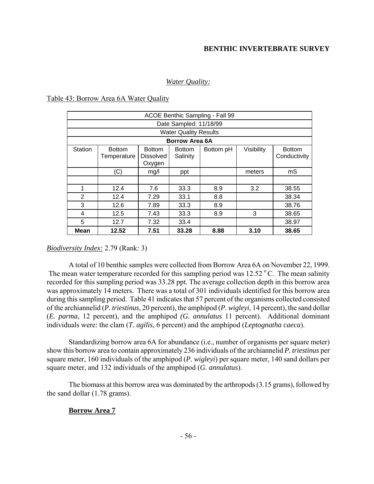### *Water Quality:*

#### Table 43: Borrow Area 6A Water Quality

|         |                              |                                             |                              | ACOE Benthic Sampling - Fall 99 |            |                               |
|---------|------------------------------|---------------------------------------------|------------------------------|---------------------------------|------------|-------------------------------|
|         |                              |                                             | Date Sampled: 11/18/99       |                                 |            |                               |
|         |                              |                                             | <b>Water Quality Results</b> |                                 |            |                               |
|         |                              |                                             | Borrow Area 6A               |                                 |            |                               |
| Station | <b>Bottom</b><br>Temperature | <b>Bottom</b><br><b>Dissolved</b><br>Oxygen | <b>Bottom</b><br>Salinity    | Bottom pH                       | Visibility | <b>Bottom</b><br>Conductivity |
|         | (C)                          | mg/l                                        | ppt                          |                                 | meters     | mS                            |
|         |                              |                                             |                              |                                 |            |                               |
| 1       | 12.4                         | 7.6                                         | 33.3                         | 8.9                             | 3.2        | 38.55                         |
| 2       | 12.4                         | 7.29                                        | 33.1                         | 8.8                             |            | 38.34                         |
| 3       | 12.6                         | 7.89                                        | 33.3                         | 8.9                             |            | 38.76                         |
| 4       | 12.5                         | 7.43                                        | 33.3                         | 8.9                             | 3          | 38.65                         |
| 5       | 12.7                         | 7.32                                        | 33.4                         |                                 |            | 38.97                         |
| Mean    | 12.52                        | 7.51                                        | 33.28                        | 8.88                            | 3.10       | 38.65                         |

#### *Biodiversity Index:* 2.79 (Rank: 3)

A total of 10 benthic samples were collected from Borrow Area 6A on November 22, 1999. The mean water temperature recorded for this sampling period was  $12.52 \degree C$ . The mean salinity recorded for this sampling period was 33.28 ppt. The average collection depth in this borrow area was approximately 14 meters. There was a total of 301 individuals identified for this borrow area during this sampling period. Table 41 indicates that 57 percent of the organisms collected consisted of the archiannelid (*P. triestinus*, 20 percent), the amphipod (*P. wigleyi*, 14 percent), the sand dollar (*E. parma*, 12 percent), and the amphipod *(G. annulatus* 11 percent). Additional dominant individuals were: the clam (*T. agilis*, 6 percent) and the amphipod (*Leptognatha caeca*).

Standardizing borrow area 6A for abundance (i.e., number of organisms per square meter) show this borrow area to contain approximately 236 individuals of the archiannelid *P. triestinus* per square meter, 160 individuals of the amphipod (*P. wigleyi*) per square meter, 140 sand dollars per square meter, and 132 individuals of the amphipod (*G. annulatus*).

The biomass at this borrow area was dominated by the arthropods (3.15 grams), followed by the sand dollar (1.78 grams).

### **Borrow Area 7**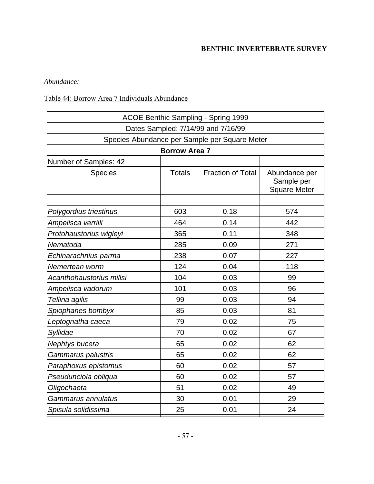## *Abundance:*

## Table 44: Borrow Area 7 Individuals Abundance

|                          |                      | <b>ACOE Benthic Sampling - Spring 1999</b>    |                                                    |
|--------------------------|----------------------|-----------------------------------------------|----------------------------------------------------|
|                          |                      | Dates Sampled: 7/14/99 and 7/16/99            |                                                    |
|                          |                      | Species Abundance per Sample per Square Meter |                                                    |
|                          | <b>Borrow Area 7</b> |                                               |                                                    |
| Number of Samples: 42    |                      |                                               |                                                    |
| <b>Species</b>           | <b>Totals</b>        | <b>Fraction of Total</b>                      | Abundance per<br>Sample per<br><b>Square Meter</b> |
|                          |                      |                                               |                                                    |
| Polygordius triestinus   | 603                  | 0.18                                          | 574                                                |
| Ampelisca verrilli       | 464                  | 0.14                                          | 442                                                |
| Protohaustorius wigleyi  | 365                  | 0.11                                          | 348                                                |
| Nematoda                 | 285                  | 0.09                                          | 271                                                |
| Echinarachnius parma     | 238                  | 0.07                                          | 227                                                |
| Nemertean worm           | 124                  | 0.04                                          | 118                                                |
| Acanthohaustorius millsi | 104                  | 0.03                                          | 99                                                 |
| Ampelisca vadorum        | 101                  | 0.03                                          | 96                                                 |
| Tellina agilis           | 99                   | 0.03                                          | 94                                                 |
| Spiophanes bombyx        | 85                   | 0.03                                          | 81                                                 |
| Leptognatha caeca        | 79                   | 0.02                                          | 75                                                 |
| Syllidae                 | 70                   | 0.02                                          | 67                                                 |
| Nephtys bucera           | 65                   | 0.02                                          | 62                                                 |
| Gammarus palustris       | 65                   | 0.02                                          | 62                                                 |
| Paraphoxus epistomus     | 60                   | 0.02                                          | 57                                                 |
| Pseudunciola obliqua     | 60                   | 0.02                                          | 57                                                 |
| Oligochaeta              | 51                   | 0.02                                          | 49                                                 |
| Gammarus annulatus       | 30                   | 0.01                                          | 29                                                 |
| Spisula solidissima      | 25                   | 0.01                                          | 24                                                 |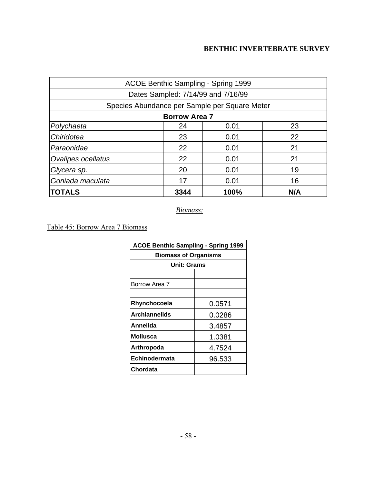|                    |                      | ACOE Benthic Sampling - Spring 1999           |     |
|--------------------|----------------------|-----------------------------------------------|-----|
|                    |                      | Dates Sampled: 7/14/99 and 7/16/99            |     |
|                    |                      | Species Abundance per Sample per Square Meter |     |
|                    | <b>Borrow Area 7</b> |                                               |     |
| Polychaeta         | 24                   | 0.01                                          | 23  |
| Chiridotea         | 23                   | 0.01                                          | 22  |
| Paraonidae         | 22                   | 0.01                                          | 21  |
| Ovalipes ocellatus | 22                   | 0.01                                          | 21  |
| Glycera sp.        | 20                   | 0.01                                          | 19  |
| Goniada maculata   | 17                   | 0.01                                          | 16  |
| <b>TOTALS</b>      | 3344                 | 100%                                          | N/A |

*Biomass:*

Table 45: Borrow Area 7 Biomass

| <b>ACOE Benthic Sampling - Spring 1999</b> |        |
|--------------------------------------------|--------|
| <b>Biomass of Organisms</b>                |        |
| <b>Unit: Grams</b>                         |        |
|                                            |        |
| Borrow Area 7                              |        |
|                                            |        |
| Rhynchocoela                               | 0.0571 |
| <b>Archiannelids</b>                       | 0.0286 |
| Annelida                                   | 3.4857 |
| <b>Mollusca</b>                            | 1.0381 |
| Arthropoda                                 | 4.7524 |
| Echinodermata                              | 96.533 |
| Chordata                                   |        |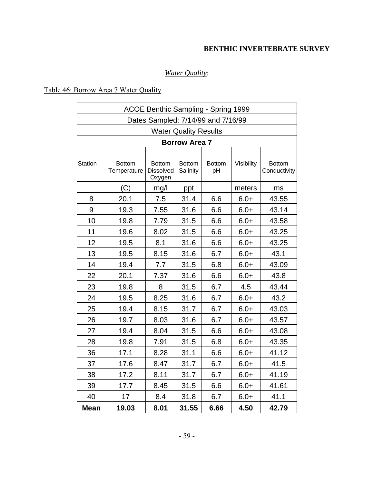# *Water Quality*:

## Table 46: Borrow Area 7 Water Quality

|                |                              | ACOE Benthic Sampling - Spring 1999  |                              |                     |            |                               |
|----------------|------------------------------|--------------------------------------|------------------------------|---------------------|------------|-------------------------------|
|                |                              | Dates Sampled: 7/14/99 and 7/16/99   |                              |                     |            |                               |
|                |                              |                                      | <b>Water Quality Results</b> |                     |            |                               |
|                |                              |                                      | <b>Borrow Area 7</b>         |                     |            |                               |
|                |                              |                                      |                              |                     |            |                               |
| <b>Station</b> | <b>Bottom</b><br>Temperature | <b>Bottom</b><br>Dissolved<br>Oxygen | <b>Bottom</b><br>Salinity    | <b>Bottom</b><br>pH | Visibility | <b>Bottom</b><br>Conductivity |
|                | (C)                          | mg/l                                 | ppt                          |                     | meters     | ms                            |
| 8              | 20.1                         | 7.5                                  | 31.4                         | 6.6                 | $6.0+$     | 43.55                         |
| 9              | 19.3                         | 7.55                                 | 31.6                         | 6.6                 | $6.0+$     | 43.14                         |
| 10             | 19.8                         | 7.79                                 | 31.5                         | 6.6                 | $6.0+$     | 43.58                         |
| 11             | 19.6                         | 8.02                                 | 31.5                         | 6.6                 | $6.0+$     | 43.25                         |
| 12             | 19.5                         | 8.1                                  | 31.6                         | 6.6                 | $6.0+$     | 43.25                         |
| 13             | 19.5                         | 8.15                                 | 31.6                         | 6.7                 | $6.0+$     | 43.1                          |
| 14             | 19.4                         | 7.7                                  | 31.5                         | 6.8                 | $6.0+$     | 43.09                         |
| 22             | 20.1                         | 7.37                                 | 31.6                         | 6.6                 | $6.0+$     | 43.8                          |
| 23             | 19.8                         | 8                                    | 31.5                         | 6.7                 | 4.5        | 43.44                         |
| 24             | 19.5                         | 8.25                                 | 31.6                         | 6.7                 | $6.0+$     | 43.2                          |
| 25             | 19.4                         | 8.15                                 | 31.7                         | 6.7                 | $6.0+$     | 43.03                         |
| 26             | 19.7                         | 8.03                                 | 31.6                         | 6.7                 | $6.0+$     | 43.57                         |
| 27             | 19.4                         | 8.04                                 | 31.5                         | 6.6                 | $6.0+$     | 43.08                         |
| 28             | 19.8                         | 7.91                                 | 31.5                         | 6.8                 | $6.0+$     | 43.35                         |
| 36             | 17.1                         | 8.28                                 | 31.1                         | 6.6                 | $6.0+$     | 41.12                         |
| 37             | 17.6                         | 8.47                                 | 31.7                         | 6.7                 | $6.0+$     | 41.5                          |
| 38             | 17.2                         | 8.11                                 | 31.7                         | 6.7                 | $6.0+$     | 41.19                         |
| 39             | 17.7                         | 8.45                                 | 31.5                         | 6.6                 | $6.0+$     | 41.61                         |
| 40             | 17                           | 8.4                                  | 31.8                         | 6.7                 | $6.0+$     | 41.1                          |
| <b>Mean</b>    | 19.03                        | 8.01                                 | 31.55                        | 6.66                | 4.50       | 42.79                         |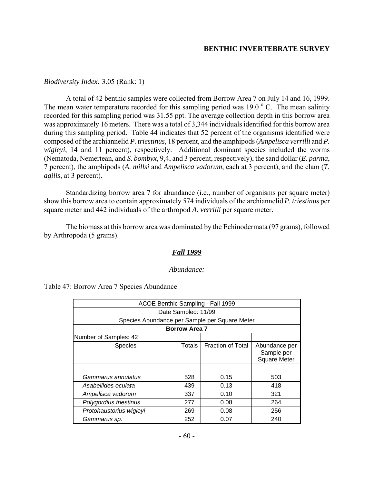#### *Biodiversity Index:* 3.05 (Rank: 1)

A total of 42 benthic samples were collected from Borrow Area 7 on July 14 and 16, 1999. The mean water temperature recorded for this sampling period was  $19.0\degree$  C. The mean salinity recorded for this sampling period was 31.55 ppt. The average collection depth in this borrow area was approximately 16 meters. There was a total of 3,344 individuals identified for this borrow area during this sampling period. Table 44 indicates that 52 percent of the organisms identified were composed of the archiannelid *P. triestinus*, 18 percent, and the amphipods (*Ampelisca verrilli* and *P. wigleyi*, 14 and 11 percent), respectively. Additional dominant species included the worms (Nematoda*,* Nemertean, and *S. bombyx*, 9,4, and 3 percent, respectively), the sand dollar (*E. parma*, 7 percent), the amphipods (*A. millsi* and *Ampelisca vadorum*, each at 3 percent), and the clam (*T. agilis*, at 3 percent).

Standardizing borrow area 7 for abundance (i.e., number of organisms per square meter) show this borrow area to contain approximately 574 individuals of the archiannelid *P. triestinus* per square meter and 442 individuals of the arthropod *A. verrilli* per square meter.

The biomass at this borrow area was dominated by the Echinodermata (97 grams), followed by Arthropoda (5 grams).

#### *Fall 1999*

#### *Abundance:*

| Table 47: Borrow Area 7 Species Abundance |
|-------------------------------------------|
|-------------------------------------------|

| ACOE Benthic Sampling - Fall 1999             |                                                                                          |      |     |  |  |
|-----------------------------------------------|------------------------------------------------------------------------------------------|------|-----|--|--|
|                                               | Date Sampled: 11/99                                                                      |      |     |  |  |
| Species Abundance per Sample per Square Meter |                                                                                          |      |     |  |  |
|                                               | <b>Borrow Area 7</b>                                                                     |      |     |  |  |
| Number of Samples: 42                         |                                                                                          |      |     |  |  |
| <b>Species</b>                                | <b>Fraction of Total</b><br>Totals<br>Abundance per<br>Sample per<br><b>Square Meter</b> |      |     |  |  |
|                                               |                                                                                          |      |     |  |  |
| Gammarus annulatus<br>528<br>0.15<br>503      |                                                                                          |      |     |  |  |
| 418<br>439<br>0.13<br>Asabellides oculata     |                                                                                          |      |     |  |  |
| 321<br>337<br>0.10<br>Ampelisca vadorum       |                                                                                          |      |     |  |  |
| Polygordius triestinus<br>277<br>264<br>0.08  |                                                                                          |      |     |  |  |
| Protohaustorius wigleyi                       | 269                                                                                      | 0.08 | 256 |  |  |
| Gammarus sp.                                  | 252                                                                                      | 0.07 | 240 |  |  |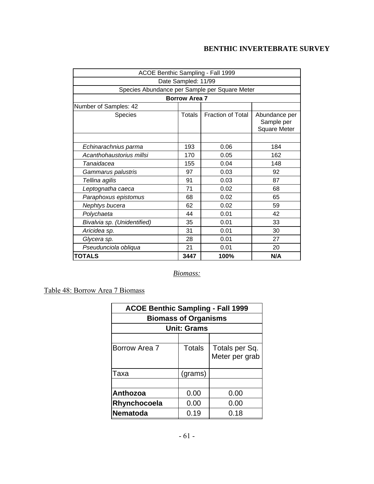| ACOE Benthic Sampling - Fall 1999              |                      |                          |                                                    |  |  |  |
|------------------------------------------------|----------------------|--------------------------|----------------------------------------------------|--|--|--|
|                                                | Date Sampled: 11/99  |                          |                                                    |  |  |  |
| Species Abundance per Sample per Square Meter  |                      |                          |                                                    |  |  |  |
|                                                | <b>Borrow Area 7</b> |                          |                                                    |  |  |  |
| Number of Samples: 42                          |                      |                          |                                                    |  |  |  |
| Species                                        | Totals               | <b>Fraction of Total</b> | Abundance per<br>Sample per<br><b>Square Meter</b> |  |  |  |
|                                                |                      |                          |                                                    |  |  |  |
| Echinarachnius parma                           | 193                  | 0.06                     | 184                                                |  |  |  |
| Acanthohaustorius millsi<br>170<br>0.05<br>162 |                      |                          |                                                    |  |  |  |
| Tanaidacea                                     | 155<br>0.04<br>148   |                          |                                                    |  |  |  |
| Gammarus palustris                             | 97                   | 0.03                     | 92                                                 |  |  |  |
| Tellina agilis                                 | 91                   | 0.03                     | 87                                                 |  |  |  |
| Leptognatha caeca                              | 71                   | 0.02                     | 68                                                 |  |  |  |
| Paraphoxus epistomus                           | 68                   | 0.02                     | 65                                                 |  |  |  |
| Nephtys bucera                                 | 62                   | 0.02                     | 59                                                 |  |  |  |
| Polychaeta                                     | 44                   | 0.01                     | 42                                                 |  |  |  |
| Bivalvia sp. (Unidentified)                    | 35<br>0.01<br>33     |                          |                                                    |  |  |  |
| Aricidea sp.                                   | 31                   | 0.01                     | 30                                                 |  |  |  |
| Glycera sp.                                    | 28                   | 0.01                     | 27                                                 |  |  |  |
| Pseudunciola obliqua                           | 21                   | 0.01                     | 20                                                 |  |  |  |
| <b>TOTALS</b>                                  | 3447                 | 100%                     | N/A                                                |  |  |  |

*Biomass:*

Table 48: Borrow Area 7 Biomass

| <b>ACOE Benthic Sampling - Fall 1999</b> |                    |                                  |  |  |  |  |
|------------------------------------------|--------------------|----------------------------------|--|--|--|--|
| <b>Biomass of Organisms</b>              |                    |                                  |  |  |  |  |
|                                          | <b>Unit: Grams</b> |                                  |  |  |  |  |
|                                          |                    |                                  |  |  |  |  |
| Borrow Area 7                            | <b>Totals</b>      | Totals per Sq.<br>Meter per grab |  |  |  |  |
| Taxa                                     | (grams)            |                                  |  |  |  |  |
|                                          |                    |                                  |  |  |  |  |
| 0.00<br>Anthozoa<br>0.00                 |                    |                                  |  |  |  |  |
| 0.00<br>0.00<br>Rhynchocoela             |                    |                                  |  |  |  |  |
| <b>Nematoda</b>                          | 0.19               | 0.18                             |  |  |  |  |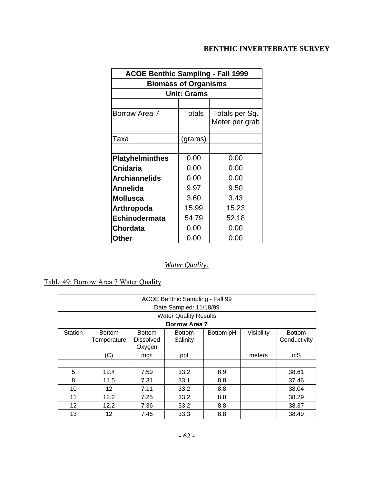| <b>ACOE Benthic Sampling - Fall 1999</b> |                             |                |  |  |  |  |
|------------------------------------------|-----------------------------|----------------|--|--|--|--|
|                                          | <b>Biomass of Organisms</b> |                |  |  |  |  |
|                                          | <b>Unit: Grams</b>          |                |  |  |  |  |
|                                          |                             |                |  |  |  |  |
| Borrow Area 7                            | <b>Totals</b>               | Totals per Sq. |  |  |  |  |
|                                          |                             | Meter per grab |  |  |  |  |
| Taxa                                     | (grams)                     |                |  |  |  |  |
|                                          |                             |                |  |  |  |  |
| <b>Platyhelminthes</b>                   | 0.00                        | 0.00           |  |  |  |  |
| <b>Cnidaria</b>                          | 0.00                        | 0.00           |  |  |  |  |
| <b>Archiannelids</b>                     | 0.00                        | 0.00           |  |  |  |  |
| Annelida                                 | 9.97                        | 9.50           |  |  |  |  |
| <b>Mollusca</b>                          | 3.60                        | 3.43           |  |  |  |  |
| Arthropoda                               | 15.99                       | 15.23          |  |  |  |  |
| <b>Echinodermata</b>                     | 54.79                       | 52.18          |  |  |  |  |
| <b>Chordata</b>                          | 0.00                        | 0.00           |  |  |  |  |
| <b>Other</b>                             | 0.00                        | 0.00           |  |  |  |  |

# *Water Quality:*

Table 49: Borrow Area 7 Water Quality

| ACOE Benthic Sampling - Fall 99          |                                                                                                                                                               |      |                              |     |  |       |
|------------------------------------------|---------------------------------------------------------------------------------------------------------------------------------------------------------------|------|------------------------------|-----|--|-------|
|                                          |                                                                                                                                                               |      | Date Sampled: 11/18/99       |     |  |       |
|                                          |                                                                                                                                                               |      | <b>Water Quality Results</b> |     |  |       |
|                                          |                                                                                                                                                               |      | <b>Borrow Area 7</b>         |     |  |       |
| Station                                  | Visibility<br><b>Bottom</b><br><b>Bottom</b><br><b>Bottom</b><br>Bottom pH<br><b>Bottom</b><br>Conductivity<br>Salinity<br>Temperature<br>Dissolved<br>Oxygen |      |                              |     |  |       |
|                                          | (C)<br>mS<br>mg/l<br>meters<br>ppt                                                                                                                            |      |                              |     |  |       |
|                                          |                                                                                                                                                               |      |                              |     |  |       |
| 5                                        | 12.4                                                                                                                                                          | 7.59 | 33.2                         | 8.9 |  | 38.61 |
| 8                                        | 11.5                                                                                                                                                          | 7.31 | 33.1                         | 8.8 |  | 37.46 |
| 12<br>33.2<br>10<br>7.11<br>8.8<br>38.04 |                                                                                                                                                               |      |                              |     |  |       |
| 11                                       | 12.2                                                                                                                                                          | 7.25 | 33.2                         | 8.8 |  | 38.29 |
| 12                                       | 12.2                                                                                                                                                          | 7.36 | 33.2                         | 8.8 |  | 38.37 |
| 13                                       | 12                                                                                                                                                            | 7.46 | 33.3                         | 8.8 |  | 38.49 |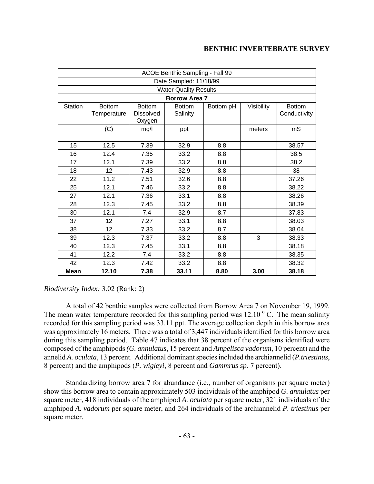|                | ACOE Benthic Sampling - Fall 99 |                                   |                              |           |            |                               |
|----------------|---------------------------------|-----------------------------------|------------------------------|-----------|------------|-------------------------------|
|                |                                 |                                   | Date Sampled: 11/18/99       |           |            |                               |
|                |                                 |                                   | <b>Water Quality Results</b> |           |            |                               |
|                |                                 |                                   | <b>Borrow Area 7</b>         |           |            |                               |
| <b>Station</b> | <b>Bottom</b><br>Temperature    | <b>Bottom</b><br><b>Dissolved</b> | <b>Bottom</b><br>Salinity    | Bottom pH | Visibility | <b>Bottom</b><br>Conductivity |
|                |                                 | Oxygen                            |                              |           |            |                               |
|                | (C)                             | mg/l                              | ppt                          |           | meters     | mS                            |
|                |                                 |                                   |                              |           |            |                               |
| 15             | 12.5                            | 7.39                              | 32.9                         | 8.8       |            | 38.57                         |
| 16             | 12.4                            | 7.35                              | 33.2                         | 8.8       |            | 38.5                          |
| 17             | 12.1                            | 7.39                              | 33.2                         | 8.8       |            | 38.2                          |
| 18             | 12                              | 7.43                              | 32.9                         | 8.8       |            | 38                            |
| 22             | 11.2                            | 7.51                              | 32.6                         | 8.8       |            | 37.26                         |
| 25             | 12.1                            | 7.46                              | 33.2                         | 8.8       |            | 38.22                         |
| 27             | 12.1                            | 7.36                              | 33.1                         | 8.8       |            | 38.26                         |
| 28             | 12.3                            | 7.45                              | 33.2                         | 8.8       |            | 38.39                         |
| 30             | 12.1                            | 7.4                               | 32.9                         | 8.7       |            | 37.83                         |
| 37             | 12                              | 7.27                              | 33.1                         | 8.8       |            | 38.03                         |
| 38             | 12                              | 7.33                              | 33.2                         | 8.7       |            | 38.04                         |
| 39             | 12.3                            | 7.37                              | 33.2                         | 8.8       | 3          | 38.33                         |
| 40             | 12.3                            | 7.45                              | 33.1                         | 8.8       |            | 38.18                         |
| 41             | 12.2                            | 7.4                               | 33.2                         | 8.8       |            | 38.35                         |
| 42             | 12.3                            | 7.42                              | 33.2                         | 8.8       |            | 38.32                         |
| <b>Mean</b>    | 12.10                           | 7.38                              | 33.11                        | 8.80      | 3.00       | 38.18                         |

### *Biodiversity Index:* 3.02 (Rank: 2)

A total of 42 benthic samples were collected from Borrow Area 7 on November 19, 1999. The mean water temperature recorded for this sampling period was  $12.10\degree$  C. The mean salinity recorded for this sampling period was 33.11 ppt. The average collection depth in this borrow area was approximately 16 meters. There was a total of 3,447 individuals identified for this borrow area during this sampling period. Table 47 indicates that 38 percent of the organisms identified were composed of the amphipods *(G. annulatus*, 15 percent and *Ampelisca vadorum*, 10 percent) and the annelid *A. oculata*, 13 percent. Additional dominant species included the archiannelid (*P.triestinus*, 8 percent) and the amphipods (*P. wigleyi*, 8 percent and *Gammrus sp.* 7 percent).

Standardizing borrow area 7 for abundance (i.e., number of organisms per square meter) show this borrow area to contain approximately 503 individuals of the amphipod *G. annulatus* per square meter, 418 individuals of the amphipod *A. oculata* per square meter, 321 individuals of the amphipod *A. vadorum* per square meter, and 264 individuals of the archiannelid *P. triestinus* per square meter.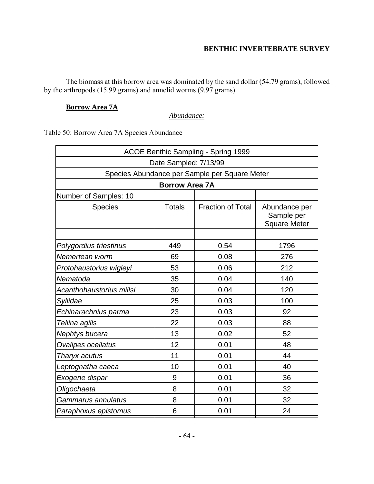The biomass at this borrow area was dominated by the sand dollar (54.79 grams), followed by the arthropods (15.99 grams) and annelid worms (9.97 grams).

### **Borrow Area 7A**

*Abundance:*

Table 50: Borrow Area 7A Species Abundance

| ACOE Benthic Sampling - Spring 1999          |                       |                                               |                                                    |  |  |  |
|----------------------------------------------|-----------------------|-----------------------------------------------|----------------------------------------------------|--|--|--|
|                                              | Date Sampled: 7/13/99 |                                               |                                                    |  |  |  |
|                                              |                       | Species Abundance per Sample per Square Meter |                                                    |  |  |  |
|                                              | <b>Borrow Area 7A</b> |                                               |                                                    |  |  |  |
| Number of Samples: 10                        |                       |                                               |                                                    |  |  |  |
| <b>Species</b>                               | <b>Totals</b>         | <b>Fraction of Total</b>                      | Abundance per<br>Sample per<br><b>Square Meter</b> |  |  |  |
|                                              |                       |                                               |                                                    |  |  |  |
| Polygordius triestinus                       | 449                   | 0.54                                          | 1796                                               |  |  |  |
| Nemertean worm                               | 69                    | 0.08                                          | 276                                                |  |  |  |
| 53<br>0.06<br>212<br>Protohaustorius wigleyi |                       |                                               |                                                    |  |  |  |
| Nematoda                                     | 35                    | 0.04                                          | 140                                                |  |  |  |
| Acanthohaustorius millsi                     | 30                    | 0.04                                          | 120                                                |  |  |  |
| Syllidae                                     | 25                    | 0.03                                          | 100                                                |  |  |  |
| Echinarachnius parma                         | 23                    | 0.03                                          | 92                                                 |  |  |  |
| Tellina agilis                               | 22                    | 0.03                                          | 88                                                 |  |  |  |
| Nephtys bucera                               | 13                    | 0.02                                          | 52                                                 |  |  |  |
| Ovalipes ocellatus                           | 12                    | 0.01                                          | 48                                                 |  |  |  |
| Tharyx acutus                                | 11                    | 0.01                                          | 44                                                 |  |  |  |
| Leptognatha caeca                            | 0.01<br>10<br>40      |                                               |                                                    |  |  |  |
| Exogene dispar                               | 9                     | 0.01                                          | 36                                                 |  |  |  |
| Oligochaeta                                  | 8                     | 0.01                                          | 32                                                 |  |  |  |
| Gammarus annulatus                           | 8                     | 0.01                                          | 32                                                 |  |  |  |
| Paraphoxus epistomus                         | 6                     | 0.01                                          | 24                                                 |  |  |  |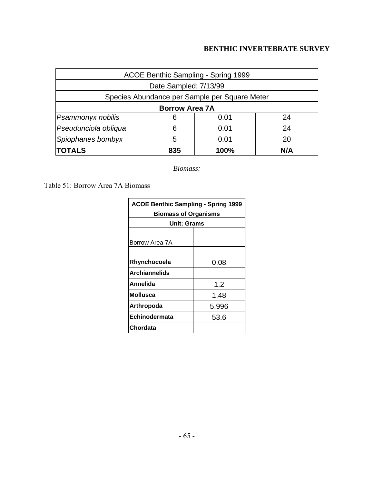| ACOE Benthic Sampling - Spring 1999     |                       |                                               |     |  |  |
|-----------------------------------------|-----------------------|-----------------------------------------------|-----|--|--|
|                                         | Date Sampled: 7/13/99 |                                               |     |  |  |
|                                         |                       | Species Abundance per Sample per Square Meter |     |  |  |
| <b>Borrow Area 7A</b>                   |                       |                                               |     |  |  |
| Psammonyx nobilis                       | 6                     | 0.01                                          | 24  |  |  |
| Pseudunciola obliqua<br>0.01<br>24<br>6 |                       |                                               |     |  |  |
| Spiophanes bombyx<br>5<br>0.01<br>20    |                       |                                               |     |  |  |
| <b>TOTALS</b>                           | 835                   | 100%                                          | N/A |  |  |

*Biomass:*

Table 51: Borrow Area 7A Biomass

| <b>ACOE Benthic Sampling - Spring 1999</b> |  |  |  |  |
|--------------------------------------------|--|--|--|--|
| <b>Biomass of Organisms</b>                |  |  |  |  |
| <b>Unit: Grams</b>                         |  |  |  |  |
|                                            |  |  |  |  |
| Borrow Area 7A                             |  |  |  |  |
|                                            |  |  |  |  |
| 0.08<br>Rhynchocoela                       |  |  |  |  |
| <b>Archiannelids</b>                       |  |  |  |  |
| Annelida<br>12                             |  |  |  |  |
| Mollusca<br>1.48                           |  |  |  |  |
| Arthropoda<br>5.996                        |  |  |  |  |
| Echinodermata<br>53.6                      |  |  |  |  |
| Chordata                                   |  |  |  |  |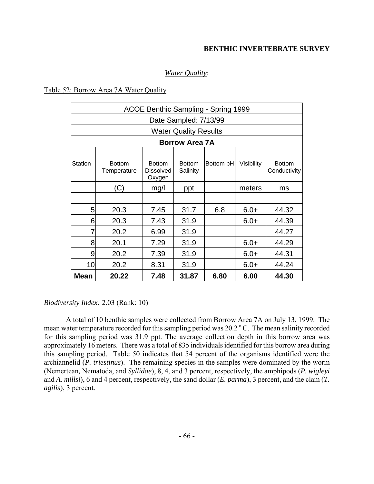### *Water Quality*:

#### Table 52: Borrow Area 7A Water Quality

| ACOE Benthic Sampling - Spring 1999 |                                         |                                             |                              |           |            |                               |  |
|-------------------------------------|-----------------------------------------|---------------------------------------------|------------------------------|-----------|------------|-------------------------------|--|
|                                     |                                         |                                             | Date Sampled: 7/13/99        |           |            |                               |  |
|                                     |                                         |                                             | <b>Water Quality Results</b> |           |            |                               |  |
|                                     |                                         |                                             | <b>Borrow Area 7A</b>        |           |            |                               |  |
|                                     |                                         |                                             |                              |           |            |                               |  |
| Station                             | <b>Bottom</b><br>Temperature            | <b>Bottom</b><br><b>Dissolved</b><br>Oxygen | <b>Bottom</b><br>Salinity    | Bottom pH | Visibility | <b>Bottom</b><br>Conductivity |  |
|                                     | (C)                                     | mg/l                                        | ppt                          |           | meters     | ms                            |  |
|                                     |                                         |                                             |                              |           |            |                               |  |
| 5                                   | 20.3                                    | 7.45                                        | 31.7                         | 6.8       | $6.0+$     | 44.32                         |  |
| 6                                   | 20.3                                    | 7.43                                        | 31.9                         |           | $6.0+$     | 44.39                         |  |
| 7                                   | 20.2                                    | 6.99                                        | 31.9                         |           |            | 44.27                         |  |
| 8                                   | 20.1                                    | 7.29                                        | 31.9                         |           | $6.0+$     | 44.29                         |  |
| 9                                   | 20.2                                    | 7.39                                        | 31.9                         |           | $6.0+$     | 44.31                         |  |
| 10                                  | 20.2<br>8.31<br>$6.0+$<br>44.24<br>31.9 |                                             |                              |           |            |                               |  |
| <b>Mean</b>                         | 20.22                                   | 7.48                                        | 31.87                        | 6.80      | 6.00       | 44.30                         |  |

#### *Biodiversity Index:* 2.03 (Rank: 10)

A total of 10 benthic samples were collected from Borrow Area 7A on July 13, 1999. The mean water temperature recorded for this sampling period was  $20.2\degree$ C. The mean salinity recorded for this sampling period was 31.9 ppt. The average collection depth in this borrow area was approximately 16 meters. There was a total of 835 individuals identified for this borrow area during this sampling period. Table 50 indicates that 54 percent of the organisms identified were the archiannelid (*P. triestinus*). The remaining species in the samples were dominated by the worm (Nemertean*,* Nematoda, and *Syllidae*), 8, 4, and 3 percent, respectively, the amphipods (*P. wigleyi* and *A. millsi*), 6 and 4 percent, respectively, the sand dollar (*E. parma*), 3 percent, and the clam (*T. agilis*), 3 percent.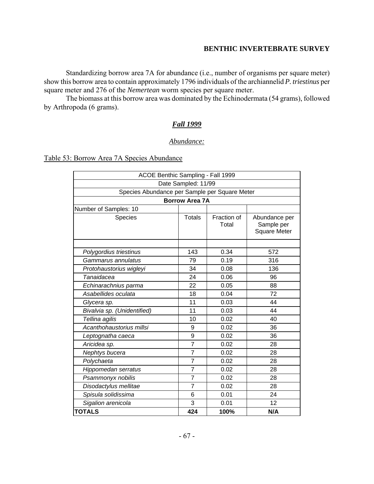Standardizing borrow area 7A for abundance (i.e., number of organisms per square meter) show this borrow area to contain approximately 1796 individuals of the archiannelid *P. triestinus* per square meter and 276 of the *Nemertean* worm species per square meter.

The biomass at this borrow area was dominated by the Echinodermata (54 grams), followed by Arthropoda (6 grams).

## *Fall 1999*

### *Abundance:*

Table 53: Borrow Area 7A Species Abundance

| ACOE Benthic Sampling - Fall 1999             |                       |                      |                                                    |  |
|-----------------------------------------------|-----------------------|----------------------|----------------------------------------------------|--|
| Date Sampled: 11/99                           |                       |                      |                                                    |  |
| Species Abundance per Sample per Square Meter |                       |                      |                                                    |  |
|                                               | <b>Borrow Area 7A</b> |                      |                                                    |  |
| Number of Samples: 10                         |                       |                      |                                                    |  |
| Species                                       | <b>Totals</b>         | Fraction of<br>Total | Abundance per<br>Sample per<br><b>Square Meter</b> |  |
|                                               |                       |                      |                                                    |  |
| Polygordius triestinus                        | 143                   | 0.34                 | 572                                                |  |
| Gammarus annulatus                            | 79                    | 0.19                 | 316                                                |  |
| Protohaustorius wigleyi                       | 34                    | 0.08                 | 136                                                |  |
| Tanaidacea                                    | 24                    | 0.06                 | 96                                                 |  |
| Echinarachnius parma                          | 22                    | 0.05                 | 88                                                 |  |
| Asabellides oculata                           | 18                    | 0.04                 | 72                                                 |  |
| Glycera sp.                                   | 11                    | 0.03                 | 44                                                 |  |
| Bivalvia sp. (Unidentified)                   | 11                    | 0.03                 | 44                                                 |  |
| Tellina agilis                                | 10                    | 0.02                 | 40                                                 |  |
| Acanthohaustorius millsi                      | 9                     | 0.02                 | 36                                                 |  |
| Leptognatha caeca                             | 9                     | 0.02                 | 36                                                 |  |
| Aricidea sp.                                  | 7                     | 0.02                 | 28                                                 |  |
| Nephtys bucera                                | $\overline{7}$        | 0.02                 | 28                                                 |  |
| Polychaeta                                    | $\overline{7}$        | 0.02                 | 28                                                 |  |
| Hippomedan serratus                           | $\overline{7}$        | 0.02                 | 28                                                 |  |
| Psammonyx nobilis                             | $\overline{7}$        | 0.02                 | 28                                                 |  |
| Disodactylus mellitae                         | $\overline{7}$        | 0.02                 | 28                                                 |  |
| Spisula solidissima                           | 6                     | 0.01                 | 24                                                 |  |
| Sigalion arenicola                            | 3                     | 0.01                 | 12                                                 |  |
| <b>TOTALS</b>                                 | 424                   | 100%                 | N/A                                                |  |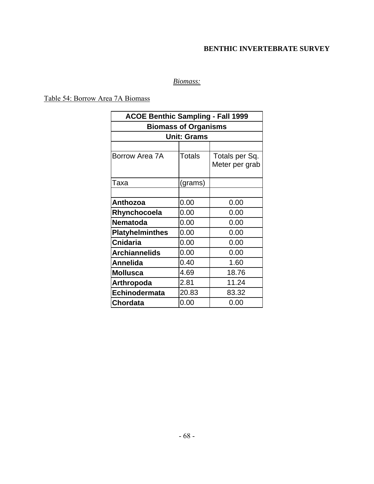## *Biomass:*

Table 54: Borrow Area 7A Biomass

| <b>ACOE Benthic Sampling - Fall 1999</b> |                             |                                  |  |  |
|------------------------------------------|-----------------------------|----------------------------------|--|--|
|                                          | <b>Biomass of Organisms</b> |                                  |  |  |
|                                          | <b>Unit: Grams</b>          |                                  |  |  |
|                                          |                             |                                  |  |  |
| Borrow Area 7A                           | Totals                      | Totals per Sq.<br>Meter per grab |  |  |
| Taxa                                     | (grams)                     |                                  |  |  |
|                                          |                             |                                  |  |  |
| Anthozoa                                 | 0.00                        | 0.00                             |  |  |
| Rhynchocoela                             | 0.00                        | 0.00                             |  |  |
| <b>Nematoda</b>                          | 0.00                        | 0.00                             |  |  |
| <b>Platyhelminthes</b>                   | 0.00                        | 0.00                             |  |  |
| <b>Cnidaria</b>                          | 0.00                        | 0.00                             |  |  |
| <b>Archiannelids</b>                     | 0.00                        | 0.00                             |  |  |
| <b>Annelida</b>                          | 0.40                        | 1.60                             |  |  |
| <b>Mollusca</b>                          | 4.69                        | 18.76                            |  |  |
| <b>Arthropoda</b>                        | 2.81                        | 11.24                            |  |  |
| Echinodermata                            | 20.83                       | 83.32                            |  |  |
| Chordata                                 | 0.00                        | 0.00                             |  |  |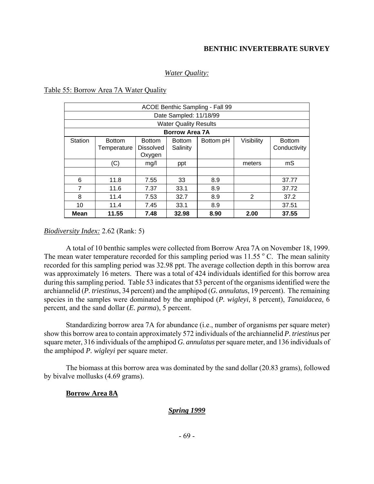## *Water Quality:*

Table 55: Borrow Area 7A Water Quality

| ACOE Benthic Sampling - Fall 99 |                              |                                             |                           |           |            |                               |
|---------------------------------|------------------------------|---------------------------------------------|---------------------------|-----------|------------|-------------------------------|
| Date Sampled: 11/18/99          |                              |                                             |                           |           |            |                               |
| <b>Water Quality Results</b>    |                              |                                             |                           |           |            |                               |
| <b>Borrow Area 7A</b>           |                              |                                             |                           |           |            |                               |
| <b>Station</b>                  | <b>Bottom</b><br>Temperature | <b>Bottom</b><br><b>Dissolved</b><br>Oxygen | <b>Bottom</b><br>Salinity | Bottom pH | Visibility | <b>Bottom</b><br>Conductivity |
|                                 | (C)                          | mg/l                                        | ppt                       |           | meters     | mS                            |
|                                 |                              |                                             |                           |           |            |                               |
| 6                               | 11.8                         | 7.55                                        | 33                        | 8.9       |            | 37.77                         |
| 7                               | 11.6                         | 7.37                                        | 33.1                      | 8.9       |            | 37.72                         |
| 8                               | 11.4                         | 7.53                                        | 32.7                      | 8.9       | 2          | 37.2                          |
| 10                              | 11.4                         | 7.45                                        | 33.1                      | 8.9       |            | 37.51                         |
| Mean                            | 11.55                        | 7.48                                        | 32.98                     | 8.90      | 2.00       | 37.55                         |

### *Biodiversity Index:* 2.62 (Rank: 5)

A total of 10 benthic samples were collected from Borrow Area 7A on November 18, 1999. The mean water temperature recorded for this sampling period was  $11.55\,^{\circ}$  C. The mean salinity recorded for this sampling period was 32.98 ppt. The average collection depth in this borrow area was approximately 16 meters. There was a total of 424 individuals identified for this borrow area during this sampling period. Table 53 indicates that 53 percent of the organisms identified were the archiannelid (*P. triestinus*, 34 percent) and the amphipod (*G. annulatus*, 19 percent). The remaining species in the samples were dominated by the amphipod (*P. wigleyi*, 8 percent), *Tanaidacea*, 6 percent, and the sand dollar (*E. parma*), 5 percent.

Standardizing borrow area 7A for abundance (i.e., number of organisms per square meter) show this borrow area to contain approximately 572 individuals of the archiannelid *P. triestinus* per square meter, 316 individuals of the amphipod *G. annulatus* per square meter, and 136 individuals of the amphipod *P. wigleyi* per square meter.

The biomass at this borrow area was dominated by the sand dollar (20.83 grams), followed by bivalve mollusks (4.69 grams).

### **Borrow Area 8A**

### *Spring 1999*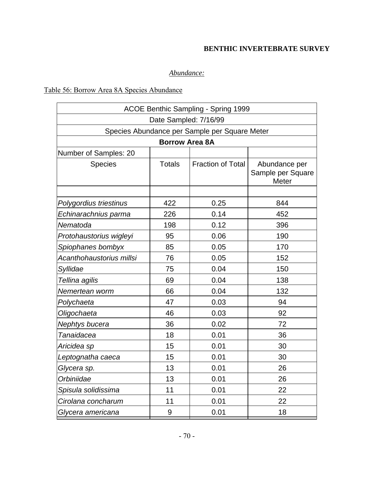# *Abundance:*

# Table 56: Borrow Area 8A Species Abundance

| ACOE Benthic Sampling - Spring 1999           |                       |                          |                                                    |  |  |  |  |  |
|-----------------------------------------------|-----------------------|--------------------------|----------------------------------------------------|--|--|--|--|--|
| Date Sampled: 7/16/99                         |                       |                          |                                                    |  |  |  |  |  |
| Species Abundance per Sample per Square Meter |                       |                          |                                                    |  |  |  |  |  |
|                                               | <b>Borrow Area 8A</b> |                          |                                                    |  |  |  |  |  |
| Number of Samples: 20                         |                       |                          |                                                    |  |  |  |  |  |
| <b>Species</b>                                | <b>Totals</b>         | <b>Fraction of Total</b> | Abundance per<br>Sample per Square<br><b>Meter</b> |  |  |  |  |  |
|                                               |                       |                          |                                                    |  |  |  |  |  |
| Polygordius triestinus                        | 422                   | 0.25                     | 844                                                |  |  |  |  |  |
| Echinarachnius parma                          | 226                   | 0.14                     | 452                                                |  |  |  |  |  |
| Nematoda                                      | 198                   | 0.12                     | 396                                                |  |  |  |  |  |
| Protohaustorius wigleyi                       | 95                    | 0.06                     | 190                                                |  |  |  |  |  |
| Spiophanes bombyx                             | 85                    | 0.05                     | 170                                                |  |  |  |  |  |
| Acanthohaustorius millsi                      | 76                    | 0.05                     | 152                                                |  |  |  |  |  |
| Syllidae                                      | 75                    | 0.04                     | 150                                                |  |  |  |  |  |
| Tellina agilis                                | 69                    | 0.04                     | 138                                                |  |  |  |  |  |
| Nemertean worm                                | 66                    | 0.04                     | 132                                                |  |  |  |  |  |
| Polychaeta                                    | 47                    | 0.03                     | 94                                                 |  |  |  |  |  |
| Oligochaeta                                   | 46                    | 0.03                     | 92                                                 |  |  |  |  |  |
| Nephtys bucera                                | 36                    | 0.02                     | 72                                                 |  |  |  |  |  |
| Tanaidacea                                    | 18                    | 0.01                     | 36                                                 |  |  |  |  |  |
| Aricidea sp                                   | 15                    | 0.01                     | 30                                                 |  |  |  |  |  |
| Leptognatha caeca                             | 15                    | 0.01                     | 30                                                 |  |  |  |  |  |
| Glycera sp.                                   | 13                    | 0.01                     | 26                                                 |  |  |  |  |  |
| Orbiniidae                                    | 13                    | 0.01                     | 26                                                 |  |  |  |  |  |
| Spisula solidissima                           | 11                    | 0.01                     | 22                                                 |  |  |  |  |  |
| Cirolana concharum                            | 11                    | 0.01                     | 22                                                 |  |  |  |  |  |
| Glycera americana                             | 9                     | 0.01                     | 18                                                 |  |  |  |  |  |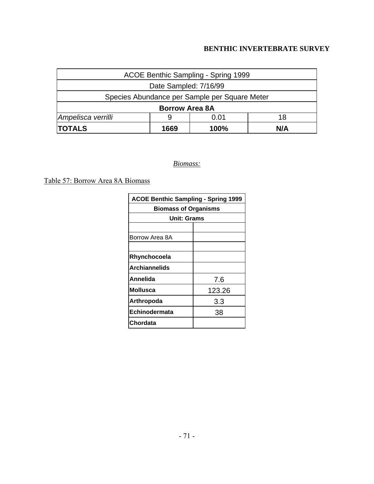| ACOE Benthic Sampling - Spring 1999           |                       |  |  |  |  |
|-----------------------------------------------|-----------------------|--|--|--|--|
| Date Sampled: 7/16/99                         |                       |  |  |  |  |
| Species Abundance per Sample per Square Meter |                       |  |  |  |  |
|                                               | <b>Borrow Area 8A</b> |  |  |  |  |
| Ampelisca verrilli<br>0.01<br>18<br>9         |                       |  |  |  |  |
| <b>TOTALS</b>                                 | N/A                   |  |  |  |  |

*Biomass:*

Table 57: Borrow Area 8A Biomass

| <b>ACOE Benthic Sampling - Spring 1999</b> |        |  |  |  |  |
|--------------------------------------------|--------|--|--|--|--|
| <b>Biomass of Organisms</b>                |        |  |  |  |  |
| <b>Unit: Grams</b>                         |        |  |  |  |  |
|                                            |        |  |  |  |  |
| Borrow Area 8A                             |        |  |  |  |  |
|                                            |        |  |  |  |  |
| Rhynchocoela                               |        |  |  |  |  |
| <b>Archiannelids</b>                       |        |  |  |  |  |
| Annelida                                   | 7.6    |  |  |  |  |
| <b>Mollusca</b>                            | 123.26 |  |  |  |  |
| Arthropoda                                 | 3.3    |  |  |  |  |
| Echinodermata                              | 38     |  |  |  |  |
| Chordata                                   |        |  |  |  |  |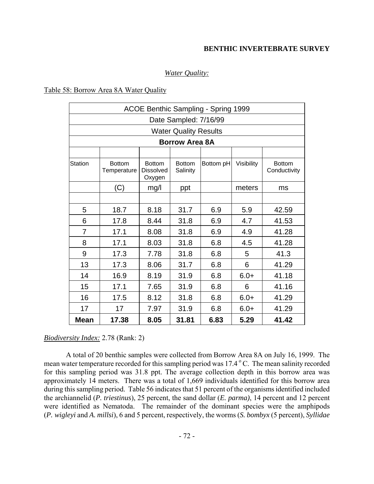### *Water Quality:*

### Table 58: Borrow Area 8A Water Quality

|                | <b>ACOE Benthic Sampling - Spring 1999</b> |                                             |                              |           |            |                               |  |  |  |
|----------------|--------------------------------------------|---------------------------------------------|------------------------------|-----------|------------|-------------------------------|--|--|--|
|                | Date Sampled: 7/16/99                      |                                             |                              |           |            |                               |  |  |  |
|                |                                            |                                             | <b>Water Quality Results</b> |           |            |                               |  |  |  |
|                |                                            |                                             | <b>Borrow Area 8A</b>        |           |            |                               |  |  |  |
|                |                                            |                                             |                              |           |            |                               |  |  |  |
| <b>Station</b> | <b>Bottom</b><br>Temperature               | <b>Bottom</b><br><b>Dissolved</b><br>Oxygen | <b>Bottom</b><br>Salinity    | Bottom pH | Visibility | <b>Bottom</b><br>Conductivity |  |  |  |
|                | (C)                                        | mg/l                                        | ppt                          |           | meters     | ms                            |  |  |  |
|                |                                            |                                             |                              |           |            |                               |  |  |  |
| 5              | 18.7                                       | 8.18                                        | 31.7                         | 6.9       | 5.9        | 42.59                         |  |  |  |
| 6              | 17.8                                       | 8.44                                        | 31.8                         | 6.9       | 4.7        | 41.53                         |  |  |  |
| 7              | 17.1                                       | 8.08                                        | 31.8                         | 6.9       | 4.9        | 41.28                         |  |  |  |
| 8              | 17.1                                       | 8.03                                        | 31.8                         | 6.8       | 4.5        | 41.28                         |  |  |  |
| 9              | 17.3                                       | 7.78                                        | 31.8                         | 6.8       | 5          | 41.3                          |  |  |  |
| 13             | 17.3                                       | 8.06                                        | 31.7                         | 6.8       | 6          | 41.29                         |  |  |  |
| 14             | 16.9                                       | 8.19                                        | 31.9                         | 6.8       | $6.0+$     | 41.18                         |  |  |  |
| 15             | 17.1                                       | 7.65                                        | 31.9                         | 6.8       | 6          | 41.16                         |  |  |  |
| 16             | 17.5                                       | 8.12                                        | 31.8                         | 6.8       | $6.0+$     | 41.29                         |  |  |  |
| 17             | 17                                         | 7.97                                        | 31.9                         | 6.8       | $6.0+$     | 41.29                         |  |  |  |
| <b>Mean</b>    | 17.38                                      | 8.05                                        | 31.81                        | 6.83      | 5.29       | 41.42                         |  |  |  |

*Biodiversity Index:* 2.78 (Rank: 2)

A total of 20 benthic samples were collected from Borrow Area 8A on July 16, 1999. The mean water temperature recorded for this sampling period was 17.4 °C. The mean salinity recorded for this sampling period was 31.8 ppt. The average collection depth in this borrow area was approximately 14 meters. There was a total of 1,669 individuals identified for this borrow area during this sampling period. Table 56 indicates that 51 percent of the organisms identified included the archiannelid (*P. triestinus*), 25 percent, the sand dollar (*E. parma)*, 14 percent and 12 percent were identified as Nematoda. The remainder of the dominant species were the amphipods (*P. wigleyi* and *A. millsi*), 6 and 5 percent, respectively, the worms (*S. bombyx* (5 percent), *Syllidae*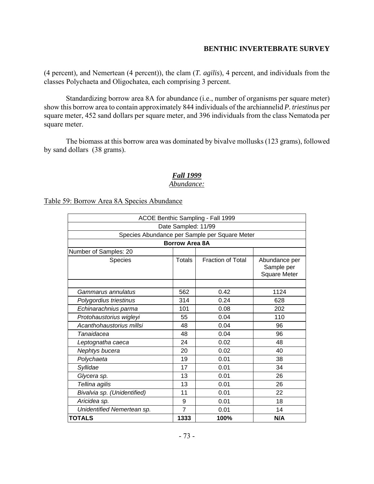(4 percent)*,* and Nemertean (4 percent)), the clam (*T. agilis*), 4 percent, and individuals from the classes Polychaeta and Oligochatea, each comprising 3 percent.

Standardizing borrow area 8A for abundance (i.e., number of organisms per square meter) show this borrow area to contain approximately 844 individuals of the archiannelid *P. triestinus* per square meter, 452 sand dollars per square meter, and 396 individuals from the class Nematoda per square meter.

The biomass at this borrow area was dominated by bivalve mollusks (123 grams), followed by sand dollars (38 grams).

# *Fall 1999*

### *Abundance:*

Table 59: Borrow Area 8A Species Abundance

|                                              | ACOE Benthic Sampling - Fall 1999 |                                               |                                                    |  |  |  |  |
|----------------------------------------------|-----------------------------------|-----------------------------------------------|----------------------------------------------------|--|--|--|--|
|                                              | Date Sampled: 11/99               |                                               |                                                    |  |  |  |  |
|                                              |                                   | Species Abundance per Sample per Square Meter |                                                    |  |  |  |  |
|                                              | <b>Borrow Area 8A</b>             |                                               |                                                    |  |  |  |  |
| Number of Samples: 20                        |                                   |                                               |                                                    |  |  |  |  |
| Species                                      | <b>Totals</b>                     | <b>Fraction of Total</b>                      | Abundance per<br>Sample per<br><b>Square Meter</b> |  |  |  |  |
|                                              |                                   |                                               |                                                    |  |  |  |  |
| Gammarus annulatus                           | 562                               | 0.42                                          | 1124                                               |  |  |  |  |
| 314<br>0.24<br>628<br>Polygordius triestinus |                                   |                                               |                                                    |  |  |  |  |
| 101<br>0.08<br>202<br>Echinarachnius parma   |                                   |                                               |                                                    |  |  |  |  |
| Protohaustorius wigleyi                      | 55                                | 0.04                                          | 110                                                |  |  |  |  |
| Acanthohaustorius millsi                     | 48                                | 0.04                                          | 96                                                 |  |  |  |  |
| Tanaidacea                                   | 48                                | 0.04                                          | 96                                                 |  |  |  |  |
| Leptognatha caeca                            | 24                                | 0.02                                          | 48                                                 |  |  |  |  |
| Nephtys bucera                               | 20                                | 0.02                                          | 40                                                 |  |  |  |  |
| Polychaeta                                   | 19                                | 0.01                                          | 38                                                 |  |  |  |  |
| Syllidae                                     | 17                                | 0.01                                          | 34                                                 |  |  |  |  |
| Glycera sp.                                  | 13                                | 0.01                                          | 26                                                 |  |  |  |  |
| Tellina agilis                               | 13                                | 0.01                                          | 26                                                 |  |  |  |  |
| Bivalvia sp. (Unidentified)                  | 11                                | 0.01                                          | 22                                                 |  |  |  |  |
| Aricidea sp.                                 | 9                                 | 0.01                                          | 18                                                 |  |  |  |  |
| Unidentified Nemertean sp.                   | $\overline{7}$                    | 0.01                                          | 14                                                 |  |  |  |  |
| <b>TOTALS</b><br>1333<br>N/A<br>100%         |                                   |                                               |                                                    |  |  |  |  |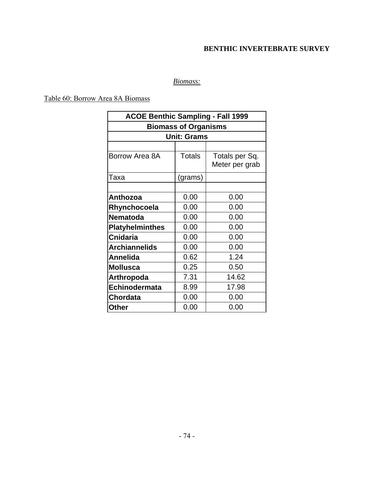# *Biomass:*

Table 60: Borrow Area 8A Biomass

| <b>ACOE Benthic Sampling - Fall 1999</b> |                             |                |  |  |  |  |  |  |
|------------------------------------------|-----------------------------|----------------|--|--|--|--|--|--|
|                                          | <b>Biomass of Organisms</b> |                |  |  |  |  |  |  |
|                                          | <b>Unit: Grams</b>          |                |  |  |  |  |  |  |
|                                          |                             |                |  |  |  |  |  |  |
| Borrow Area 8A                           | <b>Totals</b>               | Totals per Sq. |  |  |  |  |  |  |
|                                          |                             | Meter per grab |  |  |  |  |  |  |
| Taxa                                     | (grams)                     |                |  |  |  |  |  |  |
|                                          |                             |                |  |  |  |  |  |  |
| <b>Anthozoa</b>                          | 0.00                        | 0.00           |  |  |  |  |  |  |
| Rhynchocoela                             | 0.00                        | 0.00           |  |  |  |  |  |  |
| <b>Nematoda</b>                          | 0.00                        | 0.00           |  |  |  |  |  |  |
| <b>Platyhelminthes</b>                   | 0.00                        | 0.00           |  |  |  |  |  |  |
| <b>Cnidaria</b>                          | 0.00                        | 0.00           |  |  |  |  |  |  |
| <b>Archiannelids</b>                     | 0.00                        | 0.00           |  |  |  |  |  |  |
| <b>Annelida</b>                          | 0.62                        | 1.24           |  |  |  |  |  |  |
| <b>Mollusca</b>                          | 0.25                        | 0.50           |  |  |  |  |  |  |
| <b>Arthropoda</b>                        | 7.31                        | 14.62          |  |  |  |  |  |  |
| Echinodermata                            | 8.99                        | 17.98          |  |  |  |  |  |  |
| <b>Chordata</b>                          | 0.00                        | 0.00           |  |  |  |  |  |  |
| <b>Other</b>                             | 0.00                        | 0.00           |  |  |  |  |  |  |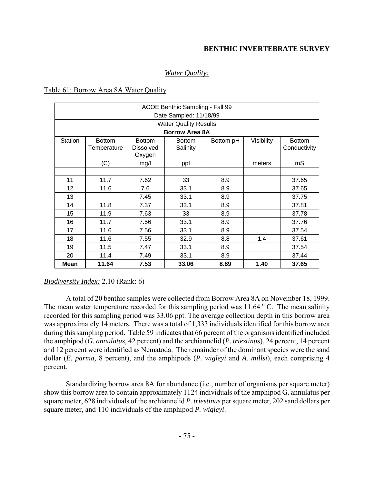### *Water Quality:*

## Table 61: Borrow Area 8A Water Quality

| ACOE Benthic Sampling - Fall 99 |               |                  |                              |           |            |               |  |  |
|---------------------------------|---------------|------------------|------------------------------|-----------|------------|---------------|--|--|
|                                 |               |                  | Date Sampled: 11/18/99       |           |            |               |  |  |
|                                 |               |                  | <b>Water Quality Results</b> |           |            |               |  |  |
|                                 |               |                  | <b>Borrow Area 8A</b>        |           |            |               |  |  |
| <b>Station</b>                  | <b>Bottom</b> | <b>Bottom</b>    | <b>Bottom</b>                | Bottom pH | Visibility | <b>Bottom</b> |  |  |
|                                 | Temperature   | <b>Dissolved</b> | Salinity                     |           |            | Conductivity  |  |  |
|                                 |               | Oxygen           |                              |           |            |               |  |  |
|                                 | (C)           | mg/l             | ppt                          |           | meters     | mS            |  |  |
|                                 |               |                  |                              |           |            |               |  |  |
| 11                              | 11.7          | 7.62             | 33                           | 8.9       |            | 37.65         |  |  |
| 12                              | 11.6          | 7.6              | 33.1                         | 8.9       |            | 37.65         |  |  |
| 13                              |               | 7.45             | 33.1                         | 8.9       |            | 37.75         |  |  |
| 14                              | 11.8          | 7.37             | 33.1                         | 8.9       |            | 37.81         |  |  |
| 15                              | 11.9          | 7.63             | 33                           | 8.9       |            | 37.78         |  |  |
| 16                              | 11.7          | 7.56             | 33.1                         | 8.9       |            | 37.76         |  |  |
| 17                              | 11.6          | 7.56             | 33.1                         | 8.9       |            | 37.54         |  |  |
| 18                              | 11.6          | 7.55             | 32.9                         | 8.8       | 1.4        | 37.61         |  |  |
| 19                              | 11.5          | 7.47             | 33.1                         | 8.9       |            | 37.54         |  |  |
| 20                              | 11.4          | 7.49             | 33.1                         | 8.9       |            | 37.44         |  |  |
| <b>Mean</b>                     | 11.64         | 7.53             | 33.06                        | 8.89      | 1.40       | 37.65         |  |  |
|                                 |               |                  |                              |           |            |               |  |  |

### *Biodiversity Index:* 2.10 (Rank: 6)

A total of 20 benthic samples were collected from Borrow Area 8A on November 18, 1999. The mean water temperature recorded for this sampling period was  $11.64\degree$  C. The mean salinity recorded for this sampling period was 33.06 ppt. The average collection depth in this borrow area was approximately 14 meters. There was a total of 1,333 individuals identified for this borrow area during this sampling period. Table 59 indicates that 66 percent of the organisms identified included the amphipod (*G. annulatus*, 42 percent) and the archiannelid (*P. triestinus*), 24 percent, 14 percent and 12 percent were identified as Nematoda. The remainder of the dominant species were the sand dollar (*E. parma,* 8 percent), and the amphipods (*P. wigleyi* and *A. millsi*), each comprising 4 percent.

Standardizing borrow area 8A for abundance (i.e., number of organisms per square meter) show this borrow area to contain approximately 1124 individuals of the amphipod G. annulatus per square meter, 628 individuals of the archiannelid *P. triestinus* per square meter, 202 sand dollars per square meter, and 110 individuals of the amphipod *P. wigleyi*.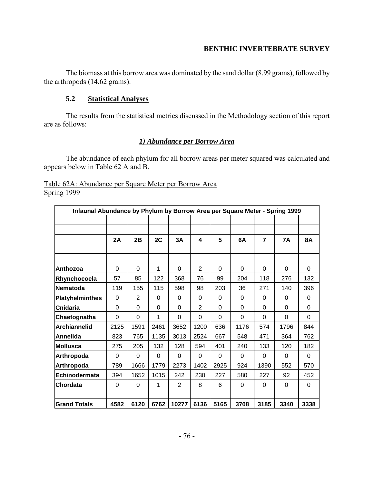The biomass at this borrow area was dominated by the sand dollar (8.99 grams), followed by the arthropods (14.62 grams).

### **5.2 Statistical Analyses**

The results from the statistical metrics discussed in the Methodology section of this report are as follows:

## *1) Abundance per Borrow Area*

The abundance of each phylum for all borrow areas per meter squared was calculated and appears below in Table 62 A and B.

| Infaunal Abundance by Phylum by Borrow Area per Square Meter - Spring 1999 |          |                |          |                |                |          |          |                |           |           |
|----------------------------------------------------------------------------|----------|----------------|----------|----------------|----------------|----------|----------|----------------|-----------|-----------|
|                                                                            | 2A       | 2B             | 2C       | 3A             | 4              | 5        | 6A       | $\overline{7}$ | <b>7A</b> | <b>8A</b> |
|                                                                            |          |                |          |                |                |          |          |                |           |           |
| Anthozoa                                                                   | 0        | $\Omega$       | 1        | $\Omega$       | $\overline{2}$ | $\Omega$ | $\Omega$ | 0              | $\Omega$  | $\Omega$  |
| Rhynchocoela                                                               | 57       | 85             | 122      | 368            | 76             | 99       | 204      | 118            | 276       | 132       |
| <b>Nematoda</b>                                                            | 119      | 155            | 115      | 598            | 98             | 203      | 36       | 271            | 140       | 396       |
| <b>Platyhelminthes</b>                                                     | 0        | $\overline{2}$ | 0        | 0              | 0              | $\Omega$ | $\Omega$ | $\Omega$       | $\Omega$  | 0         |
| Cnidaria                                                                   | 0        | $\Omega$       | 0        | $\Omega$       | $\overline{2}$ | $\Omega$ | $\Omega$ | $\Omega$       | $\Omega$  | 0         |
| Chaetognatha                                                               | $\Omega$ | $\Omega$       | 1        | $\Omega$       | 0              | 0        | $\Omega$ | $\Omega$       | $\Omega$  | 0         |
| <b>Archiannelid</b>                                                        | 2125     | 1591           | 2461     | 3652           | 1200           | 636      | 1176     | 574            | 1796      | 844       |
| Annelida                                                                   | 823      | 765            | 1135     | 3013           | 2524           | 667      | 548      | 471            | 364       | 762       |
| <b>Mollusca</b>                                                            | 275      | 205            | 132      | 128            | 594            | 401      | 240      | 133            | 120       | 182       |
| Arthropoda                                                                 | 0        | 0              | $\Omega$ | $\Omega$       | $\Omega$       | 0        | $\Omega$ | $\Omega$       | $\Omega$  | 0         |
| Arthropoda                                                                 | 789      | 1666           | 1779     | 2273           | 1402           | 2925     | 924      | 1390           | 552       | 570       |
| Echinodermata                                                              | 394      | 1652           | 1015     | 242            | 230            | 227      | 580      | 227            | 92        | 452       |
| <b>Chordata</b>                                                            | $\Omega$ | $\Omega$       | 1        | $\overline{2}$ | 8              | 6        | $\Omega$ | $\Omega$       | $\Omega$  | 0         |
| <b>Grand Totals</b>                                                        | 4582     | 6120           | 6762     | 10277          | 6136           | 5165     | 3708     | 3185           | 3340      | 3338      |

| Table 62A: Abundance per Square Meter per Borrow Area |  |  |  |
|-------------------------------------------------------|--|--|--|
| Spring 1999                                           |  |  |  |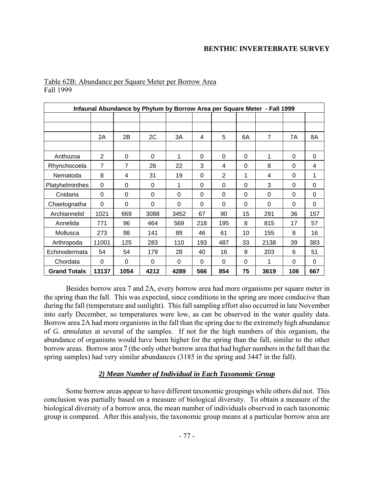| Infaunal Abundance by Phylum by Borrow Area per Square Meter - Fall 1999 |                |                |          |          |          |                |          |                |          |          |
|--------------------------------------------------------------------------|----------------|----------------|----------|----------|----------|----------------|----------|----------------|----------|----------|
|                                                                          |                |                |          |          |          |                |          |                |          |          |
|                                                                          |                |                |          |          |          |                |          |                |          |          |
|                                                                          | 2A             | 2B             | 2C       | 3A       | 4        | 5              | 6A       | $\overline{7}$ | 7Α       | 8A       |
|                                                                          |                |                |          |          |          |                |          |                |          |          |
| Anthozoa                                                                 | $\overline{2}$ | 0              | $\Omega$ | 1        | 0        | 0              | $\Omega$ | 1              | $\Omega$ | $\Omega$ |
| Rhynchocoela                                                             | $\overline{7}$ | $\overline{7}$ | 26       | 22       | 3        | 4              | $\Omega$ | 8              | 0        | 4        |
| Nematoda                                                                 | 8              | 4              | 31       | 19       | 0        | $\overline{2}$ | 1        | 4              | 0        | 1        |
| Platyhelminthes                                                          | 0              | 0              | 0        | 1        | 0        | 0              | $\Omega$ | 3              | 0        | 0        |
| Cnidaria                                                                 | 0              | 0              | 0        | 0        | 0        | 0              | $\Omega$ | 0              | 0        | 0        |
| Chaetognatha                                                             | 0              | 0              | 0        | 0        | 0        | 0              | $\Omega$ | 0              | $\Omega$ | $\Omega$ |
| Archiannelid                                                             | 1021           | 669            | 3088     | 3452     | 67       | 90             | 15       | 291            | 36       | 157      |
| Annelida                                                                 | 771            | 96             | 464      | 569      | 218      | 195            | 8        | 815            | 17       | 57       |
| Mollusca                                                                 | 273            | 98             | 141      | 89       | 46       | 61             | 10       | 155            | 8        | 16       |
| Arthropoda                                                               | 11001          | 125            | 283      | 110      | 193      | 487            | 33       | 2138           | 39       | 383      |
| Echinodermata                                                            | 54             | 54             | 179      | 28       | 40       | 16             | 9        | 203            | 6        | 51       |
| Chordata                                                                 | $\Omega$       | $\Omega$       | $\Omega$ | $\Omega$ | $\Omega$ | $\Omega$       | $\Omega$ | 1              | $\Omega$ | $\Omega$ |
| <b>Grand Totals</b>                                                      | 13137          | 1054           | 4212     | 4289     | 566      | 854            | 75       | 3619           | 106      | 667      |

### Table 62B: Abundance per Square Meter per Borrow Area Fall 1999

Besides borrow area 7 and 2A, every borrow area had more organisms per square meter in the spring than the fall. This was expected, since conditions in the spring are more conducive than during the fall (temperature and sunlight). This fall sampling effort also occurred in late November into early December, so temperatures were low, as can be observed in the water quality data. Borrow area 2A had more organisms in the fall than the spring due to the extremely high abundance of *G. annulatus* at several of the samples. If not for the high numbers of this organism, the abundance of organisms would have been higher for the spring than the fall, similar to the other borrow areas. Borrow area 7 (the only other borrow area that had higher numbers in the fall than the spring samples) had very similar abundances (3185 in the spring and 3447 in the fall).

## *2) Mean Number of Individual in Each Taxonomic Group*

Some borrow areas appear to have different taxonomic groupings while others did not. This conclusion was partially based on a measure of biological diversity. To obtain a measure of the biological diversity of a borrow area, the mean number of individuals observed in each taxonomic group is compared. After this analysis, the taxonomic group means at a particular borrow area are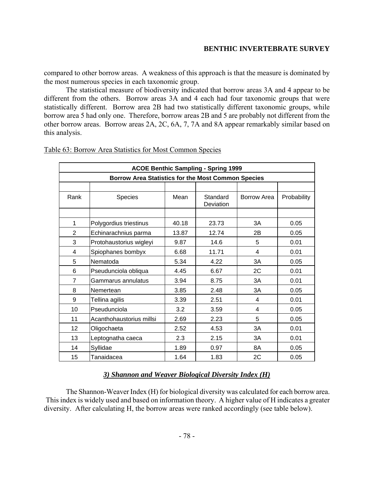compared to other borrow areas. A weakness of this approach is that the measure is dominated by the most numerous species in each taxonomic group.

The statistical measure of biodiversity indicated that borrow areas 3A and 4 appear to be different from the others. Borrow areas 3A and 4 each had four taxonomic groups that were statistically different. Borrow area 2B had two statistically different taxonomic groups, while borrow area 5 had only one. Therefore, borrow areas 2B and 5 are probably not different from the other borrow areas. Borrow areas 2A, 2C, 6A, 7, 7A and 8A appear remarkably similar based on this analysis.

|                | <b>ACOE Benthic Sampling - Spring 1999</b>                |       |                       |             |             |  |  |  |
|----------------|-----------------------------------------------------------|-------|-----------------------|-------------|-------------|--|--|--|
|                | <b>Borrow Area Statistics for the Most Common Species</b> |       |                       |             |             |  |  |  |
|                |                                                           |       |                       |             |             |  |  |  |
| Rank           | <b>Species</b>                                            | Mean  | Standard<br>Deviation | Borrow Area | Probability |  |  |  |
|                |                                                           |       |                       |             |             |  |  |  |
| 1              | Polygordius triestinus                                    | 40.18 | 23.73                 | 3A          | 0.05        |  |  |  |
| $\overline{2}$ | Echinarachnius parma                                      | 13.87 | 12.74                 | 2B          | 0.05        |  |  |  |
| 3              | Protohaustorius wigleyi                                   | 9.87  | 14.6                  | 5           | 0.01        |  |  |  |
| 4              | Spiophanes bombyx                                         | 6.68  | 11.71                 | 4           | 0.01        |  |  |  |
| 5              | Nematoda                                                  | 5.34  | 4.22                  | 3A          | 0.05        |  |  |  |
| 6              | Pseudunciola obliqua                                      | 4.45  | 6.67                  | 2C          | 0.01        |  |  |  |
| $\overline{7}$ | Gammarus annulatus                                        | 3.94  | 8.75                  | 3A          | 0.01        |  |  |  |
| 8              | Nemertean                                                 | 3.85  | 2.48                  | 3A          | 0.05        |  |  |  |
| 9              | Tellina agilis                                            | 3.39  | 2.51                  | 4           | 0.01        |  |  |  |
| 10             | Pseudunciola                                              | 3.2   | 3.59                  | 4           | 0.05        |  |  |  |
| 11             | Acanthohaustorius millsi                                  | 2.69  | 2.23                  | 5           | 0.05        |  |  |  |
| 12             | Oligochaeta                                               | 2.52  | 4.53                  | 3A          | 0.01        |  |  |  |
| 13             | Leptognatha caeca                                         | 2.3   | 2.15                  | 3A          | 0.01        |  |  |  |
| 14             | Syllidae                                                  | 1.89  | 0.97                  | 8A          | 0.05        |  |  |  |
| 15             | Tanaidacea                                                | 1.64  | 1.83                  | 2C          | 0.05        |  |  |  |

### Table 63: Borrow Area Statistics for Most Common Species

# *3) Shannon and Weaver Biological Diversity Index (H)*

The Shannon-Weaver Index (H) for biological diversity was calculated for each borrow area. This index is widely used and based on information theory. A higher value of H indicates a greater diversity. After calculating H, the borrow areas were ranked accordingly (see table below).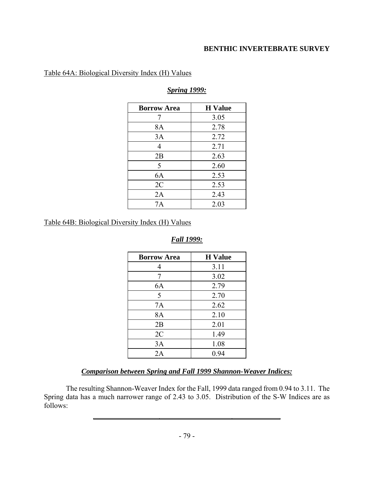## Table 64A: Biological Diversity Index (H) Values

| <b>Borrow Area</b> | <b>H</b> Value |
|--------------------|----------------|
| 7                  | 3.05           |
| 8A                 | 2.78           |
| 3A                 | 2.72           |
| $\overline{4}$     | 2.71           |
| 2B                 | 2.63           |
| 5                  | 2.60           |
| 6A                 | 2.53           |
| 2C                 | 2.53           |
| 2A                 | 2.43           |
| 7Α                 | 2.03           |

## *Spring 1999:*

Table 64B: Biological Diversity Index (H) Values

## *Fall 1999:*

| <b>Borrow Area</b> | <b>H</b> Value |
|--------------------|----------------|
| 4                  | 3.11           |
| 7                  | 3.02           |
| 6A                 | 2.79           |
| 5                  | 2.70           |
| 7A                 | 2.62           |
| 8A                 | 2.10           |
| 2B                 | 2.01           |
| 2C                 | 1.49           |
| 3A                 | 1.08           |
| 2A                 | 0.94           |

## *Comparison between Spring and Fall 1999 Shannon-Weaver Indices:*

The resulting Shannon-Weaver Index for the Fall, 1999 data ranged from 0.94 to 3.11. The Spring data has a much narrower range of 2.43 to 3.05. Distribution of the S-W Indices are as follows:

L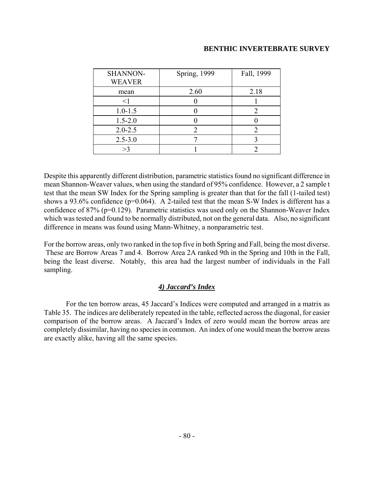| SHANNON-<br><b>WEAVER</b> | <b>Spring</b> , 1999 | Fall, 1999 |
|---------------------------|----------------------|------------|
| mean                      | 2.60                 | 2.18       |
| $\leq$ 1                  |                      |            |
| $1.0 - 1.5$               |                      |            |
| $1.5 - 2.0$               |                      |            |
| $2.0 - 2.5$               |                      |            |
| $2.5 - 3.0$               |                      |            |
| >3                        |                      |            |

Despite this apparently different distribution, parametric statistics found no significant difference in mean Shannon-Weaver values, when using the standard of 95% confidence. However, a 2 sample t test that the mean SW Index for the Spring sampling is greater than that for the fall (1-tailed test) shows a 93.6% confidence (p=0.064). A 2-tailed test that the mean S-W Index is different has a confidence of 87% (p=0.129). Parametric statistics was used only on the Shannon-Weaver Index which was tested and found to be normally distributed, not on the general data. Also, no significant difference in means was found using Mann-Whitney, a nonparametric test.

For the borrow areas, only two ranked in the top five in both Spring and Fall, being the most diverse. These are Borrow Areas 7 and 4. Borrow Area 2A ranked 9th in the Spring and 10th in the Fall, being the least diverse. Notably, this area had the largest number of individuals in the Fall sampling.

## *4) Jaccard's Index*

For the ten borrow areas, 45 Jaccard's Indices were computed and arranged in a matrix as Table 35. The indices are deliberately repeated in the table, reflected across the diagonal, for easier comparison of the borrow areas. A Jaccard's Index of zero would mean the borrow areas are completely dissimilar, having no species in common. An index of one would mean the borrow areas are exactly alike, having all the same species.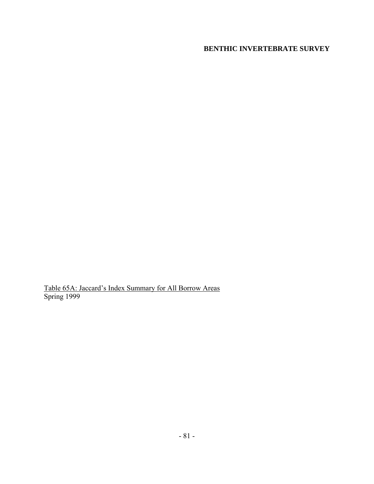Table 65A: Jaccard's Index Summary for All Borrow Areas Spring 1999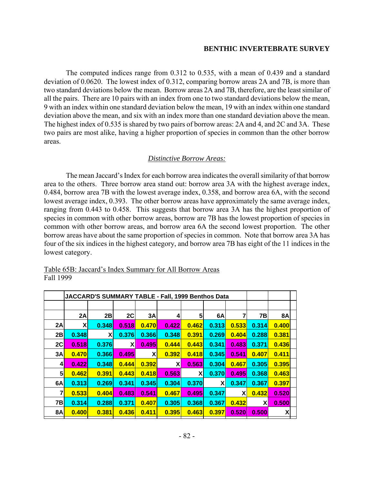The computed indices range from 0.312 to 0.535, with a mean of 0.439 and a standard deviation of 0.0620. The lowest index of 0.312, comparing borrow areas 2A and 7B, is more than two standard deviations below the mean. Borrow areas 2A and 7B, therefore, are the least similar of all the pairs. There are 10 pairs with an index from one to two standard deviations below the mean, 9 with an index within one standard deviation below the mean, 19 with an index within one standard deviation above the mean, and six with an index more than one standard deviation above the mean. The highest index of 0.535 is shared by two pairs of borrow areas: 2A and 4, and 2C and 3A. These two pairs are most alike, having a higher proportion of species in common than the other borrow areas.

#### *Distinctive Borrow Areas:*

The mean Jaccard's Index for each borrow area indicates the overall similarity of that borrow area to the others. Three borrow area stand out: borrow area 3A with the highest average index, 0.484, borrow area 7B with the lowest average index, 0.358, and borrow area 6A, with the second lowest average index, 0.393. The other borrow areas have approximately the same average index, ranging from 0.443 to 0.458. This suggests that borrow area 3A has the highest proportion of species in common with other borrow areas, borrow are 7B has the lowest proportion of species in common with other borrow areas, and borrow area 6A the second lowest proportion. The other borrow areas have about the same proportion of species in common. Note that borrow area 3A has four of the six indices in the highest category, and borrow area 7B has eight of the 11 indices in the lowest category.

|               | JACCARD'S SUMMARY TABLE - Fall, 1999 Benthos Data |       |       |       |              |       |       |       |       |                           |  |
|---------------|---------------------------------------------------|-------|-------|-------|--------------|-------|-------|-------|-------|---------------------------|--|
|               |                                                   |       |       |       |              |       |       |       |       |                           |  |
|               | 2A                                                | 2B    | 2C    | 3A    | 4            | 5     | 6A    |       | 7В    | <b>8A</b>                 |  |
| 2A            | $\mathsf{x}$                                      | 0.348 | 0.518 | 0.470 | 0.422        | 0.462 | 0.313 | 0.533 | 0.314 | 0.400                     |  |
| 2B            | 0.348                                             | X     | 0.376 | 0.366 | 0.348        | 0.391 | 0.269 | 0.404 | 0.288 | 0.381                     |  |
| 2C            | 0.518                                             | 0.376 | ΧI    | 0.495 | 0.444        | 0.443 | 0.341 | 0.483 | 0.371 | 0.436                     |  |
| 3A            | 0.470                                             | 0.366 | 0.495 | X     | 0.392        | 0.418 | 0.345 | 0.541 | 0.407 | 0.411                     |  |
| $\frac{4}{ }$ | 0.422                                             | 0.348 | 0.444 | 0.392 | $\mathbf{X}$ | 0.563 | 0.304 | 0.467 | 0.305 | 0.395                     |  |
| 5             | 0.462                                             | 0.391 | 0.443 | 0.418 | 0.563        | X     | 0.370 | 0.495 | 0.368 | 0.463                     |  |
| 6A            | 0.313                                             | 0.269 | 0.341 | 0.345 | 0.304        | 0.370 | X     | 0.347 | 0.367 | 0.397                     |  |
| 7             | 0.533                                             | 0.404 | 0.483 | 0.541 | 0.467        | 0.495 | 0.347 | X     | 0.432 | 0.520                     |  |
| 7B            | 0.314                                             | 0.288 | 0.371 | 0.407 | 0.305        | 0.368 | 0.367 | 0.432 | X     | 0.500                     |  |
| <b>8A</b>     | 0.400                                             | 0.381 | 0.436 | 0.411 | 0.395        | 0.463 | 0.397 | 0.520 | 0.500 | $\boldsymbol{\mathsf{x}}$ |  |

### Table 65B: Jaccard's Index Summary for All Borrow Areas Fall 1999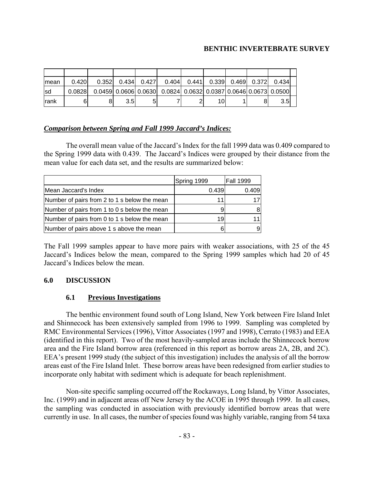| Imean        | 0.420   | 0.352 | 0.434            | 0.427 | 0.404                                                            | 0.441 |  | 0.339  0.469  0.372  0.3 | 0.434            |  |
|--------------|---------|-------|------------------|-------|------------------------------------------------------------------|-------|--|--------------------------|------------------|--|
| Isd          | 0.08281 |       |                  |       | $0.0459$ 0.0606 0.0630 0.0824 0.0632 0.0387 0.0646 0.0673 0.0500 |       |  |                          |                  |  |
| <b>Irank</b> | 6       |       | 3.5 <sub>l</sub> | 5     |                                                                  |       |  |                          | 3.5 <sub>l</sub> |  |

## *Comparison between Spring and Fall 1999 Jaccard's Indices:*

The overall mean value of the Jaccard's Index for the fall 1999 data was 0.409 compared to the Spring 1999 data with 0.439. The Jaccard's Indices were grouped by their distance from the mean value for each data set, and the results are summarized below:

|                                              | Spring 1999 | <b>Fall 1999</b> |
|----------------------------------------------|-------------|------------------|
| Mean Jaccard's Index                         | 0.439       | 0.409            |
| Number of pairs from 2 to 1 s below the mean |             | 17               |
| Number of pairs from 1 to 0 s below the mean |             | 8                |
| Number of pairs from 0 to 1 s below the mean | 19          | 11               |
| Number of pairs above 1 s above the mean     |             | 9                |

The Fall 1999 samples appear to have more pairs with weaker associations, with 25 of the 45 Jaccard's Indices below the mean, compared to the Spring 1999 samples which had 20 of 45 Jaccard's Indices below the mean.

## **6.0 DISCUSSION**

## **6.1 Previous Investigations**

The benthic environment found south of Long Island, New York between Fire Island Inlet and Shinnecock has been extensively sampled from 1996 to 1999. Sampling was completed by RMC Environmental Services (1996), Vittor Associates (1997 and 1998), Cerrato (1983) and EEA (identified in this report). Two of the most heavily-sampled areas include the Shinnecock borrow area and the Fire Island borrow area (referenced in this report as borrow areas 2A, 2B, and 2C). EEA's present 1999 study (the subject of this investigation) includes the analysis of all the borrow areas east of the Fire Island Inlet. These borrow areas have been redesigned from earlier studies to incorporate only habitat with sediment which is adequate for beach replenishment.

Non-site specific sampling occurred off the Rockaways, Long Island, by Vittor Associates, Inc. (1999) and in adjacent areas off New Jersey by the ACOE in 1995 through 1999. In all cases, the sampling was conducted in association with previously identified borrow areas that were currently in use. In all cases, the number of species found was highly variable, ranging from 54 taxa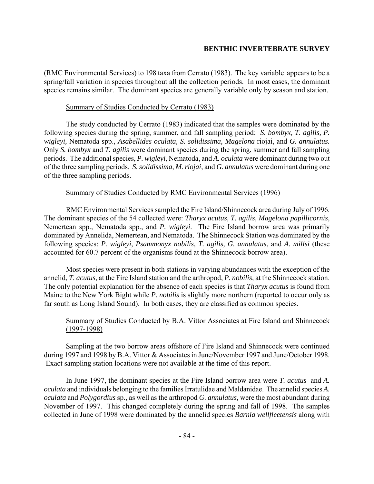(RMC Environmental Services) to 198 taxa from Cerrato (1983). The key variable appears to be a spring/fall variation in species throughout all the collection periods. In most cases, the dominant species remains similar. The dominant species are generally variable only by season and station.

### Summary of Studies Conducted by Cerrato (1983)

The study conducted by Cerrato (1983) indicated that the samples were dominated by the following species during the spring, summer, and fall sampling period: *S. bombyx, T. agilis, P. wigleyi,* Nematoda spp.*, Asabellides oculata, S. solidissima, Magelona* riojai, and *G. annulatus.*  Only *S. bombyx* and *T. agilis* were dominant species during the spring, summer and fall sampling periods. The additional species, *P. wigleyi,* Nematoda, and *A. oculata* were dominant during two out of the three sampling periods. *S. solidissima, M. riojai,* and *G. annulatus* were dominant during one of the three sampling periods.

## Summary of Studies Conducted by RMC Environmental Services (1996)

RMC Environmental Services sampled the Fire Island/Shinnecock area during July of 1996. The dominant species of the 54 collected were: *Tharyx acutus, T. agilis, Magelona papillicornis,*  Nemertean spp.*,* Nematoda spp., and *P. wigleyi*. The Fire Island borrow area was primarily dominated by Annelida, Nemertean, and Nematoda. The Shinnecock Station was dominated by the following species: *P. wigleyi, Psammonyx nobilis, T. agilis, G. annulatus*, and *A. millsi* (these accounted for 60.7 percent of the organisms found at the Shinnecock borrow area).

Most species were present in both stations in varying abundances with the exception of the annelid, *T. acutus*, at the Fire Island station and the arthropod, *P. nobilis,* at the Shinnecock station. The only potential explanation for the absence of each species is that *Tharyx acutus* is found from Maine to the New York Bight while *P. nobilis* is slightly more northern (reported to occur only as far south as Long Island Sound). In both cases, they are classified as common species.

## Summary of Studies Conducted by B.A. Vittor Associates at Fire Island and Shinnecock  $(1997-1998)$

Sampling at the two borrow areas offshore of Fire Island and Shinnecock were continued during 1997 and 1998 by B.A. Vittor & Associates in June/November 1997 and June/October 1998. Exact sampling station locations were not available at the time of this report.

In June 1997, the dominant species at the Fire Island borrow area were *T. acutus* and *A. oculata* and individuals belonging to the families Irratulidae and Maldanidae. The annelid species *A. oculata* and *Polygordius* sp., as well as the arthropod *G. annulatus,* were the most abundant during November of 1997. This changed completely during the spring and fall of 1998. The samples collected in June of 1998 were dominated by the annelid species *Barnia wellfleetensis* along with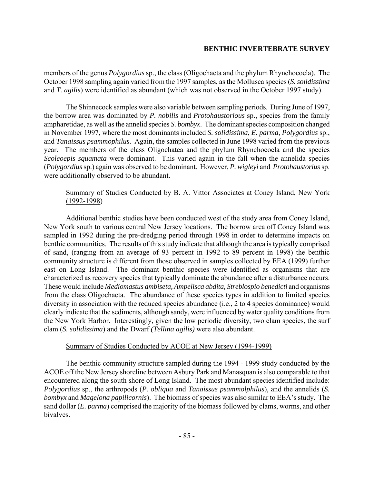members of the genus *Polygordius* sp., the class (Oligochaeta and the phylum Rhynchocoela). The October 1998 sampling again varied from the 1997 samples, as the Mollusca species (*S. solidissima* and *T. agilis*) were identified as abundant (which was not observed in the October 1997 study).

The Shinnecock samples were also variable between sampling periods. During June of 1997, the borrow area was dominated by *P. nobilis* and *Protohaustorious* sp., species from the family ampharetidae, as well as the annelid species *S. bombyx*. The dominant species composition changed in November 1997, where the most dominants included *S. solidissima*, *E. parma*, *Polygordius* sp., and *Tanaissus psammophilus*. Again, the samples collected in June 1998 varied from the previous year. The members of the class Oligochatea and the phylum Rhynchocoela and the species *Scoleoepis squamata* were dominant. This varied again in the fall when the annelida species (*Polygordius* sp.) again was observed to be dominant. However, *P. wigleyi* and *Protohaustorius* sp. were additionally observed to be abundant.

# Summary of Studies Conducted by B. A. Vittor Associates at Coney Island, New York (1992-1998)

Additional benthic studies have been conducted west of the study area from Coney Island, New York south to various central New Jersey locations. The borrow area off Coney Island was sampled in 1992 during the pre-dredging period through 1998 in order to determine impacts on benthic communities. The results of this study indicate that although the area is typically comprised of sand, (ranging from an average of 93 percent in 1992 to 89 percent in 1998) the benthic community structure is different from those observed in samples collected by EEA (1999) further east on Long Island. The dominant benthic species were identified as organisms that are characterized as recovery species that typically dominate the abundance after a disturbance occurs. These would include *Mediomastus ambiseta, Ampelisca abdita, Streblospio benedicti* and organisms from the class Oligochaeta. The abundance of these species types in addition to limited species diversity in association with the reduced species abundance (i.e., 2 to 4 species dominance) would clearly indicate that the sediments, although sandy, were influenced by water quality conditions from the New York Harbor. Interestingly, given the low periodic diversity, two clam species, the surf clam (*S. solidissima*) and the Dwarf *(Tellina agilis)* were also abundant.

## Summary of Studies Conducted by ACOE at New Jersey (1994-1999)

The benthic community structure sampled during the 1994 - 1999 study conducted by the ACOE off the New Jersey shoreline between Asbury Park and Manasquan is also comparable to that encountered along the south shore of Long Island. The most abundant species identified include: *Polygordius* sp., the arthropods (*P. obliqua* and *Tanaissus psammolphilus*), and the annelids (*S. bombyx* and *Magelona papilicornis*). The biomass of species was also similar to EEA's study. The sand dollar (*E. parma*) comprised the majority of the biomass followed by clams, worms, and other bivalves.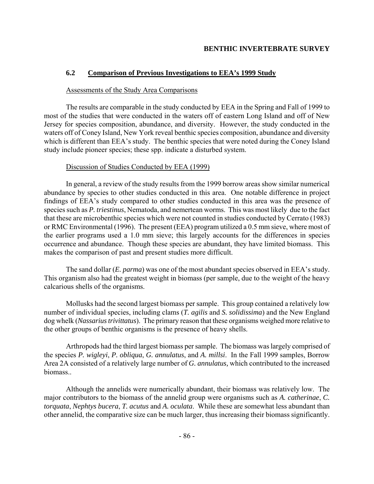# **6.2 Comparison of Previous Investigations to EEA's 1999 Study**

### Assessments of the Study Area Comparisons

The results are comparable in the study conducted by EEA in the Spring and Fall of 1999 to most of the studies that were conducted in the waters off of eastern Long Island and off of New Jersey for species composition, abundance, and diversity. However, the study conducted in the waters off of Coney Island, New York reveal benthic species composition, abundance and diversity which is different than EEA's study. The benthic species that were noted during the Coney Island study include pioneer species; these spp. indicate a disturbed system.

## Discussion of Studies Conducted by EEA (1999)

In general, a review of the study results from the 1999 borrow areas show similar numerical abundance by species to other studies conducted in this area. One notable difference in project findings of EEA's study compared to other studies conducted in this area was the presence of species such as *P. triestinus*, Nematoda, and nemertean worms. This was most likely due to the fact that these are microbenthic species which were not counted in studies conducted by Cerrato (1983) or RMC Environmental (1996). The present (EEA) program utilized a 0.5 mm sieve, where most of the earlier programs used a 1.0 mm sieve; this largely accounts for the differences in species occurrence and abundance. Though these species are abundant, they have limited biomass. This makes the comparison of past and present studies more difficult.

The sand dollar (*E. parma*) was one of the most abundant species observed in EEA's study. This organism also had the greatest weight in biomass (per sample, due to the weight of the heavy calcarious shells of the organisms.

Mollusks had the second largest biomass per sample. This group contained a relatively low number of individual species, including clams (*T. agilis* and *S. solidissima*) and the New England dog whelk (*Nassarius trivittatus*). The primary reason that these organisms weighed more relative to the other groups of benthic organisms is the presence of heavy shells.

Arthropods had the third largest biomass per sample. The biomass was largely comprised of the species *P. wigleyi*, *P. obliqua*, *G. annulatus*, and *A. millsi*. In the Fall 1999 samples, Borrow Area 2A consisted of a relatively large number of *G. annulatus,* which contributed to the increased biomass..

Although the annelids were numerically abundant, their biomass was relatively low. The major contributors to the biomass of the annelid group were organisms such as *A. catherinae*, *C. torquata*, *Nephtys bucera*, *T. acutus* and *A. oculata*. While these are somewhat less abundant than other annelid, the comparative size can be much larger, thus increasing their biomass significantly.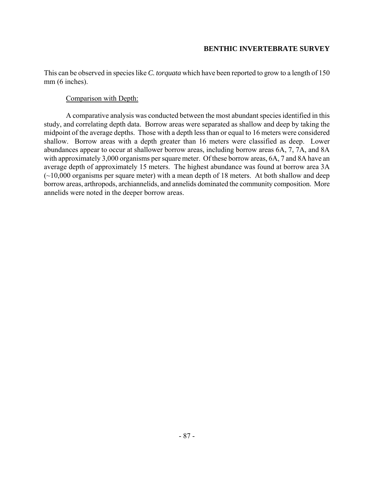This can be observed in species like *C. torquata* which have been reported to grow to a length of 150 mm (6 inches).

### Comparison with Depth:

A comparative analysis was conducted between the most abundant species identified in this study, and correlating depth data. Borrow areas were separated as shallow and deep by taking the midpoint of the average depths. Those with a depth less than or equal to 16 meters were considered shallow. Borrow areas with a depth greater than 16 meters were classified as deep. Lower abundances appear to occur at shallower borrow areas, including borrow areas 6A, 7, 7A, and 8A with approximately 3,000 organisms per square meter. Of these borrow areas, 6A, 7 and 8A have an average depth of approximately 15 meters. The highest abundance was found at borrow area 3A  $(\sim 10,000)$  organisms per square meter) with a mean depth of 18 meters. At both shallow and deep borrow areas, arthropods, archiannelids, and annelids dominated the community composition. More annelids were noted in the deeper borrow areas.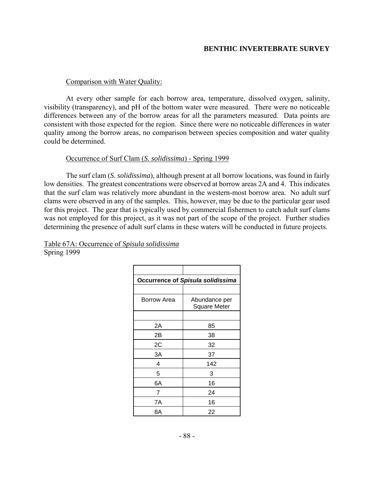#### Comparison with Water Quality:

At every other sample for each borrow area, temperature, dissolved oxygen, salinity, visibility (transparency), and pH of the bottom water were measured. There were no noticeable differences between any of the borrow areas for all the parameters measured. Data points are consistent with those expected for the region. Since there were no noticeable differences in water quality among the borrow areas, no comparison between species composition and water quality could be determined.

### Occurrence of Surf Clam (*S. solidissima*) - Spring 1999

The surf clam (*S. solidissima*), although present at all borrow locations, was found in fairly low densities. The greatest concentrations were observed at borrow areas 2A and 4. This indicates that the surf clam was relatively more abundant in the western-most borrow area. No adult surf clams were observed in any of the samples. This, however, may be due to the particular gear used for this project. The gear that is typically used by commercial fishermen to catch adult surf clams was not employed for this project, as it was not part of the scope of the project. Further studies determining the presence of adult surf clams in these waters will be conducted in future projects.

| <b>Occurrence of Spisula solidissima</b> |                                      |  |  |  |  |
|------------------------------------------|--------------------------------------|--|--|--|--|
|                                          |                                      |  |  |  |  |
| Borrow Area                              | Abundance per<br><b>Square Meter</b> |  |  |  |  |
|                                          |                                      |  |  |  |  |
| 2A                                       | 85                                   |  |  |  |  |
| 2Β                                       | 38                                   |  |  |  |  |
| 2C                                       | 32                                   |  |  |  |  |
| ЗA                                       | 37                                   |  |  |  |  |
| 4                                        | 142                                  |  |  |  |  |
| 5                                        | 3                                    |  |  |  |  |
| 6A                                       | 16                                   |  |  |  |  |
| 7                                        | 24                                   |  |  |  |  |
| 7A                                       | 16                                   |  |  |  |  |
| 8Α                                       | 22                                   |  |  |  |  |
|                                          |                                      |  |  |  |  |

Table 67A: Occurrence of *Spisula solidissima* Spring 1999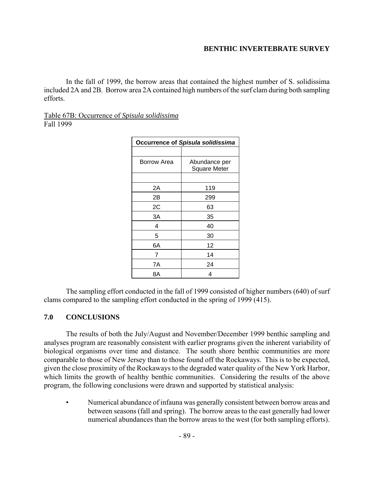In the fall of 1999, the borrow areas that contained the highest number of S. solidissima included 2A and 2B. Borrow area 2A contained high numbers of the surf clam during both sampling efforts.

### Table 67B: Occurrence of *Spisula solidissima* Fall 1999

| <b>Occurrence of Spisula solidissima</b> |                                      |  |
|------------------------------------------|--------------------------------------|--|
|                                          |                                      |  |
| Borrow Area                              | Abundance per<br><b>Square Meter</b> |  |
|                                          |                                      |  |
| 2Α                                       | 119                                  |  |
| 2Β                                       | 299                                  |  |
| 2C                                       | 63                                   |  |
| ЗA                                       | 35                                   |  |
| 4                                        | 40                                   |  |
| 5                                        | 30                                   |  |
| 6A                                       | 12                                   |  |
| 7                                        | 14                                   |  |
| 7A                                       | 24                                   |  |
| 8Α                                       | 4                                    |  |

The sampling effort conducted in the fall of 1999 consisted of higher numbers (640) of surf clams compared to the sampling effort conducted in the spring of 1999 (415).

## **7.0 CONCLUSIONS**

The results of both the July/August and November/December 1999 benthic sampling and analyses program are reasonably consistent with earlier programs given the inherent variability of biological organisms over time and distance. The south shore benthic communities are more comparable to those of New Jersey than to those found off the Rockaways. This is to be expected, given the close proximity of the Rockaways to the degraded water quality of the New York Harbor, which limits the growth of healthy benthic communities. Considering the results of the above program, the following conclusions were drawn and supported by statistical analysis:

• Numerical abundance of infauna was generally consistent between borrow areas and between seasons (fall and spring). The borrow areas to the east generally had lower numerical abundances than the borrow areas to the west (for both sampling efforts).